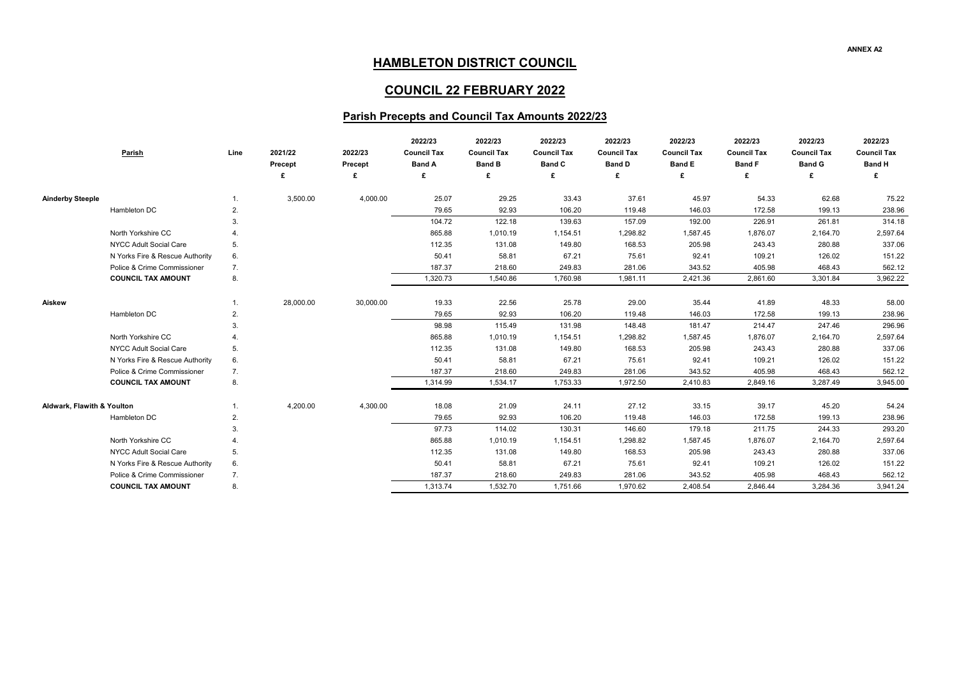## **ANNEX A2**

| 2022/23            | 2022/23            | 2022/23            |
|--------------------|--------------------|--------------------|
| <b>Council Tax</b> | <b>Council Tax</b> | <b>Council Tax</b> |
| <b>Band F</b>      | <b>Band G</b>      | <b>Band H</b>      |
| £                  | £                  | £                  |
|                    |                    |                    |
| 54.33              | 62.68              | 75.22              |
| 172.58             | 199.13             | 238.96             |
| 226.91             | 261.81             | 314.18             |
| 1,876.07           | 2,164.70           | 2,597.64           |
| 243.43             | 280.88             | 337.06             |
| 109.21             | 126.02             | 151.22             |
| 405.98             | 468.43             | 562.12             |
| 2,861.60           | 3,301.84           | 3,962.22           |
|                    |                    |                    |
| 41.89              | 48.33              | 58.00              |
| 172.58             | 199.13             | 238.96             |
| 214.47             | 247.46             | 296.96             |
| 1,876.07           | 2,164.70           | 2,597.64           |
| 243.43             | 280.88             | 337.06             |
| 109.21             | 126.02             | 151.22             |
| 405.98             | 468.43             | 562.12             |
| 2,849.16           | 3,287.49           | 3,945.00           |
|                    |                    |                    |
| 39.17              | 45.20              | 54.24              |
| 172.58             | 199.13             | 238.96             |
| 211.75             | 244.33             | 293.20             |
| 1,876.07           | 2,164.70           | 2,597.64           |
| 243.43             | 280.88             | 337.06             |
| 109.21             | 126.02             | 151.22             |
| 405.98             | 468.43             | 562.12             |
| 2,846.44           | 3,284.36           | 3,941.24           |

| <b>Parish</b>                   | Line           | 2021/22<br>Precept | 2022/23<br><b>Precept</b> | 2022/23<br><b>Council Tax</b><br><b>Band A</b> | 2022/23<br><b>Council Tax</b><br><b>Band B</b> | 2022/23<br><b>Council Tax</b><br><b>Band C</b> | 2022/23<br><b>Council Tax</b><br><b>Band D</b> | 2022/23<br><b>Council Tax</b><br><b>Band E</b> | 2022/23<br><b>Council Tax</b><br><b>Band F</b> | 2022/23<br><b>Council Tax</b><br><b>Band G</b> | 2022/23<br><b>Council Tax</b><br><b>Band H</b> |
|---------------------------------|----------------|--------------------|---------------------------|------------------------------------------------|------------------------------------------------|------------------------------------------------|------------------------------------------------|------------------------------------------------|------------------------------------------------|------------------------------------------------|------------------------------------------------|
|                                 |                | £                  | £                         | £                                              | £                                              | £                                              | £                                              | £                                              | £                                              |                                                | £                                              |
| <b>Ainderby Steeple</b>         | 1.             | 3,500.00           | 4,000.00                  | 25.07                                          | 29.25                                          | 33.43                                          | 37.61                                          | 45.97                                          | 54.33                                          | 62.68                                          | 75.22                                          |
| Hambleton DC                    | 2.             |                    |                           | 79.65                                          | 92.93                                          | 106.20                                         | 119.48                                         | 146.03                                         | 172.58                                         | 199.13                                         | 238.96                                         |
|                                 | 3.             |                    |                           | 104.72                                         | 122.18                                         | 139.63                                         | 157.09                                         | 192.00                                         | 226.91                                         | 261.81                                         | 314.18                                         |
| North Yorkshire CC              |                |                    |                           | 865.88                                         | 1,010.19                                       | 1,154.51                                       | 1,298.82                                       | 1,587.45                                       | 1,876.07                                       | 2,164.70                                       | 2,597.64                                       |
| NYCC Adult Social Care          | 5.             |                    |                           | 112.35                                         | 131.08                                         | 149.80                                         | 168.53                                         | 205.98                                         | 243.43                                         | 280.88                                         | 337.06                                         |
| N Yorks Fire & Rescue Authority | 6.             |                    |                           | 50.41                                          | 58.81                                          | 67.21                                          | 75.61                                          | 92.41                                          | 109.21                                         | 126.02                                         | 151.22                                         |
| Police & Crime Commissioner     | 7.             |                    |                           | 187.37                                         | 218.60                                         | 249.83                                         | 281.06                                         | 343.52                                         | 405.98                                         | 468.43                                         | 562.12                                         |
| <b>COUNCIL TAX AMOUNT</b>       | 8.             |                    |                           | 1,320.73                                       | 1,540.86                                       | 1,760.98                                       | 1,981.11                                       | 2,421.36                                       | 2,861.60                                       | 3,301.84                                       | 3,962.22                                       |
| Aiskew                          | 1.             | 28,000.00          | 30,000.00                 | 19.33                                          | 22.56                                          | 25.78                                          | 29.00                                          | 35.44                                          | 41.89                                          | 48.33                                          | 58.00                                          |
| Hambleton DC                    | 2.             |                    |                           | 79.65                                          | 92.93                                          | 106.20                                         | 119.48                                         | 146.03                                         | 172.58                                         | 199.13                                         | 238.96                                         |
|                                 | 3.             |                    |                           | 98.98                                          | 115.49                                         | 131.98                                         | 148.48                                         | 181.47                                         | 214.47                                         | 247.46                                         | 296.96                                         |
| North Yorkshire CC              |                |                    |                           | 865.88                                         | 1,010.19                                       | 1,154.51                                       | 1,298.82                                       | 1,587.45                                       | 1,876.07                                       | 2,164.70                                       | 2,597.64                                       |
| <b>NYCC Adult Social Care</b>   | 5 <sub>1</sub> |                    |                           | 112.35                                         | 131.08                                         | 149.80                                         | 168.53                                         | 205.98                                         | 243.43                                         | 280.88                                         | 337.06                                         |
| N Yorks Fire & Rescue Authority | 6.             |                    |                           | 50.41                                          | 58.81                                          | 67.21                                          | 75.61                                          | 92.41                                          | 109.21                                         | 126.02                                         | 151.22                                         |
| Police & Crime Commissioner     | 7.             |                    |                           | 187.37                                         | 218.60                                         | 249.83                                         | 281.06                                         | 343.52                                         | 405.98                                         | 468.43                                         | 562.12                                         |
| <b>COUNCIL TAX AMOUNT</b>       | 8.             |                    |                           | 1,314.99                                       | 1,534.17                                       | 1,753.33                                       | 1,972.50                                       | 2,410.83                                       | 2,849.16                                       | 3,287.49                                       | 3,945.00                                       |
| Aldwark, Flawith & Youlton      |                | 4,200.00           | 4,300.00                  | 18.08                                          | 21.09                                          | 24.11                                          | 27.12                                          | 33.15                                          | 39.17                                          | 45.20                                          | 54.24                                          |
| Hambleton DC                    | 2.             |                    |                           | 79.65                                          | 92.93                                          | 106.20                                         | 119.48                                         | 146.03                                         | 172.58                                         | 199.13                                         | 238.96                                         |
|                                 | 3.             |                    |                           | 97.73                                          | 114.02                                         | 130.31                                         | 146.60                                         | 179.18                                         | 211.75                                         | 244.33                                         | 293.20                                         |
| North Yorkshire CC              |                |                    |                           | 865.88                                         | 1,010.19                                       | 1,154.51                                       | 1,298.82                                       | 1,587.45                                       | 1,876.07                                       | 2,164.70                                       | 2,597.64                                       |
| NYCC Adult Social Care          | 5.             |                    |                           | 112.35                                         | 131.08                                         | 149.80                                         | 168.53                                         | 205.98                                         | 243.43                                         | 280.88                                         | 337.06                                         |
| N Yorks Fire & Rescue Authority | 6.             |                    |                           | 50.41                                          | 58.81                                          | 67.21                                          | 75.61                                          | 92.41                                          | 109.21                                         | 126.02                                         | 151.22                                         |
| Police & Crime Commissioner     | 7.             |                    |                           | 187.37                                         | 218.60                                         | 249.83                                         | 281.06                                         | 343.52                                         | 405.98                                         | 468.43                                         | 562.12                                         |
| <b>COUNCIL TAX AMOUNT</b>       | 8.             |                    |                           | 1,313.74                                       | 1,532.70                                       | 1,751.66                                       | 1,970.62                                       | 2,408.54                                       | 2,846.44                                       | 3,284.36                                       | 3,941.24                                       |

## **HAMBLETON DISTRICT COUNCIL**

## **COUNCIL 22 FEBRUARY 2022**

## **Parish Precepts and Council Tax Amounts 2022/23**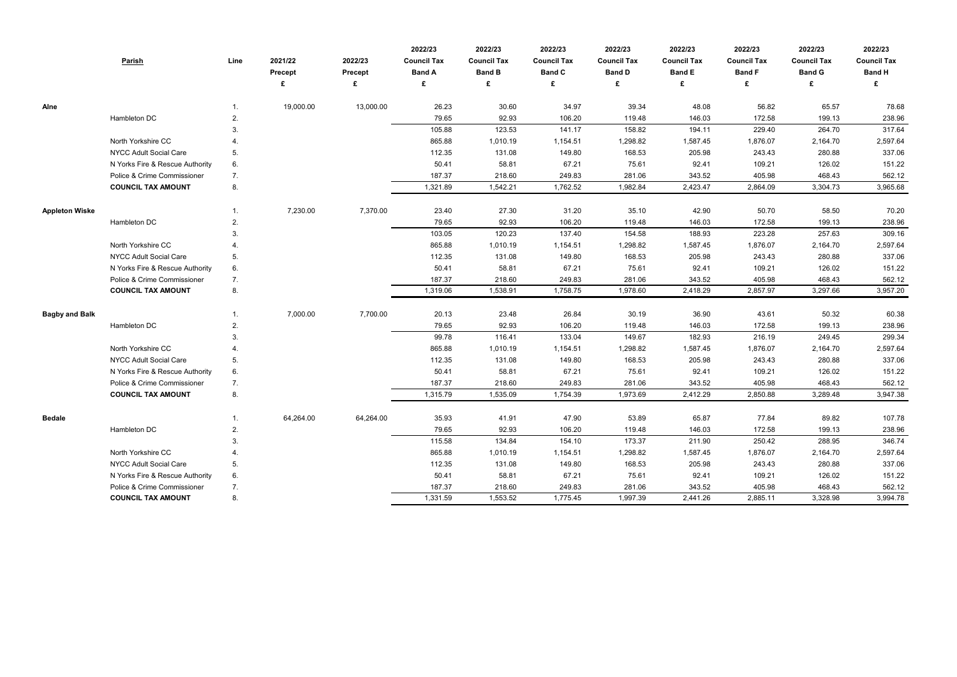|                       | <b>Parish</b>                   | Line | 2021/22<br>Precept | 2022/23<br>Precept | 2022/23<br><b>Council Tax</b><br><b>Band A</b> | 2022/23<br><b>Council Tax</b><br><b>Band B</b> | 2022/23<br><b>Council Tax</b><br><b>Band C</b> | 2022/23<br><b>Council Tax</b><br><b>Band D</b> | 2022/23<br><b>Council Tax</b><br><b>Band E</b> | 2022/23<br><b>Council Tax</b><br><b>Band F</b> | 2022/23<br><b>Council Tax</b><br><b>Band G</b> | 2022/23<br><b>Council Tax</b><br><b>Band H</b> |
|-----------------------|---------------------------------|------|--------------------|--------------------|------------------------------------------------|------------------------------------------------|------------------------------------------------|------------------------------------------------|------------------------------------------------|------------------------------------------------|------------------------------------------------|------------------------------------------------|
|                       |                                 |      |                    | £                  | £                                              | £                                              |                                                |                                                | £                                              | £                                              | £                                              | £                                              |
| Alne                  |                                 |      | 19,000.00          | 13,000.00          | 26.23                                          | 30.60                                          | 34.97                                          | 39.34                                          | 48.08                                          | 56.82                                          | 65.57                                          | 78.68                                          |
|                       | Hambleton DC                    | 2.   |                    |                    | 79.65                                          | 92.93                                          | 106.20                                         | 119.48                                         | 146.03                                         | 172.58                                         | 199.13                                         | 238.96                                         |
|                       |                                 | 3.   |                    |                    | 105.88                                         | 123.53                                         | 141.17                                         | 158.82                                         | 194.11                                         | 229.40                                         | 264.70                                         | 317.64                                         |
|                       | North Yorkshire CC              |      |                    |                    | 865.88                                         | 1,010.19                                       | 1,154.51                                       | 1,298.82                                       | 1,587.45                                       | 1,876.07                                       | 2,164.70                                       | 2,597.64                                       |
|                       | <b>NYCC Adult Social Care</b>   | 5.   |                    |                    | 112.35                                         | 131.08                                         | 149.80                                         | 168.53                                         | 205.98                                         | 243.43                                         | 280.88                                         | 337.06                                         |
|                       | N Yorks Fire & Rescue Authority | 6.   |                    |                    | 50.41                                          | 58.81                                          | 67.21                                          | 75.61                                          | 92.41                                          | 109.21                                         | 126.02                                         | 151.22                                         |
|                       | Police & Crime Commissioner     | 7.   |                    |                    | 187.37                                         | 218.60                                         | 249.83                                         | 281.06                                         | 343.52                                         | 405.98                                         | 468.43                                         | 562.12                                         |
|                       | <b>COUNCIL TAX AMOUNT</b>       | 8.   |                    |                    | 1,321.89                                       | 1,542.21                                       | 1,762.52                                       | 1,982.84                                       | 2,423.47                                       | 2,864.09                                       | 3,304.73                                       | 3,965.68                                       |
| <b>Appleton Wiske</b> |                                 |      | 7,230.00           | 7,370.00           | 23.40                                          | 27.30                                          | 31.20                                          | 35.10                                          | 42.90                                          | 50.70                                          | 58.50                                          | 70.20                                          |
|                       | Hambleton DC                    | 2.   |                    |                    | 79.65                                          | 92.93                                          | 106.20                                         | 119.48                                         | 146.03                                         | 172.58                                         | 199.13                                         | 238.96                                         |
|                       |                                 | 3.   |                    |                    | 103.05                                         | 120.23                                         | 137.40                                         | 154.58                                         | 188.93                                         | 223.28                                         | 257.63                                         | 309.16                                         |
|                       | North Yorkshire CC              |      |                    |                    | 865.88                                         | 1,010.19                                       | 1,154.51                                       | 1,298.82                                       | 1,587.45                                       | 1,876.07                                       | 2,164.70                                       | 2,597.64                                       |
|                       | NYCC Adult Social Care          | 5.   |                    |                    | 112.35                                         | 131.08                                         | 149.80                                         | 168.53                                         | 205.98                                         | 243.43                                         | 280.88                                         | 337.06                                         |
|                       | N Yorks Fire & Rescue Authority | 6.   |                    |                    | 50.41                                          | 58.81                                          | 67.21                                          | 75.61                                          | 92.41                                          | 109.21                                         | 126.02                                         | 151.22                                         |
|                       | Police & Crime Commissioner     | 7.   |                    |                    | 187.37                                         | 218.60                                         | 249.83                                         | 281.06                                         | 343.52                                         | 405.98                                         | 468.43                                         | 562.12                                         |
|                       | <b>COUNCIL TAX AMOUNT</b>       | 8.   |                    |                    | 1,319.06                                       | 1,538.91                                       | 1,758.75                                       | 1,978.60                                       | 2,418.29                                       | 2,857.97                                       | 3,297.66                                       | 3,957.20                                       |
| <b>Bagby and Balk</b> |                                 |      | 7,000.00           | 7,700.00           | 20.13                                          | 23.48                                          | 26.84                                          | 30.19                                          | 36.90                                          | 43.61                                          | 50.32                                          | 60.38                                          |
|                       | Hambleton DC                    | 2.   |                    |                    | 79.65                                          | 92.93                                          | 106.20                                         | 119.48                                         | 146.03                                         | 172.58                                         | 199.13                                         | 238.96                                         |
|                       |                                 | 3.   |                    |                    | 99.78                                          | 116.41                                         | 133.04                                         | 149.67                                         | 182.93                                         | 216.19                                         | 249.45                                         | 299.34                                         |
|                       | North Yorkshire CC              |      |                    |                    | 865.88                                         | 1,010.19                                       | 1,154.51                                       | 1,298.82                                       | 1,587.45                                       | 1,876.07                                       | 2,164.70                                       | 2,597.64                                       |
|                       | <b>NYCC Adult Social Care</b>   | 5.   |                    |                    | 112.35                                         | 131.08                                         | 149.80                                         | 168.53                                         | 205.98                                         | 243.43                                         | 280.88                                         | 337.06                                         |
|                       | N Yorks Fire & Rescue Authority | 6.   |                    |                    | 50.41                                          | 58.81                                          | 67.21                                          | 75.61                                          | 92.41                                          | 109.21                                         | 126.02                                         | 151.22                                         |
|                       | Police & Crime Commissioner     | 7.   |                    |                    | 187.37                                         | 218.60                                         | 249.83                                         | 281.06                                         | 343.52                                         | 405.98                                         | 468.43                                         | 562.12                                         |
|                       | <b>COUNCIL TAX AMOUNT</b>       | 8.   |                    |                    | 1,315.79                                       | 1,535.09                                       | 1,754.39                                       | 1,973.69                                       | 2,412.29                                       | 2,850.88                                       | 3,289.48                                       | 3,947.38                                       |
| <b>Bedale</b>         |                                 |      | 64,264.00          | 64,264.00          | 35.93                                          | 41.91                                          | 47.90                                          | 53.89                                          | 65.87                                          | 77.84                                          | 89.82                                          | 107.78                                         |
|                       | Hambleton DC                    | 2.   |                    |                    | 79.65                                          | 92.93                                          | 106.20                                         | 119.48                                         | 146.03                                         | 172.58                                         | 199.13                                         | 238.96                                         |
|                       |                                 | 3.   |                    |                    | 115.58                                         | 134.84                                         | 154.10                                         | 173.37                                         | 211.90                                         | 250.42                                         | 288.95                                         | 346.74                                         |
|                       | North Yorkshire CC              | 4.   |                    |                    | 865.88                                         | 1,010.19                                       | 1,154.51                                       | 1,298.82                                       | 1,587.45                                       | 1,876.07                                       | 2,164.70                                       | 2,597.64                                       |
|                       | <b>NYCC Adult Social Care</b>   | 5.   |                    |                    | 112.35                                         | 131.08                                         | 149.80                                         | 168.53                                         | 205.98                                         | 243.43                                         | 280.88                                         | 337.06                                         |
|                       | N Yorks Fire & Rescue Authority | 6.   |                    |                    | 50.41                                          | 58.81                                          | 67.21                                          | 75.61                                          | 92.41                                          | 109.21                                         | 126.02                                         | 151.22                                         |
|                       | Police & Crime Commissioner     | 7.   |                    |                    | 187.37                                         | 218.60                                         | 249.83                                         | 281.06                                         | 343.52                                         | 405.98                                         | 468.43                                         | 562.12                                         |
|                       | <b>COUNCIL TAX AMOUNT</b>       | 8.   |                    |                    | 1,331.59                                       | 1,553.52                                       | 1,775.45                                       | 1,997.39                                       | 2,441.26                                       | 2,885.11                                       | 3,328.98                                       | 3,994.78                                       |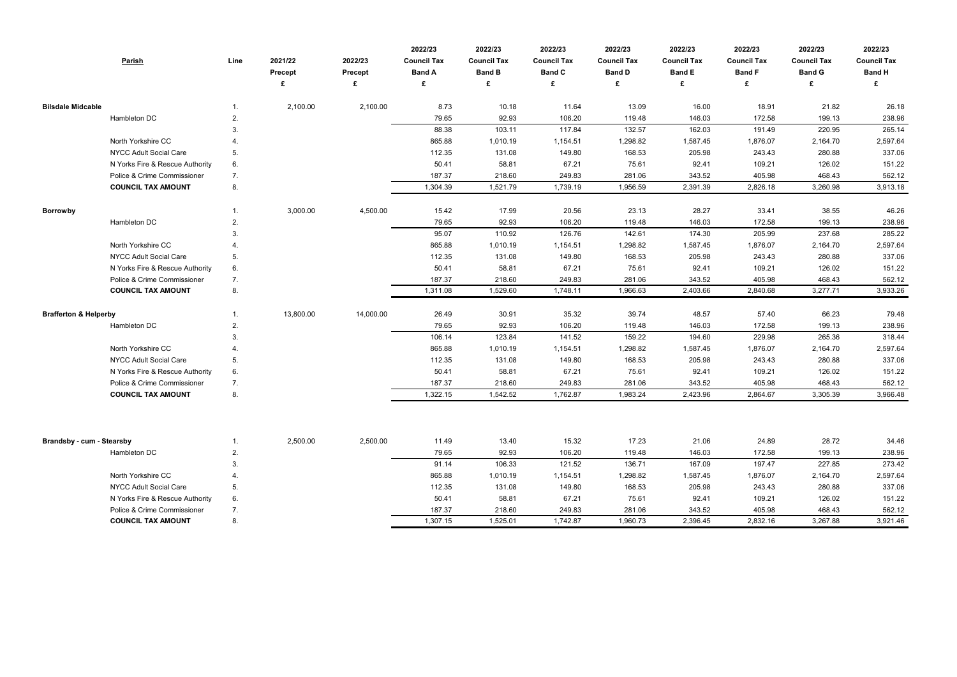|                                  | <b>Parish</b>                   | Line | 2021/22<br>Precept<br>£ | 2022/23<br>Precept<br>£ | 2022/23<br><b>Council Tax</b><br><b>Band A</b><br>£ | 2022/23<br><b>Council Tax</b><br><b>Band B</b><br>£ | 2022/23<br><b>Council Tax</b><br><b>Band C</b><br>£ | 2022/23<br><b>Council Tax</b><br><b>Band D</b><br>£ | 2022/23<br><b>Council Tax</b><br><b>Band E</b><br>£ | 2022/23<br><b>Council Tax</b><br><b>Band F</b><br>£ | 2022/23<br><b>Council Tax</b><br><b>Band G</b><br>£ | 2022/23<br><b>Council Tax</b><br><b>Band H</b><br>£ |
|----------------------------------|---------------------------------|------|-------------------------|-------------------------|-----------------------------------------------------|-----------------------------------------------------|-----------------------------------------------------|-----------------------------------------------------|-----------------------------------------------------|-----------------------------------------------------|-----------------------------------------------------|-----------------------------------------------------|
| <b>Bilsdale Midcable</b>         |                                 | 1.   | 2,100.00                | 2,100.00                | 8.73                                                | 10.18                                               | 11.64                                               | 13.09                                               | 16.00                                               | 18.91                                               | 21.82                                               | 26.18                                               |
|                                  | Hambleton DC                    | 2.   |                         |                         | 79.65                                               | 92.93                                               | 106.20                                              | 119.48                                              | 146.03                                              | 172.58                                              | 199.13                                              | 238.96                                              |
|                                  |                                 | 3.   |                         |                         | 88.38                                               | 103.11                                              | 117.84                                              | 132.57                                              | 162.03                                              | 191.49                                              | 220.95                                              | 265.14                                              |
|                                  | North Yorkshire CC              |      |                         |                         | 865.88                                              | 1,010.19                                            | 1,154.51                                            | 1,298.82                                            | 1,587.45                                            | 1,876.07                                            | 2,164.70                                            | 2,597.64                                            |
|                                  | <b>NYCC Adult Social Care</b>   | 5.   |                         |                         | 112.35                                              | 131.08                                              | 149.80                                              | 168.53                                              | 205.98                                              | 243.43                                              | 280.88                                              | 337.06                                              |
|                                  | N Yorks Fire & Rescue Authority | 6.   |                         |                         | 50.41                                               | 58.81                                               | 67.21                                               | 75.61                                               | 92.41                                               | 109.21                                              | 126.02                                              | 151.22                                              |
|                                  | Police & Crime Commissioner     | 7.   |                         |                         | 187.37                                              | 218.60                                              | 249.83                                              | 281.06                                              | 343.52                                              | 405.98                                              | 468.43                                              | 562.12                                              |
|                                  | <b>COUNCIL TAX AMOUNT</b>       | 8.   |                         |                         | 1,304.39                                            | 1,521.79                                            | 1,739.19                                            | 1,956.59                                            | 2,391.39                                            | 2,826.18                                            | 3,260.98                                            | 3,913.18                                            |
| <b>Borrowby</b>                  |                                 | 1.   | 3,000.00                | 4,500.00                | 15.42                                               | 17.99                                               | 20.56                                               | 23.13                                               | 28.27                                               | 33.41                                               | 38.55                                               | 46.26                                               |
|                                  | Hambleton DC                    | 2.   |                         |                         | 79.65                                               | 92.93                                               | 106.20                                              | 119.48                                              | 146.03                                              | 172.58                                              | 199.13                                              | 238.96                                              |
|                                  |                                 | 3.   |                         |                         | 95.07                                               | 110.92                                              | 126.76                                              | 142.61                                              | 174.30                                              | 205.99                                              | 237.68                                              | 285.22                                              |
|                                  | North Yorkshire CC              |      |                         |                         | 865.88                                              | 1,010.19                                            | 1,154.51                                            | 1,298.82                                            | 1,587.45                                            | 1,876.07                                            | 2,164.70                                            | 2,597.64                                            |
|                                  | <b>NYCC Adult Social Care</b>   | 5.   |                         |                         | 112.35                                              | 131.08                                              | 149.80                                              | 168.53                                              | 205.98                                              | 243.43                                              | 280.88                                              | 337.06                                              |
|                                  | N Yorks Fire & Rescue Authority | 6.   |                         |                         | 50.41                                               | 58.81                                               | 67.21                                               | 75.61                                               | 92.41                                               | 109.21                                              | 126.02                                              | 151.22                                              |
|                                  | Police & Crime Commissioner     | 7.   |                         |                         | 187.37                                              | 218.60                                              | 249.83                                              | 281.06                                              | 343.52                                              | 405.98                                              | 468.43                                              | 562.12                                              |
|                                  | <b>COUNCIL TAX AMOUNT</b>       | 8.   |                         |                         | 1,311.08                                            | 1,529.60                                            | 1,748.11                                            | 1,966.63                                            | 2,403.66                                            | 2,840.68                                            | 3,277.71                                            | 3,933.26                                            |
| <b>Brafferton &amp; Helperby</b> |                                 | 1.   | 13,800.00               | 14,000.00               | 26.49                                               | 30.91                                               | 35.32                                               | 39.74                                               | 48.57                                               | 57.40                                               | 66.23                                               | 79.48                                               |
|                                  | Hambleton DC                    | 2.   |                         |                         | 79.65                                               | 92.93                                               | 106.20                                              | 119.48                                              | 146.03                                              | 172.58                                              | 199.13                                              | 238.96                                              |
|                                  |                                 | 3.   |                         |                         | 106.14                                              | 123.84                                              | 141.52                                              | 159.22                                              | 194.60                                              | 229.98                                              | 265.36                                              | 318.44                                              |
|                                  | North Yorkshire CC              |      |                         |                         | 865.88                                              | 1,010.19                                            | 1,154.51                                            | 1,298.82                                            | 1,587.45                                            | 1,876.07                                            | 2,164.70                                            | 2,597.64                                            |
|                                  | NYCC Adult Social Care          | 5.   |                         |                         | 112.35                                              | 131.08                                              | 149.80                                              | 168.53                                              | 205.98                                              | 243.43                                              | 280.88                                              | 337.06                                              |
|                                  | N Yorks Fire & Rescue Authority | 6.   |                         |                         | 50.41                                               | 58.81                                               | 67.21                                               | 75.61                                               | 92.41                                               | 109.21                                              | 126.02                                              | 151.22                                              |
|                                  | Police & Crime Commissioner     | 7.   |                         |                         | 187.37                                              | 218.60                                              | 249.83                                              | 281.06                                              | 343.52                                              | 405.98                                              | 468.43                                              | 562.12                                              |
|                                  | <b>COUNCIL TAX AMOUNT</b>       | 8.   |                         |                         | 1,322.15                                            | 1,542.52                                            | 1,762.87                                            | 1,983.24                                            | 2,423.96                                            | 2,864.67                                            | 3,305.39                                            | 3,966.48                                            |
|                                  |                                 |      |                         |                         |                                                     |                                                     |                                                     |                                                     |                                                     |                                                     |                                                     |                                                     |
| <b>Brandsby - cum - Stearsby</b> |                                 | 1.   | 2,500.00                | 2,500.00                | 11.49                                               | 13.40                                               | 15.32                                               | 17.23                                               | 21.06                                               | 24.89                                               | 28.72                                               | 34.46                                               |
|                                  | Hambleton DC                    | 2.   |                         |                         | 79.65                                               | 92.93                                               | 106.20                                              | 119.48                                              | 146.03                                              | 172.58                                              | 199.13                                              | 238.96                                              |
|                                  |                                 | 3.   |                         |                         | 91.14                                               | 106.33                                              | 121.52                                              | 136.71                                              | 167.09                                              | 197.47                                              | 227.85                                              | 273.42                                              |
|                                  | North Yorkshire CC              |      |                         |                         | 865.88                                              | 1,010.19                                            | 1,154.51                                            | 1,298.82                                            | 1,587.45                                            | 1,876.07                                            | 2,164.70                                            | 2,597.64                                            |
|                                  | NYCC Adult Social Care          | 5.   |                         |                         | 112.35                                              | 131.08                                              | 149.80                                              | 168.53                                              | 205.98                                              | 243.43                                              | 280.88                                              | 337.06                                              |
|                                  | N Yorks Fire & Rescue Authority | 6.   |                         |                         | 50.41                                               | 58.81                                               | 67.21                                               | 75.61                                               | 92.41                                               | 109.21                                              | 126.02                                              | 151.22                                              |
|                                  | Police & Crime Commissioner     | 7.   |                         |                         | 187.37                                              | 218.60                                              | 249.83                                              | 281.06                                              | 343.52                                              | 405.98                                              | 468.43                                              | 562.12                                              |
|                                  | <b>COUNCIL TAX AMOUNT</b>       | 8.   |                         |                         | 1,307.15                                            | 1,525.01                                            | 1,742.87                                            | 1,960.73                                            | 2,396.45                                            | 2,832.16                                            | 3,267.88                                            | 3,921.46                                            |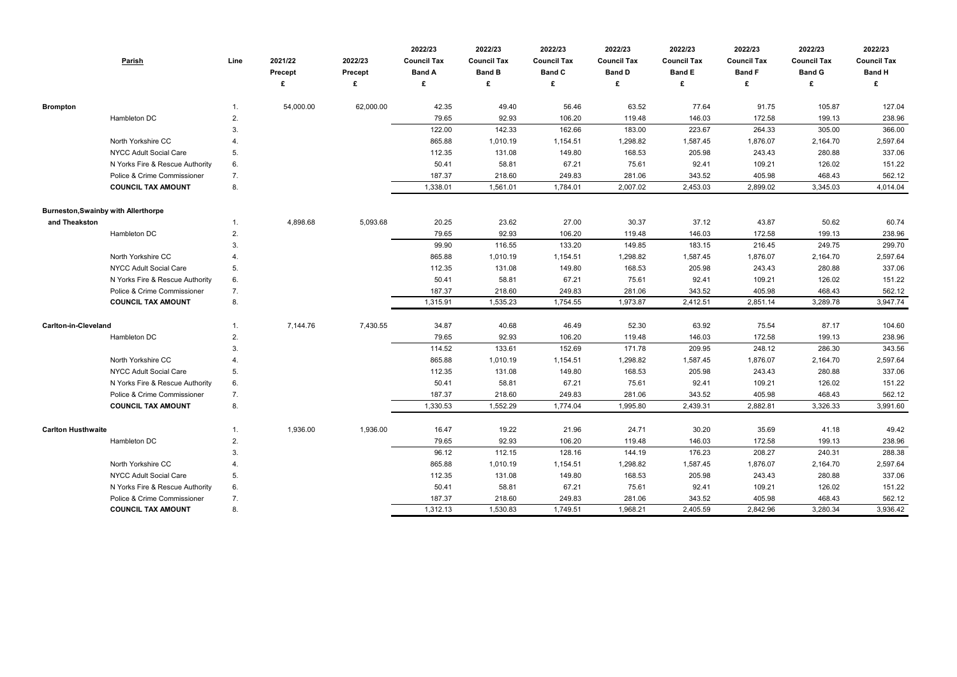|                                            | Parish                          | Line        | 2021/22<br>Precept | 2022/23<br>Precept<br>£ | 2022/23<br><b>Council Tax</b><br><b>Band A</b><br>£ | 2022/23<br><b>Council Tax</b><br><b>Band B</b><br>£ | 2022/23<br><b>Council Tax</b><br><b>Band C</b><br>£ | 2022/23<br><b>Council Tax</b><br><b>Band D</b> | 2022/23<br><b>Council Tax</b><br><b>Band E</b><br>£ | 2022/23<br><b>Council Tax</b><br><b>Band F</b><br>£ | 2022/23<br><b>Council Tax</b><br><b>Band G</b><br>£ | 2022/23<br><b>Council Tax</b><br><b>Band H</b><br>£ |
|--------------------------------------------|---------------------------------|-------------|--------------------|-------------------------|-----------------------------------------------------|-----------------------------------------------------|-----------------------------------------------------|------------------------------------------------|-----------------------------------------------------|-----------------------------------------------------|-----------------------------------------------------|-----------------------------------------------------|
| <b>Brompton</b>                            |                                 | 1.          | 54,000.00          | 62,000.00               | 42.35                                               | 49.40                                               | 56.46                                               | 63.52                                          | 77.64                                               | 91.75                                               | 105.87                                              | 127.04                                              |
|                                            | Hambleton DC                    | 2.          |                    |                         | 79.65                                               | 92.93                                               | 106.20                                              | 119.48                                         | 146.03                                              | 172.58                                              | 199.13                                              | 238.96                                              |
|                                            |                                 | 3.          |                    |                         | 122.00                                              | 142.33                                              | 162.66                                              | 183.00                                         | 223.67                                              | 264.33                                              | 305.00                                              | 366.00                                              |
|                                            | North Yorkshire CC              |             |                    |                         | 865.88                                              | 1,010.19                                            | 1,154.51                                            | 1,298.82                                       | 1,587.45                                            | 1,876.07                                            | 2,164.70                                            | 2,597.64                                            |
|                                            | NYCC Adult Social Care          | 5.          |                    |                         | 112.35                                              | 131.08                                              | 149.80                                              | 168.53                                         | 205.98                                              | 243.43                                              | 280.88                                              | 337.06                                              |
|                                            | N Yorks Fire & Rescue Authority | 6.          |                    |                         | 50.41                                               | 58.81                                               | 67.21                                               | 75.61                                          | 92.41                                               | 109.21                                              | 126.02                                              | 151.22                                              |
|                                            | Police & Crime Commissioner     | 7.          |                    |                         | 187.37                                              | 218.60                                              | 249.83                                              | 281.06                                         | 343.52                                              | 405.98                                              | 468.43                                              | 562.12                                              |
|                                            | <b>COUNCIL TAX AMOUNT</b>       | 8.          |                    |                         | 1,338.01                                            | 1,561.01                                            | 1,784.01                                            | 2,007.02                                       | 2,453.03                                            | 2,899.02                                            | 3,345.03                                            | 4,014.04                                            |
| <b>Burneston, Swainby with Allerthorpe</b> |                                 |             |                    |                         |                                                     |                                                     |                                                     |                                                |                                                     |                                                     |                                                     |                                                     |
| and Theakston                              |                                 | 1.          | 4,898.68           | 5,093.68                | 20.25                                               | 23.62                                               | 27.00                                               | 30.37                                          | 37.12                                               | 43.87                                               | 50.62                                               | 60.74                                               |
|                                            | Hambleton DC                    | 2.          |                    |                         | 79.65                                               | 92.93                                               | 106.20                                              | 119.48                                         | 146.03                                              | 172.58                                              | 199.13                                              | 238.96                                              |
|                                            |                                 | 3.          |                    |                         | 99.90                                               | 116.55                                              | 133.20                                              | 149.85                                         | 183.15                                              | 216.45                                              | 249.75                                              | 299.70                                              |
|                                            | North Yorkshire CC              |             |                    |                         | 865.88                                              | 1,010.19                                            | 1,154.51                                            | 1,298.82                                       | 1,587.45                                            | 1,876.07                                            | 2,164.70                                            | 2,597.64                                            |
|                                            | NYCC Adult Social Care          | 5.          |                    |                         | 112.35                                              | 131.08                                              | 149.80                                              | 168.53                                         | 205.98                                              | 243.43                                              | 280.88                                              | 337.06                                              |
|                                            | N Yorks Fire & Rescue Authority | 6.          |                    |                         | 50.41                                               | 58.81                                               | 67.21                                               | 75.61                                          | 92.41                                               | 109.21                                              | 126.02                                              | 151.22                                              |
|                                            | Police & Crime Commissioner     | 7.          |                    |                         | 187.37                                              | 218.60                                              | 249.83                                              | 281.06                                         | 343.52                                              | 405.98                                              | 468.43                                              | 562.12                                              |
|                                            | <b>COUNCIL TAX AMOUNT</b>       | 8.          |                    |                         | 1,315.91                                            | 1,535.23                                            | 1,754.55                                            | 1,973.87                                       | 2,412.51                                            | 2,851.14                                            | 3,289.78                                            | 3,947.74                                            |
| <b>Carlton-in-Cleveland</b>                |                                 | $1_{\cdot}$ | 7,144.76           | 7,430.55                | 34.87                                               | 40.68                                               | 46.49                                               | 52.30                                          | 63.92                                               | 75.54                                               | 87.17                                               | 104.60                                              |
|                                            | Hambleton DC                    | 2.          |                    |                         | 79.65                                               | 92.93                                               | 106.20                                              | 119.48                                         | 146.03                                              | 172.58                                              | 199.13                                              | 238.96                                              |
|                                            |                                 | 3.          |                    |                         | 114.52                                              | 133.61                                              | 152.69                                              | 171.78                                         | 209.95                                              | 248.12                                              | 286.30                                              | 343.56                                              |
|                                            | North Yorkshire CC              |             |                    |                         | 865.88                                              | 1,010.19                                            | 1,154.51                                            | 1,298.82                                       | 1,587.45                                            | 1,876.07                                            | 2,164.70                                            | 2,597.64                                            |
|                                            | NYCC Adult Social Care          | 5.          |                    |                         | 112.35                                              | 131.08                                              | 149.80                                              | 168.53                                         | 205.98                                              | 243.43                                              | 280.88                                              | 337.06                                              |
|                                            | N Yorks Fire & Rescue Authority | 6.          |                    |                         | 50.41                                               | 58.81                                               | 67.21                                               | 75.61                                          | 92.41                                               | 109.21                                              | 126.02                                              | 151.22                                              |
|                                            | Police & Crime Commissioner     | 7.          |                    |                         | 187.37                                              | 218.60                                              | 249.83                                              | 281.06                                         | 343.52                                              | 405.98                                              | 468.43                                              | 562.12                                              |
|                                            | <b>COUNCIL TAX AMOUNT</b>       | 8.          |                    |                         | 1,330.53                                            | 1,552.29                                            | 1,774.04                                            | 1,995.80                                       | 2,439.31                                            | 2,882.81                                            | 3,326.33                                            | 3,991.60                                            |
| <b>Carlton Husthwaite</b>                  |                                 | $1_{\cdot}$ | 1,936.00           | 1,936.00                | 16.47                                               | 19.22                                               | 21.96                                               | 24.71                                          | 30.20                                               | 35.69                                               | 41.18                                               | 49.42                                               |
|                                            | Hambleton DC                    | 2.          |                    |                         | 79.65                                               | 92.93                                               | 106.20                                              | 119.48                                         | 146.03                                              | 172.58                                              | 199.13                                              | 238.96                                              |
|                                            |                                 | 3.          |                    |                         | 96.12                                               | 112.15                                              | 128.16                                              | 144.19                                         | 176.23                                              | 208.27                                              | 240.31                                              | 288.38                                              |
|                                            | North Yorkshire CC              | 4.          |                    |                         | 865.88                                              | 1,010.19                                            | 1,154.51                                            | 1,298.82                                       | 1,587.45                                            | 1,876.07                                            | 2,164.70                                            | 2,597.64                                            |
|                                            | NYCC Adult Social Care          | 5.          |                    |                         | 112.35                                              | 131.08                                              | 149.80                                              | 168.53                                         | 205.98                                              | 243.43                                              | 280.88                                              | 337.06                                              |
|                                            | N Yorks Fire & Rescue Authority | 6.          |                    |                         | 50.41                                               | 58.81                                               | 67.21                                               | 75.61                                          | 92.41                                               | 109.21                                              | 126.02                                              | 151.22                                              |
|                                            | Police & Crime Commissioner     | 7.          |                    |                         | 187.37                                              | 218.60                                              | 249.83                                              | 281.06                                         | 343.52                                              | 405.98                                              | 468.43                                              | 562.12                                              |
|                                            | <b>COUNCIL TAX AMOUNT</b>       | 8.          |                    |                         | 1,312.13                                            | 1,530.83                                            | 1,749.51                                            | 1,968.21                                       | 2,405.59                                            | 2,842.96                                            | 3,280.34                                            | 3,936.42                                            |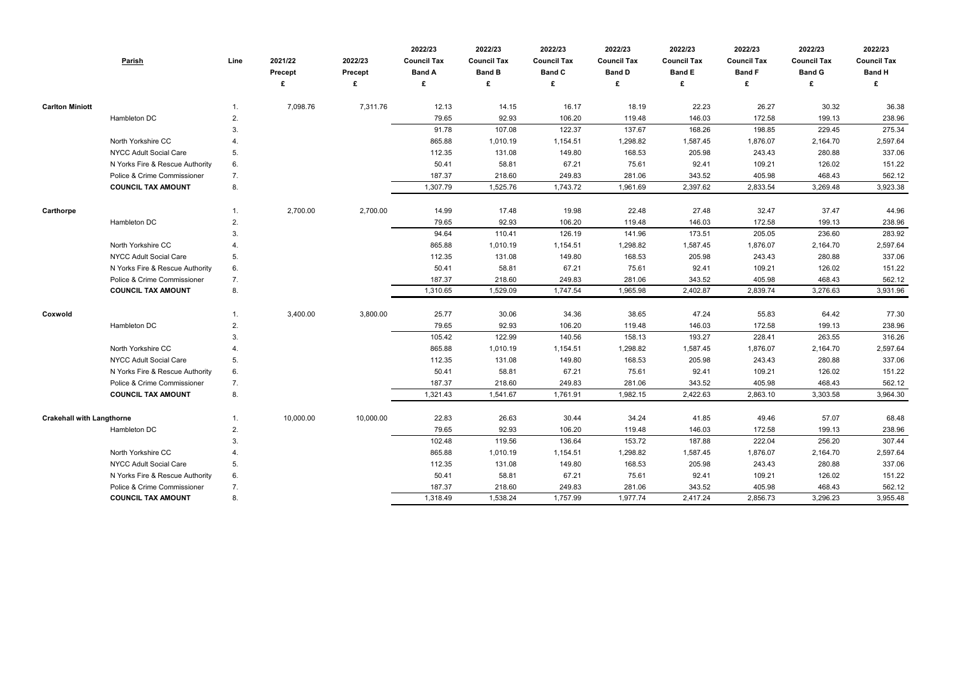|                                  | <b>Parish</b>                   | Line | 2021/22<br>Precept | 2022/23<br>Precept<br>£ | 2022/23<br><b>Council Tax</b><br><b>Band A</b><br>£ | 2022/23<br><b>Council Tax</b><br><b>Band B</b><br>£ | 2022/23<br><b>Council Tax</b><br><b>Band C</b> | 2022/23<br><b>Council Tax</b><br><b>Band D</b> | 2022/23<br><b>Council Tax</b><br><b>Band E</b><br>£ | 2022/23<br><b>Council Tax</b><br><b>Band F</b><br>£ | 2022/23<br><b>Council Tax</b><br><b>Band G</b><br>£ | 2022/23<br><b>Council Tax</b><br><b>Band H</b><br>£ |
|----------------------------------|---------------------------------|------|--------------------|-------------------------|-----------------------------------------------------|-----------------------------------------------------|------------------------------------------------|------------------------------------------------|-----------------------------------------------------|-----------------------------------------------------|-----------------------------------------------------|-----------------------------------------------------|
|                                  |                                 |      |                    |                         |                                                     |                                                     |                                                |                                                |                                                     |                                                     |                                                     |                                                     |
| <b>Carlton Miniott</b>           |                                 |      | 7,098.76           | 7,311.76                | 12.13                                               | 14.15                                               | 16.17                                          | 18.19                                          | 22.23                                               | 26.27                                               | 30.32                                               | 36.38                                               |
|                                  | Hambleton DC                    | 2.   |                    |                         | 79.65                                               | 92.93                                               | 106.20                                         | 119.48                                         | 146.03                                              | 172.58                                              | 199.13                                              | 238.96                                              |
|                                  |                                 | 3.   |                    |                         | 91.78                                               | 107.08                                              | 122.37                                         | 137.67                                         | 168.26                                              | 198.85                                              | 229.45                                              | 275.34                                              |
|                                  | North Yorkshire CC              |      |                    |                         | 865.88                                              | 1,010.19                                            | 1,154.51                                       | 1,298.82                                       | 1,587.45                                            | 1,876.07                                            | 2,164.70                                            | 2,597.64                                            |
|                                  | <b>NYCC Adult Social Care</b>   | 5.   |                    |                         | 112.35                                              | 131.08                                              | 149.80                                         | 168.53                                         | 205.98                                              | 243.43                                              | 280.88                                              | 337.06                                              |
|                                  | N Yorks Fire & Rescue Authority | 6.   |                    |                         | 50.41                                               | 58.81                                               | 67.21                                          | 75.61                                          | 92.41                                               | 109.21                                              | 126.02                                              | 151.22                                              |
|                                  | Police & Crime Commissioner     | 7.   |                    |                         | 187.37                                              | 218.60                                              | 249.83                                         | 281.06                                         | 343.52                                              | 405.98                                              | 468.43                                              | 562.12                                              |
|                                  | <b>COUNCIL TAX AMOUNT</b>       | 8.   |                    |                         | 1,307.79                                            | 1,525.76                                            | 1,743.72                                       | 1,961.69                                       | 2,397.62                                            | 2,833.54                                            | 3,269.48                                            | 3,923.38                                            |
| Carthorpe                        |                                 |      | 2,700.00           | 2,700.00                | 14.99                                               | 17.48                                               | 19.98                                          | 22.48                                          | 27.48                                               | 32.47                                               | 37.47                                               | 44.96                                               |
|                                  | Hambleton DC                    | 2.   |                    |                         | 79.65                                               | 92.93                                               | 106.20                                         | 119.48                                         | 146.03                                              | 172.58                                              | 199.13                                              | 238.96                                              |
|                                  |                                 | 3.   |                    |                         | 94.64                                               | 110.41                                              | 126.19                                         | 141.96                                         | 173.51                                              | 205.05                                              | 236.60                                              | 283.92                                              |
|                                  | North Yorkshire CC              |      |                    |                         | 865.88                                              | 1,010.19                                            | 1,154.51                                       | 1,298.82                                       | 1,587.45                                            | 1,876.07                                            | 2,164.70                                            | 2,597.64                                            |
|                                  | NYCC Adult Social Care          | 5.   |                    |                         | 112.35                                              | 131.08                                              | 149.80                                         | 168.53                                         | 205.98                                              | 243.43                                              | 280.88                                              | 337.06                                              |
|                                  | N Yorks Fire & Rescue Authority | 6.   |                    |                         | 50.41                                               | 58.81                                               | 67.21                                          | 75.61                                          | 92.41                                               | 109.21                                              | 126.02                                              | 151.22                                              |
|                                  | Police & Crime Commissioner     | 7.   |                    |                         | 187.37                                              | 218.60                                              | 249.83                                         | 281.06                                         | 343.52                                              | 405.98                                              | 468.43                                              | 562.12                                              |
|                                  | <b>COUNCIL TAX AMOUNT</b>       | 8.   |                    |                         | 1,310.65                                            | 1,529.09                                            | 1,747.54                                       | 1,965.98                                       | 2,402.87                                            | 2,839.74                                            | 3,276.63                                            | 3,931.96                                            |
| Coxwold                          |                                 |      | 3,400.00           | 3,800.00                | 25.77                                               | 30.06                                               | 34.36                                          | 38.65                                          | 47.24                                               | 55.83                                               | 64.42                                               | 77.30                                               |
|                                  | Hambleton DC                    | 2.   |                    |                         | 79.65                                               | 92.93                                               | 106.20                                         | 119.48                                         | 146.03                                              | 172.58                                              | 199.13                                              | 238.96                                              |
|                                  |                                 | 3.   |                    |                         | 105.42                                              | 122.99                                              | 140.56                                         | 158.13                                         | 193.27                                              | 228.41                                              | 263.55                                              | 316.26                                              |
|                                  | North Yorkshire CC              |      |                    |                         | 865.88                                              | 1,010.19                                            | 1,154.51                                       | 1,298.82                                       | 1,587.45                                            | 1,876.07                                            | 2,164.70                                            | 2,597.64                                            |
|                                  | <b>NYCC Adult Social Care</b>   | 5.   |                    |                         | 112.35                                              | 131.08                                              | 149.80                                         | 168.53                                         | 205.98                                              | 243.43                                              | 280.88                                              | 337.06                                              |
|                                  | N Yorks Fire & Rescue Authority | 6.   |                    |                         | 50.41                                               | 58.81                                               | 67.21                                          | 75.61                                          | 92.41                                               | 109.21                                              | 126.02                                              | 151.22                                              |
|                                  | Police & Crime Commissioner     | 7.   |                    |                         | 187.37                                              | 218.60                                              | 249.83                                         | 281.06                                         | 343.52                                              | 405.98                                              | 468.43                                              | 562.12                                              |
|                                  | <b>COUNCIL TAX AMOUNT</b>       | 8.   |                    |                         | 1,321.43                                            | 1,541.67                                            | 1,761.91                                       | 1,982.15                                       | 2,422.63                                            | 2,863.10                                            | 3,303.58                                            | 3,964.30                                            |
| <b>Crakehall with Langthorne</b> |                                 |      | 10,000.00          | 10,000.00               | 22.83                                               | 26.63                                               | 30.44                                          | 34.24                                          | 41.85                                               | 49.46                                               | 57.07                                               | 68.48                                               |
|                                  | Hambleton DC                    | 2.   |                    |                         | 79.65                                               | 92.93                                               | 106.20                                         | 119.48                                         | 146.03                                              | 172.58                                              | 199.13                                              | 238.96                                              |
|                                  |                                 | 3.   |                    |                         | 102.48                                              | 119.56                                              | 136.64                                         | 153.72                                         | 187.88                                              | 222.04                                              | 256.20                                              | 307.44                                              |
|                                  | North Yorkshire CC              | 4.   |                    |                         | 865.88                                              | 1,010.19                                            | 1,154.51                                       | 1,298.82                                       | 1,587.45                                            | 1,876.07                                            | 2,164.70                                            | 2,597.64                                            |
|                                  | <b>NYCC Adult Social Care</b>   | 5.   |                    |                         | 112.35                                              | 131.08                                              | 149.80                                         | 168.53                                         | 205.98                                              | 243.43                                              | 280.88                                              | 337.06                                              |
|                                  | N Yorks Fire & Rescue Authority | 6.   |                    |                         | 50.41                                               | 58.81                                               | 67.21                                          | 75.61                                          | 92.41                                               | 109.21                                              | 126.02                                              | 151.22                                              |
|                                  | Police & Crime Commissioner     | 7.   |                    |                         | 187.37                                              | 218.60                                              | 249.83                                         | 281.06                                         | 343.52                                              | 405.98                                              | 468.43                                              | 562.12                                              |
|                                  | <b>COUNCIL TAX AMOUNT</b>       | 8.   |                    |                         | 1,318.49                                            | 1,538.24                                            | 1,757.99                                       | 1,977.74                                       | 2,417.24                                            | 2,856.73                                            | 3,296.23                                            | 3,955.48                                            |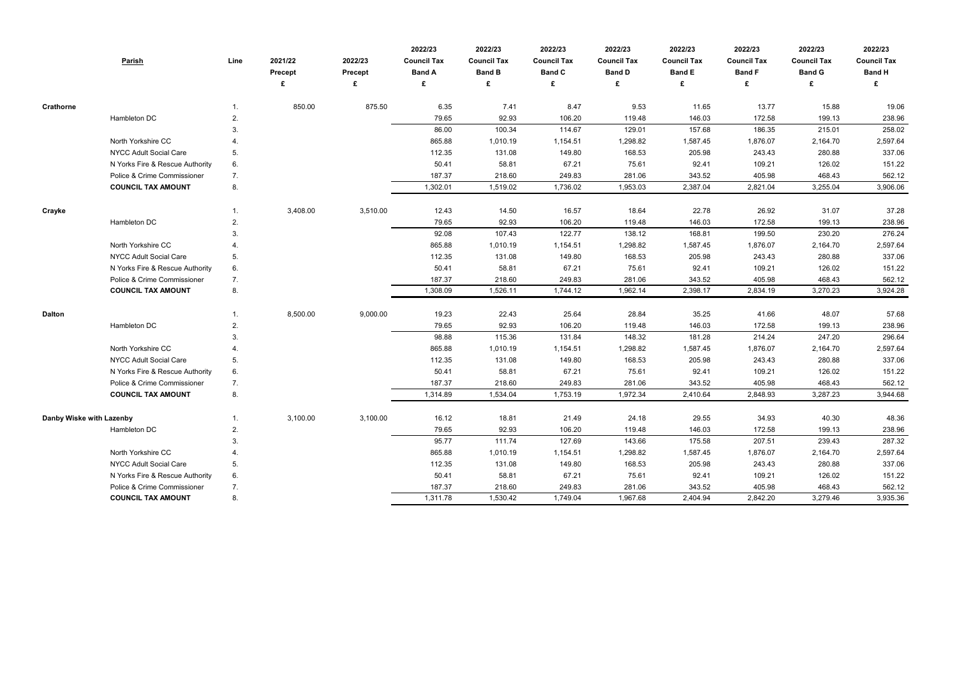|                          | <b>Parish</b>                   | Line        | 2021/22<br><b>Precept</b> | 2022/23<br><b>Precept</b> | 2022/23<br><b>Council Tax</b><br><b>Band A</b> | 2022/23<br><b>Council Tax</b><br><b>Band B</b> | 2022/23<br><b>Council Tax</b><br><b>Band C</b> | 2022/23<br><b>Council Tax</b><br><b>Band D</b> | 2022/23<br><b>Council Tax</b><br><b>Band E</b> | 2022/23<br><b>Council Tax</b><br><b>Band F</b> | 2022/23<br><b>Council Tax</b><br><b>Band G</b> | 2022/23<br><b>Council Tax</b><br><b>Band H</b> |
|--------------------------|---------------------------------|-------------|---------------------------|---------------------------|------------------------------------------------|------------------------------------------------|------------------------------------------------|------------------------------------------------|------------------------------------------------|------------------------------------------------|------------------------------------------------|------------------------------------------------|
|                          |                                 |             |                           | £                         | £                                              | £                                              | £                                              |                                                | £                                              | £                                              | £                                              |                                                |
| <b>Crathorne</b>         |                                 | $1_{\cdot}$ | 850.00                    | 875.50                    | 6.35                                           | 7.41                                           | 8.47                                           | 9.53                                           | 11.65                                          | 13.77                                          | 15.88                                          | 19.06                                          |
|                          | Hambleton DC                    | 2.          |                           |                           | 79.65                                          | 92.93                                          | 106.20                                         | 119.48                                         | 146.03                                         | 172.58                                         | 199.13                                         | 238.96                                         |
|                          |                                 | 3.          |                           |                           | 86.00                                          | 100.34                                         | 114.67                                         | 129.01                                         | 157.68                                         | 186.35                                         | 215.01                                         | 258.02                                         |
|                          | North Yorkshire CC              |             |                           |                           | 865.88                                         | 1,010.19                                       | 1,154.51                                       | 1,298.82                                       | 1,587.45                                       | 1,876.07                                       | 2,164.70                                       | 2,597.64                                       |
|                          | NYCC Adult Social Care          | 5.          |                           |                           | 112.35                                         | 131.08                                         | 149.80                                         | 168.53                                         | 205.98                                         | 243.43                                         | 280.88                                         | 337.06                                         |
|                          | N Yorks Fire & Rescue Authority | 6.          |                           |                           | 50.41                                          | 58.81                                          | 67.21                                          | 75.61                                          | 92.41                                          | 109.21                                         | 126.02                                         | 151.22                                         |
|                          | Police & Crime Commissioner     | 7.          |                           |                           | 187.37                                         | 218.60                                         | 249.83                                         | 281.06                                         | 343.52                                         | 405.98                                         | 468.43                                         | 562.12                                         |
|                          | <b>COUNCIL TAX AMOUNT</b>       | 8.          |                           |                           | 1,302.01                                       | 1,519.02                                       | 1,736.02                                       | 1,953.03                                       | 2,387.04                                       | 2,821.04                                       | 3,255.04                                       | 3,906.06                                       |
| Crayke                   |                                 | $1_{\cdot}$ | 3,408.00                  | 3,510.00                  | 12.43                                          | 14.50                                          | 16.57                                          | 18.64                                          | 22.78                                          | 26.92                                          | 31.07                                          | 37.28                                          |
|                          | Hambleton DC                    | 2.          |                           |                           | 79.65                                          | 92.93                                          | 106.20                                         | 119.48                                         | 146.03                                         | 172.58                                         | 199.13                                         | 238.96                                         |
|                          |                                 | 3.          |                           |                           | 92.08                                          | 107.43                                         | 122.77                                         | 138.12                                         | 168.81                                         | 199.50                                         | 230.20                                         | 276.24                                         |
|                          | North Yorkshire CC              |             |                           |                           | 865.88                                         | 1,010.19                                       | 1,154.51                                       | 1,298.82                                       | 1,587.45                                       | 1,876.07                                       | 2,164.70                                       | 2,597.64                                       |
|                          | NYCC Adult Social Care          | 5.          |                           |                           | 112.35                                         | 131.08                                         | 149.80                                         | 168.53                                         | 205.98                                         | 243.43                                         | 280.88                                         | 337.06                                         |
|                          | N Yorks Fire & Rescue Authority | 6.          |                           |                           | 50.41                                          | 58.81                                          | 67.21                                          | 75.61                                          | 92.41                                          | 109.21                                         | 126.02                                         | 151.22                                         |
|                          | Police & Crime Commissioner     | 7.          |                           |                           | 187.37                                         | 218.60                                         | 249.83                                         | 281.06                                         | 343.52                                         | 405.98                                         | 468.43                                         | 562.12                                         |
|                          | <b>COUNCIL TAX AMOUNT</b>       | 8.          |                           |                           | 1,308.09                                       | 1,526.11                                       | 1,744.12                                       | 1,962.14                                       | 2,398.17                                       | 2,834.19                                       | 3,270.23                                       | 3,924.28                                       |
| <b>Dalton</b>            |                                 | 1.          | 8,500.00                  | 9,000.00                  | 19.23                                          | 22.43                                          | 25.64                                          | 28.84                                          | 35.25                                          | 41.66                                          | 48.07                                          | 57.68                                          |
|                          | Hambleton DC                    | 2.          |                           |                           | 79.65                                          | 92.93                                          | 106.20                                         | 119.48                                         | 146.03                                         | 172.58                                         | 199.13                                         | 238.96                                         |
|                          |                                 | 3.          |                           |                           | 98.88                                          | 115.36                                         | 131.84                                         | 148.32                                         | 181.28                                         | 214.24                                         | 247.20                                         | 296.64                                         |
|                          | North Yorkshire CC              |             |                           |                           | 865.88                                         | 1,010.19                                       | 1,154.51                                       | 1,298.82                                       | 1,587.45                                       | 1,876.07                                       | 2,164.70                                       | 2,597.64                                       |
|                          | NYCC Adult Social Care          | 5.          |                           |                           | 112.35                                         | 131.08                                         | 149.80                                         | 168.53                                         | 205.98                                         | 243.43                                         | 280.88                                         | 337.06                                         |
|                          | N Yorks Fire & Rescue Authority | 6.          |                           |                           | 50.41                                          | 58.81                                          | 67.21                                          | 75.61                                          | 92.41                                          | 109.21                                         | 126.02                                         | 151.22                                         |
|                          | Police & Crime Commissioner     | 7.          |                           |                           | 187.37                                         | 218.60                                         | 249.83                                         | 281.06                                         | 343.52                                         | 405.98                                         | 468.43                                         | 562.12                                         |
|                          | <b>COUNCIL TAX AMOUNT</b>       | 8.          |                           |                           | 1,314.89                                       | 1,534.04                                       | 1,753.19                                       | 1,972.34                                       | 2,410.64                                       | 2,848.93                                       | 3,287.23                                       | 3,944.68                                       |
| Danby Wiske with Lazenby |                                 | 1.          | 3,100.00                  | 3,100.00                  | 16.12                                          | 18.81                                          | 21.49                                          | 24.18                                          | 29.55                                          | 34.93                                          | 40.30                                          | 48.36                                          |
|                          | Hambleton DC                    | 2.          |                           |                           | 79.65                                          | 92.93                                          | 106.20                                         | 119.48                                         | 146.03                                         | 172.58                                         | 199.13                                         | 238.96                                         |
|                          |                                 | 3.          |                           |                           | 95.77                                          | 111.74                                         | 127.69                                         | 143.66                                         | 175.58                                         | 207.51                                         | 239.43                                         | 287.32                                         |
|                          | North Yorkshire CC              | 4.          |                           |                           | 865.88                                         | 1,010.19                                       | 1,154.51                                       | 1,298.82                                       | 1,587.45                                       | 1,876.07                                       | 2,164.70                                       | 2,597.64                                       |
|                          | NYCC Adult Social Care          | 5.          |                           |                           | 112.35                                         | 131.08                                         | 149.80                                         | 168.53                                         | 205.98                                         | 243.43                                         | 280.88                                         | 337.06                                         |
|                          | N Yorks Fire & Rescue Authority | 6.          |                           |                           | 50.41                                          | 58.81                                          | 67.21                                          | 75.61                                          | 92.41                                          | 109.21                                         | 126.02                                         | 151.22                                         |
|                          | Police & Crime Commissioner     | 7.          |                           |                           | 187.37                                         | 218.60                                         | 249.83                                         | 281.06                                         | 343.52                                         | 405.98                                         | 468.43                                         | 562.12                                         |
|                          | <b>COUNCIL TAX AMOUNT</b>       | 8.          |                           |                           | 1,311.78                                       | 1,530.42                                       | 1,749.04                                       | 1,967.68                                       | 2,404.94                                       | 2,842.20                                       | 3,279.46                                       | 3,935.36                                       |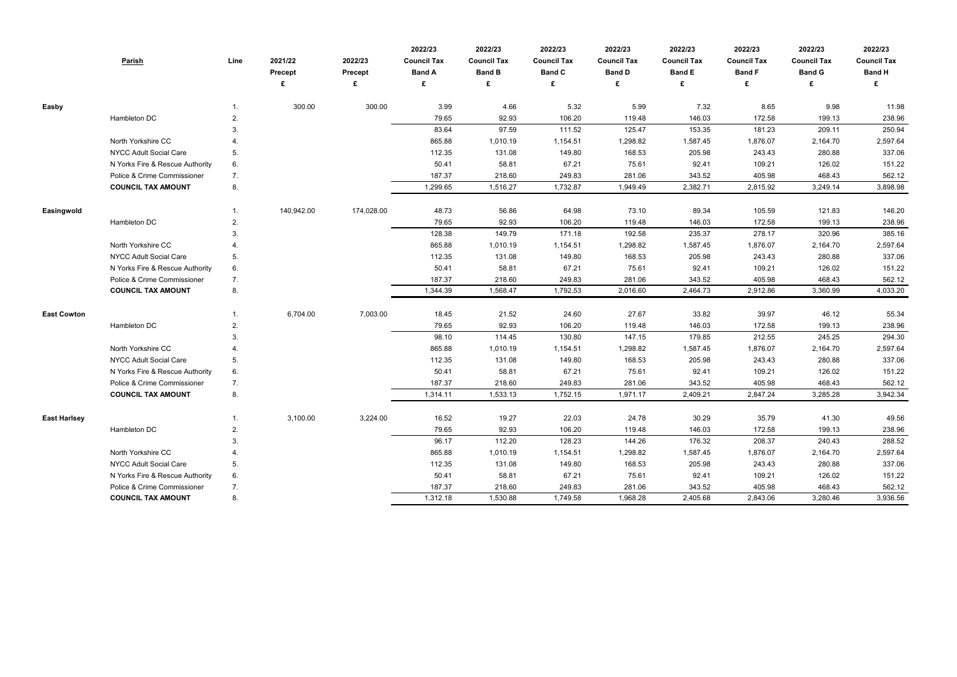|                     | <b>Parish</b>                   | Line | 2021/22<br><b>Precept</b><br>£ | 2022/23<br><b>Precept</b><br>£ | 2022/23<br><b>Council Tax</b><br><b>Band A</b><br>£ | 2022/23<br><b>Council Tax</b><br><b>Band B</b><br>£ | 2022/23<br><b>Council Tax</b><br><b>Band C</b><br>£ | 2022/23<br><b>Council Tax</b><br><b>Band D</b> | 2022/23<br><b>Council Tax</b><br><b>Band E</b><br>£ | 2022/23<br><b>Council Tax</b><br><b>Band F</b><br>£ | 2022/23<br><b>Council Tax</b><br><b>Band G</b><br>£ | 2022/23<br><b>Council Tax</b><br><b>Band H</b><br>£ |
|---------------------|---------------------------------|------|--------------------------------|--------------------------------|-----------------------------------------------------|-----------------------------------------------------|-----------------------------------------------------|------------------------------------------------|-----------------------------------------------------|-----------------------------------------------------|-----------------------------------------------------|-----------------------------------------------------|
| Easby               |                                 |      | 300.00                         | 300.00                         | 3.99                                                | 4.66                                                | 5.32                                                | 5.99                                           | 7.32                                                | 8.65                                                | 9.98                                                | 11.98                                               |
|                     | Hambleton DC                    | 2.   |                                |                                | 79.65                                               | 92.93                                               | 106.20                                              | 119.48                                         | 146.03                                              | 172.58                                              | 199.13                                              | 238.96                                              |
|                     |                                 | 3.   |                                |                                | 83.64                                               | 97.59                                               | 111.52                                              | 125.47                                         | 153.35                                              | 181.23                                              | 209.11                                              | 250.94                                              |
|                     | North Yorkshire CC              |      |                                |                                | 865.88                                              | 1,010.19                                            | 1,154.51                                            | 1,298.82                                       | 1,587.45                                            | 1,876.07                                            | 2,164.70                                            | 2,597.64                                            |
|                     | NYCC Adult Social Care          | 5.   |                                |                                | 112.35                                              | 131.08                                              | 149.80                                              | 168.53                                         | 205.98                                              | 243.43                                              | 280.88                                              | 337.06                                              |
|                     | N Yorks Fire & Rescue Authority | 6.   |                                |                                | 50.41                                               | 58.81                                               | 67.21                                               | 75.61                                          | 92.41                                               | 109.21                                              | 126.02                                              | 151.22                                              |
|                     | Police & Crime Commissioner     | 7.   |                                |                                | 187.37                                              | 218.60                                              | 249.83                                              | 281.06                                         | 343.52                                              | 405.98                                              | 468.43                                              | 562.12                                              |
|                     | <b>COUNCIL TAX AMOUNT</b>       | 8.   |                                |                                | 1,299.65                                            | 1,516.27                                            | 1,732.87                                            | 1,949.49                                       | 2,382.71                                            | 2,815.92                                            | 3,249.14                                            | 3,898.98                                            |
| Easingwold          |                                 |      | 140,942.00                     | 174,028.00                     | 48.73                                               | 56.86                                               | 64.98                                               | 73.10                                          | 89.34                                               | 105.59                                              | 121.83                                              | 146.20                                              |
|                     | Hambleton DC                    | 2.   |                                |                                | 79.65                                               | 92.93                                               | 106.20                                              | 119.48                                         | 146.03                                              | 172.58                                              | 199.13                                              | 238.96                                              |
|                     |                                 | 3.   |                                |                                | 128.38                                              | 149.79                                              | 171.18                                              | 192.58                                         | 235.37                                              | 278.17                                              | 320.96                                              | 385.16                                              |
|                     | North Yorkshire CC              |      |                                |                                | 865.88                                              | 1,010.19                                            | 1,154.51                                            | 1,298.82                                       | 1,587.45                                            | 1,876.07                                            | 2,164.70                                            | 2,597.64                                            |
|                     | NYCC Adult Social Care          | 5.   |                                |                                | 112.35                                              | 131.08                                              | 149.80                                              | 168.53                                         | 205.98                                              | 243.43                                              | 280.88                                              | 337.06                                              |
|                     | N Yorks Fire & Rescue Authority | 6.   |                                |                                | 50.41                                               | 58.81                                               | 67.21                                               | 75.61                                          | 92.41                                               | 109.21                                              | 126.02                                              | 151.22                                              |
|                     | Police & Crime Commissioner     | 7.   |                                |                                | 187.37                                              | 218.60                                              | 249.83                                              | 281.06                                         | 343.52                                              | 405.98                                              | 468.43                                              | 562.12                                              |
|                     | <b>COUNCIL TAX AMOUNT</b>       | 8.   |                                |                                | 1,344.39                                            | 1,568.47                                            | 1,792.53                                            | 2,016.60                                       | 2,464.73                                            | 2,912.86                                            | 3,360.99                                            | 4,033.20                                            |
| <b>East Cowton</b>  |                                 |      | 6,704.00                       | 7,003.00                       | 18.45                                               | 21.52                                               | 24.60                                               | 27.67                                          | 33.82                                               | 39.97                                               | 46.12                                               | 55.34                                               |
|                     | Hambleton DC                    | 2.   |                                |                                | 79.65                                               | 92.93                                               | 106.20                                              | 119.48                                         | 146.03                                              | 172.58                                              | 199.13                                              | 238.96                                              |
|                     |                                 | 3.   |                                |                                | 98.10                                               | 114.45                                              | 130.80                                              | 147.15                                         | 179.85                                              | 212.55                                              | 245.25                                              | 294.30                                              |
|                     | North Yorkshire CC              |      |                                |                                | 865.88                                              | 1,010.19                                            | 1,154.51                                            | 1,298.82                                       | 1,587.45                                            | 1,876.07                                            | 2,164.70                                            | 2,597.64                                            |
|                     | NYCC Adult Social Care          | 5.   |                                |                                | 112.35                                              | 131.08                                              | 149.80                                              | 168.53                                         | 205.98                                              | 243.43                                              | 280.88                                              | 337.06                                              |
|                     | N Yorks Fire & Rescue Authority | 6.   |                                |                                | 50.41                                               | 58.81                                               | 67.21                                               | 75.61                                          | 92.41                                               | 109.21                                              | 126.02                                              | 151.22                                              |
|                     | Police & Crime Commissioner     | 7.   |                                |                                | 187.37                                              | 218.60                                              | 249.83                                              | 281.06                                         | 343.52                                              | 405.98                                              | 468.43                                              | 562.12                                              |
|                     | <b>COUNCIL TAX AMOUNT</b>       | 8.   |                                |                                | 1,314.11                                            | 1,533.13                                            | 1,752.15                                            | 1,971.17                                       | 2,409.21                                            | 2,847.24                                            | 3,285.28                                            | 3,942.34                                            |
| <b>East Harlsey</b> |                                 |      | 3,100.00                       | 3,224.00                       | 16.52                                               | 19.27                                               | 22.03                                               | 24.78                                          | 30.29                                               | 35.79                                               | 41.30                                               | 49.56                                               |
|                     | Hambleton DC                    | 2.   |                                |                                | 79.65                                               | 92.93                                               | 106.20                                              | 119.48                                         | 146.03                                              | 172.58                                              | 199.13                                              | 238.96                                              |
|                     |                                 | 3.   |                                |                                | 96.17                                               | 112.20                                              | 128.23                                              | 144.26                                         | 176.32                                              | 208.37                                              | 240.43                                              | 288.52                                              |
|                     | North Yorkshire CC              | 4.   |                                |                                | 865.88                                              | 1,010.19                                            | 1,154.51                                            | 1,298.82                                       | 1,587.45                                            | 1,876.07                                            | 2,164.70                                            | 2,597.64                                            |
|                     | NYCC Adult Social Care          | 5.   |                                |                                | 112.35                                              | 131.08                                              | 149.80                                              | 168.53                                         | 205.98                                              | 243.43                                              | 280.88                                              | 337.06                                              |
|                     | N Yorks Fire & Rescue Authority | 6.   |                                |                                | 50.41                                               | 58.81                                               | 67.21                                               | 75.61                                          | 92.41                                               | 109.21                                              | 126.02                                              | 151.22                                              |
|                     | Police & Crime Commissioner     | 7.   |                                |                                | 187.37                                              | 218.60                                              | 249.83                                              | 281.06                                         | 343.52                                              | 405.98                                              | 468.43                                              | 562.12                                              |
|                     | <b>COUNCIL TAX AMOUNT</b>       | 8.   |                                |                                | 1,312.18                                            | 1,530.88                                            | 1,749.58                                            | 1,968.28                                       | 2,405.68                                            | 2,843.06                                            | 3,280.46                                            | 3,936.56                                            |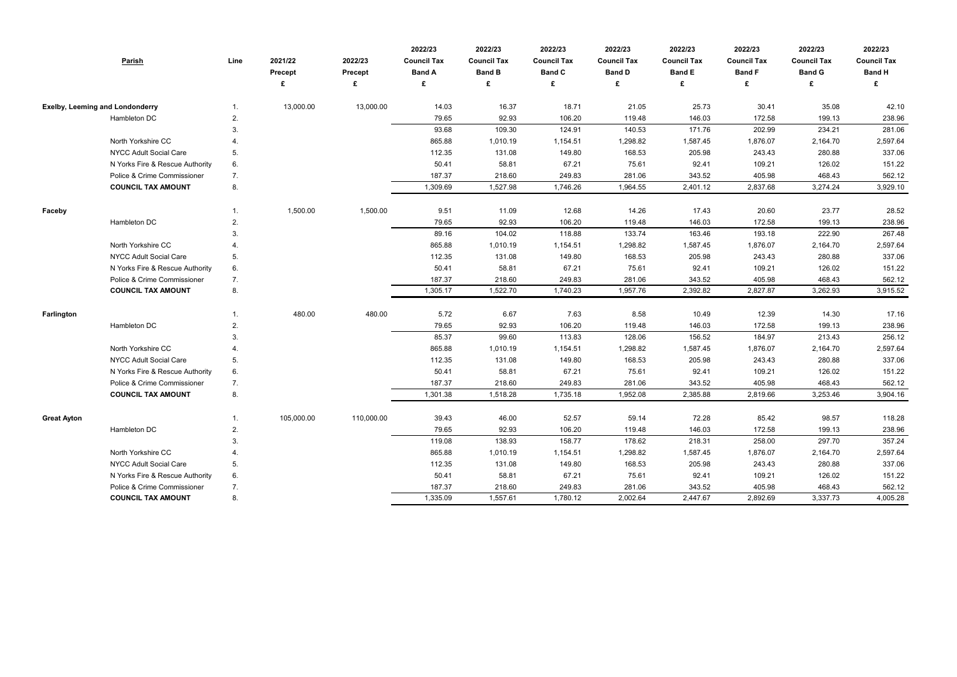| <b>Parish</b>                          |                                 | Line | 2021/22<br>Precept | 2022/23<br>Precept | 2022/23<br><b>Council Tax</b><br><b>Band A</b> | 2022/23<br><b>Council Tax</b><br><b>Band B</b> | 2022/23<br><b>Council Tax</b><br><b>Band C</b> | 2022/23<br><b>Council Tax</b><br><b>Band D</b> | 2022/23<br><b>Council Tax</b><br><b>Band E</b> | 2022/23<br><b>Council Tax</b><br><b>Band F</b> | 2022/23<br><b>Council Tax</b><br><b>Band G</b> | 2022/23<br><b>Council Tax</b><br><b>Band H</b> |
|----------------------------------------|---------------------------------|------|--------------------|--------------------|------------------------------------------------|------------------------------------------------|------------------------------------------------|------------------------------------------------|------------------------------------------------|------------------------------------------------|------------------------------------------------|------------------------------------------------|
|                                        |                                 |      |                    | £                  | £                                              | £                                              |                                                |                                                | £                                              | £                                              | £                                              | £                                              |
| <b>Exelby, Leeming and Londonderry</b> |                                 |      | 13,000.00          | 13,000.00          | 14.03                                          | 16.37                                          | 18.71                                          | 21.05                                          | 25.73                                          | 30.41                                          | 35.08                                          | 42.10                                          |
| Hambleton DC                           |                                 | 2.   |                    |                    | 79.65                                          | 92.93                                          | 106.20                                         | 119.48                                         | 146.03                                         | 172.58                                         | 199.13                                         | 238.96                                         |
|                                        |                                 | 3.   |                    |                    | 93.68                                          | 109.30                                         | 124.91                                         | 140.53                                         | 171.76                                         | 202.99                                         | 234.21                                         | 281.06                                         |
|                                        | North Yorkshire CC              |      |                    |                    | 865.88                                         | 1,010.19                                       | 1,154.51                                       | 1,298.82                                       | 1,587.45                                       | 1,876.07                                       | 2,164.70                                       | 2,597.64                                       |
|                                        | <b>NYCC Adult Social Care</b>   | 5.   |                    |                    | 112.35                                         | 131.08                                         | 149.80                                         | 168.53                                         | 205.98                                         | 243.43                                         | 280.88                                         | 337.06                                         |
|                                        | N Yorks Fire & Rescue Authority | 6.   |                    |                    | 50.41                                          | 58.81                                          | 67.21                                          | 75.61                                          | 92.41                                          | 109.21                                         | 126.02                                         | 151.22                                         |
|                                        | Police & Crime Commissioner     | 7.   |                    |                    | 187.37                                         | 218.60                                         | 249.83                                         | 281.06                                         | 343.52                                         | 405.98                                         | 468.43                                         | 562.12                                         |
|                                        | <b>COUNCIL TAX AMOUNT</b>       | 8.   |                    |                    | 1,309.69                                       | 1,527.98                                       | 1,746.26                                       | 1,964.55                                       | 2,401.12                                       | 2,837.68                                       | 3,274.24                                       | 3,929.10                                       |
| Faceby                                 |                                 |      | 1,500.00           | 1,500.00           | 9.51                                           | 11.09                                          | 12.68                                          | 14.26                                          | 17.43                                          | 20.60                                          | 23.77                                          | 28.52                                          |
| Hambleton DC                           |                                 | 2.   |                    |                    | 79.65                                          | 92.93                                          | 106.20                                         | 119.48                                         | 146.03                                         | 172.58                                         | 199.13                                         | 238.96                                         |
|                                        |                                 | 3.   |                    |                    | 89.16                                          | 104.02                                         | 118.88                                         | 133.74                                         | 163.46                                         | 193.18                                         | 222.90                                         | 267.48                                         |
|                                        | North Yorkshire CC              |      |                    |                    | 865.88                                         | 1,010.19                                       | 1,154.51                                       | 1,298.82                                       | 1,587.45                                       | 1,876.07                                       | 2,164.70                                       | 2,597.64                                       |
|                                        | <b>NYCC Adult Social Care</b>   | 5.   |                    |                    | 112.35                                         | 131.08                                         | 149.80                                         | 168.53                                         | 205.98                                         | 243.43                                         | 280.88                                         | 337.06                                         |
|                                        | N Yorks Fire & Rescue Authority | 6.   |                    |                    | 50.41                                          | 58.81                                          | 67.21                                          | 75.61                                          | 92.41                                          | 109.21                                         | 126.02                                         | 151.22                                         |
|                                        | Police & Crime Commissioner     | 7.   |                    |                    | 187.37                                         | 218.60                                         | 249.83                                         | 281.06                                         | 343.52                                         | 405.98                                         | 468.43                                         | 562.12                                         |
|                                        | <b>COUNCIL TAX AMOUNT</b>       | 8.   |                    |                    | 1,305.17                                       | 1,522.70                                       | 1,740.23                                       | 1,957.76                                       | 2,392.82                                       | 2,827.87                                       | 3,262.93                                       | 3,915.52                                       |
| Farlington                             |                                 |      | 480.00             | 480.00             | 5.72                                           | 6.67                                           | 7.63                                           | 8.58                                           | 10.49                                          | 12.39                                          | 14.30                                          | 17.16                                          |
| Hambleton DC                           |                                 | 2.   |                    |                    | 79.65                                          | 92.93                                          | 106.20                                         | 119.48                                         | 146.03                                         | 172.58                                         | 199.13                                         | 238.96                                         |
|                                        |                                 | 3.   |                    |                    | 85.37                                          | 99.60                                          | 113.83                                         | 128.06                                         | 156.52                                         | 184.97                                         | 213.43                                         | 256.12                                         |
|                                        | North Yorkshire CC              |      |                    |                    | 865.88                                         | 1,010.19                                       | 1,154.51                                       | 1,298.82                                       | 1,587.45                                       | 1,876.07                                       | 2,164.70                                       | 2,597.64                                       |
|                                        | <b>NYCC Adult Social Care</b>   | 5.   |                    |                    | 112.35                                         | 131.08                                         | 149.80                                         | 168.53                                         | 205.98                                         | 243.43                                         | 280.88                                         | 337.06                                         |
|                                        | N Yorks Fire & Rescue Authority | 6.   |                    |                    | 50.41                                          | 58.81                                          | 67.21                                          | 75.61                                          | 92.41                                          | 109.21                                         | 126.02                                         | 151.22                                         |
|                                        | Police & Crime Commissioner     | 7.   |                    |                    | 187.37                                         | 218.60                                         | 249.83                                         | 281.06                                         | 343.52                                         | 405.98                                         | 468.43                                         | 562.12                                         |
|                                        | <b>COUNCIL TAX AMOUNT</b>       | 8.   |                    |                    | 1,301.38                                       | 1,518.28                                       | 1,735.18                                       | 1,952.08                                       | 2,385.88                                       | 2,819.66                                       | 3,253.46                                       | 3,904.16                                       |
| <b>Great Ayton</b>                     |                                 |      | 105,000.00         | 110,000.00         | 39.43                                          | 46.00                                          | 52.57                                          | 59.14                                          | 72.28                                          | 85.42                                          | 98.57                                          | 118.28                                         |
| Hambleton DC                           |                                 | 2.   |                    |                    | 79.65                                          | 92.93                                          | 106.20                                         | 119.48                                         | 146.03                                         | 172.58                                         | 199.13                                         | 238.96                                         |
|                                        |                                 | 3.   |                    |                    | 119.08                                         | 138.93                                         | 158.77                                         | 178.62                                         | 218.31                                         | 258.00                                         | 297.70                                         | 357.24                                         |
|                                        | North Yorkshire CC              | 4.   |                    |                    | 865.88                                         | 1,010.19                                       | 1,154.51                                       | 1,298.82                                       | 1,587.45                                       | 1,876.07                                       | 2,164.70                                       | 2,597.64                                       |
|                                        | <b>NYCC Adult Social Care</b>   | 5.   |                    |                    | 112.35                                         | 131.08                                         | 149.80                                         | 168.53                                         | 205.98                                         | 243.43                                         | 280.88                                         | 337.06                                         |
|                                        | N Yorks Fire & Rescue Authority | 6.   |                    |                    | 50.41                                          | 58.81                                          | 67.21                                          | 75.61                                          | 92.41                                          | 109.21                                         | 126.02                                         | 151.22                                         |
|                                        | Police & Crime Commissioner     | 7.   |                    |                    | 187.37                                         | 218.60                                         | 249.83                                         | 281.06                                         | 343.52                                         | 405.98                                         | 468.43                                         | 562.12                                         |
|                                        | <b>COUNCIL TAX AMOUNT</b>       | 8.   |                    |                    | 1,335.09                                       | 1,557.61                                       | 1,780.12                                       | 2,002.64                                       | 2,447.67                                       | 2,892.69                                       | 3,337.73                                       | 4,005.28                                       |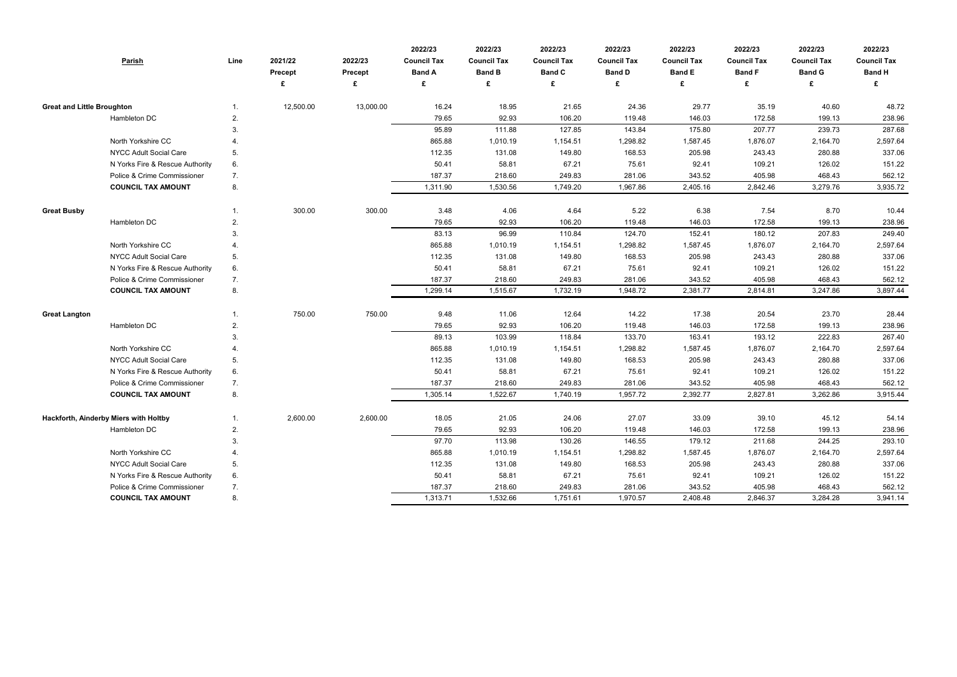| <b>Parish</b>                                            | Line | 2021/22<br>Precept | 2022/23<br>Precept | 2022/23<br><b>Council Tax</b><br><b>Band A</b> | 2022/23<br><b>Council Tax</b><br><b>Band B</b> | 2022/23<br><b>Council Tax</b><br><b>Band C</b> | 2022/23<br><b>Council Tax</b><br><b>Band D</b> | 2022/23<br><b>Council Tax</b><br><b>Band E</b> | 2022/23<br><b>Council Tax</b><br><b>Band F</b> | 2022/23<br><b>Council Tax</b><br><b>Band G</b> | 2022/23<br><b>Council Tax</b><br><b>Band H</b> |
|----------------------------------------------------------|------|--------------------|--------------------|------------------------------------------------|------------------------------------------------|------------------------------------------------|------------------------------------------------|------------------------------------------------|------------------------------------------------|------------------------------------------------|------------------------------------------------|
|                                                          |      |                    | £                  | £                                              | £                                              |                                                |                                                | £                                              | £                                              | £                                              | £                                              |
| <b>Great and Little Broughton</b>                        |      | 12,500.00          | 13,000.00          | 16.24                                          | 18.95                                          | 21.65                                          | 24.36                                          | 29.77                                          | 35.19                                          | 40.60                                          | 48.72                                          |
| Hambleton DC                                             | 2.   |                    |                    | 79.65                                          | 92.93                                          | 106.20                                         | 119.48                                         | 146.03                                         | 172.58                                         | 199.13                                         | 238.96                                         |
|                                                          | 3.   |                    |                    | 95.89                                          | 111.88                                         | 127.85                                         | 143.84                                         | 175.80                                         | 207.77                                         | 239.73                                         | 287.68                                         |
| North Yorkshire CC                                       |      |                    |                    | 865.88                                         | 1,010.19                                       | 1,154.51                                       | 1,298.82                                       | 1,587.45                                       | 1,876.07                                       | 2,164.70                                       | 2,597.64                                       |
| <b>NYCC Adult Social Care</b>                            | 5.   |                    |                    | 112.35                                         | 131.08                                         | 149.80                                         | 168.53                                         | 205.98                                         | 243.43                                         | 280.88                                         | 337.06                                         |
| N Yorks Fire & Rescue Authority                          | 6.   |                    |                    | 50.41                                          | 58.81                                          | 67.21                                          | 75.61                                          | 92.41                                          | 109.21                                         | 126.02                                         | 151.22                                         |
| Police & Crime Commissioner                              | 7.   |                    |                    | 187.37                                         | 218.60                                         | 249.83                                         | 281.06                                         | 343.52                                         | 405.98                                         | 468.43                                         | 562.12                                         |
| <b>COUNCIL TAX AMOUNT</b>                                | 8.   |                    |                    | 1,311.90                                       | 1,530.56                                       | 1,749.20                                       | 1,967.86                                       | 2,405.16                                       | 2,842.46                                       | 3,279.76                                       | 3,935.72                                       |
| <b>Great Busby</b>                                       |      | 300.00             | 300.00             | 3.48                                           | 4.06                                           | 4.64                                           | 5.22                                           | 6.38                                           | 7.54                                           | 8.70                                           | 10.44                                          |
| Hambleton DC                                             | 2.   |                    |                    | 79.65                                          | 92.93                                          | 106.20                                         | 119.48                                         | 146.03                                         | 172.58                                         | 199.13                                         | 238.96                                         |
|                                                          | 3.   |                    |                    | 83.13                                          | 96.99                                          | 110.84                                         | 124.70                                         | 152.41                                         | 180.12                                         | 207.83                                         | 249.40                                         |
| North Yorkshire CC                                       |      |                    |                    | 865.88                                         | 1,010.19                                       | 1,154.51                                       | 1,298.82                                       | 1,587.45                                       | 1,876.07                                       | 2,164.70                                       | 2,597.64                                       |
| <b>NYCC Adult Social Care</b>                            | 5.   |                    |                    | 112.35                                         | 131.08                                         | 149.80                                         | 168.53                                         | 205.98                                         | 243.43                                         | 280.88                                         | 337.06                                         |
| N Yorks Fire & Rescue Authority                          | 6.   |                    |                    | 50.41                                          | 58.81                                          | 67.21                                          | 75.61                                          | 92.41                                          | 109.21                                         | 126.02                                         | 151.22                                         |
| Police & Crime Commissioner<br><b>COUNCIL TAX AMOUNT</b> | 7.   |                    |                    | 187.37                                         | 218.60                                         | 249.83                                         | 281.06                                         | 343.52                                         | 405.98                                         | 468.43                                         | 562.12                                         |
|                                                          | 8.   |                    |                    | 1,299.14                                       | 1,515.67                                       | 1,732.19                                       | 1,948.72                                       | 2,381.77                                       | 2,814.81                                       | 3,247.86                                       | 3,897.44                                       |
| <b>Great Langton</b>                                     |      | 750.00             | 750.00             | 9.48                                           | 11.06                                          | 12.64                                          | 14.22                                          | 17.38                                          | 20.54                                          | 23.70                                          | 28.44                                          |
| Hambleton DC                                             | 2.   |                    |                    | 79.65                                          | 92.93                                          | 106.20                                         | 119.48                                         | 146.03                                         | 172.58                                         | 199.13                                         | 238.96                                         |
|                                                          | 3.   |                    |                    | 89.13                                          | 103.99                                         | 118.84                                         | 133.70                                         | 163.41                                         | 193.12                                         | 222.83                                         | 267.40                                         |
| North Yorkshire CC                                       |      |                    |                    | 865.88                                         | 1,010.19                                       | 1,154.51                                       | 1,298.82                                       | 1,587.45                                       | 1,876.07                                       | 2,164.70                                       | 2,597.64                                       |
| <b>NYCC Adult Social Care</b>                            | 5.   |                    |                    | 112.35                                         | 131.08                                         | 149.80                                         | 168.53                                         | 205.98                                         | 243.43                                         | 280.88                                         | 337.06                                         |
| N Yorks Fire & Rescue Authority                          | 6.   |                    |                    | 50.41                                          | 58.81                                          | 67.21                                          | 75.61                                          | 92.41                                          | 109.21                                         | 126.02                                         | 151.22                                         |
| Police & Crime Commissioner                              | 7.   |                    |                    | 187.37                                         | 218.60                                         | 249.83                                         | 281.06                                         | 343.52                                         | 405.98                                         | 468.43                                         | 562.12                                         |
| <b>COUNCIL TAX AMOUNT</b>                                | 8.   |                    |                    | 1,305.14                                       | 1,522.67                                       | 1,740.19                                       | 1,957.72                                       | 2,392.77                                       | 2,827.81                                       | 3,262.86                                       | 3,915.44                                       |
| Hackforth, Ainderby Miers with Holtby                    |      | 2,600.00           | 2,600.00           | 18.05                                          | 21.05                                          | 24.06                                          | 27.07                                          | 33.09                                          | 39.10                                          | 45.12                                          | 54.14                                          |
| Hambleton DC                                             | 2.   |                    |                    | 79.65                                          | 92.93                                          | 106.20                                         | 119.48                                         | 146.03                                         | 172.58                                         | 199.13                                         | 238.96                                         |
|                                                          | 3.   |                    |                    | 97.70                                          | 113.98                                         | 130.26                                         | 146.55                                         | 179.12                                         | 211.68                                         | 244.25                                         | 293.10                                         |
| North Yorkshire CC                                       | 4.   |                    |                    | 865.88                                         | 1,010.19                                       | 1,154.51                                       | 1,298.82                                       | 1,587.45                                       | 1,876.07                                       | 2,164.70                                       | 2,597.64                                       |
| <b>NYCC Adult Social Care</b>                            | 5.   |                    |                    | 112.35                                         | 131.08                                         | 149.80                                         | 168.53                                         | 205.98                                         | 243.43                                         | 280.88                                         | 337.06                                         |
| N Yorks Fire & Rescue Authority                          | 6.   |                    |                    | 50.41                                          | 58.81                                          | 67.21                                          | 75.61                                          | 92.41                                          | 109.21                                         | 126.02                                         | 151.22                                         |
| Police & Crime Commissioner                              | 7.   |                    |                    | 187.37                                         | 218.60                                         | 249.83                                         | 281.06                                         | 343.52                                         | 405.98                                         | 468.43                                         | 562.12                                         |
| <b>COUNCIL TAX AMOUNT</b>                                | 8.   |                    |                    | 1,313.71                                       | 1,532.66                                       | 1,751.61                                       | 1,970.57                                       | 2,408.48                                       | 2,846.37                                       | 3,284.28                                       | 3,941.14                                       |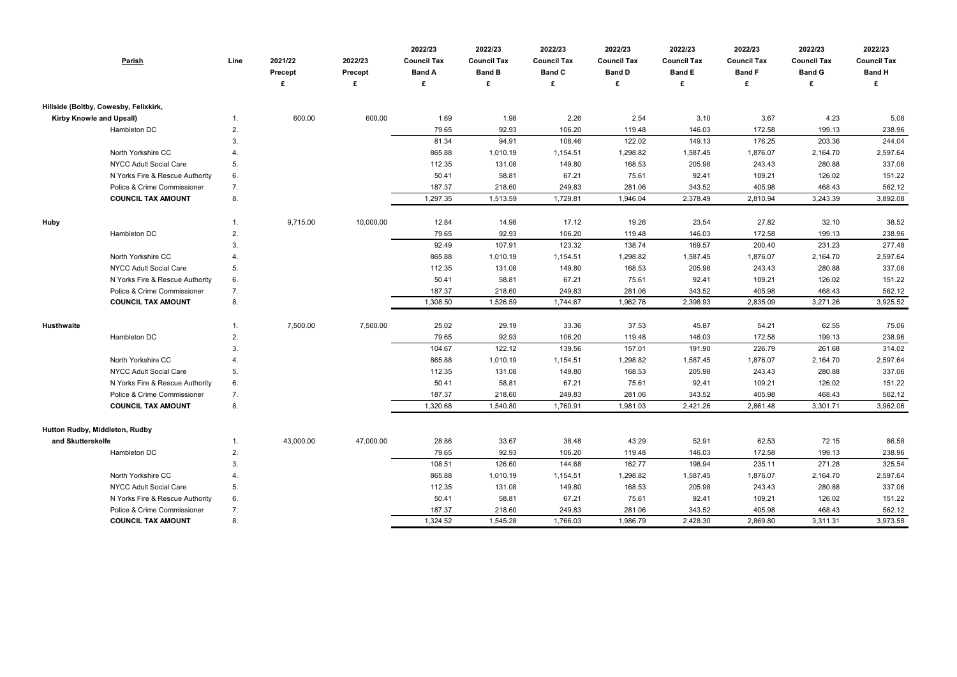| <b>Parish</b>                         | Line           | 2021/22<br><b>Precept</b><br>£ | 2022/23<br>Precept<br>£ | 2022/23<br><b>Council Tax</b><br><b>Band A</b><br>£ | 2022/23<br><b>Council Tax</b><br><b>Band B</b><br>£ | 2022/23<br><b>Council Tax</b><br><b>Band C</b><br>£ | 2022/23<br><b>Council Tax</b><br><b>Band D</b><br>£ | 2022/23<br><b>Council Tax</b><br><b>Band E</b><br>£ | 2022/23<br><b>Council Tax</b><br><b>Band F</b><br>£ | 2022/23<br><b>Council Tax</b><br><b>Band G</b><br>£ | 2022/23<br><b>Council Tax</b><br><b>Band H</b><br>£ |
|---------------------------------------|----------------|--------------------------------|-------------------------|-----------------------------------------------------|-----------------------------------------------------|-----------------------------------------------------|-----------------------------------------------------|-----------------------------------------------------|-----------------------------------------------------|-----------------------------------------------------|-----------------------------------------------------|
| Hillside (Boltby, Cowesby, Felixkirk, |                |                                |                         |                                                     |                                                     |                                                     |                                                     |                                                     |                                                     |                                                     |                                                     |
| <b>Kirby Knowle and Upsall)</b>       | 1.             | 600.00                         | 600.00                  | 1.69                                                | 1.98                                                | 2.26                                                | 2.54                                                | 3.10                                                | 3.67                                                | 4.23                                                | 5.08                                                |
| Hambleton DC                          | 2.             |                                |                         | 79.65                                               | 92.93                                               | 106.20                                              | 119.48                                              | 146.03                                              | 172.58                                              | 199.13                                              | 238.96                                              |
|                                       | 3.             |                                |                         | 81.34                                               | 94.91                                               | 108.46                                              | 122.02                                              | 149.13                                              | 176.25                                              | 203.36                                              | 244.04                                              |
| North Yorkshire CC                    | 4.             |                                |                         | 865.88                                              | 1,010.19                                            | 1,154.51                                            | 1,298.82                                            | 1,587.45                                            | 1,876.07                                            | 2,164.70                                            | 2,597.64                                            |
| <b>NYCC Adult Social Care</b>         | 5.             |                                |                         | 112.35                                              | 131.08                                              | 149.80                                              | 168.53                                              | 205.98                                              | 243.43                                              | 280.88                                              | 337.06                                              |
| N Yorks Fire & Rescue Authority       | 6.             |                                |                         | 50.41                                               | 58.81                                               | 67.21                                               | 75.61                                               | 92.41                                               | 109.21                                              | 126.02                                              | 151.22                                              |
| Police & Crime Commissioner           | 7.             |                                |                         | 187.37                                              | 218.60                                              | 249.83                                              | 281.06                                              | 343.52                                              | 405.98                                              | 468.43                                              | 562.12                                              |
| <b>COUNCIL TAX AMOUNT</b>             | 8.             |                                |                         | 1,297.35                                            | 1,513.59                                            | 1,729.81                                            | 1,946.04                                            | 2,378.49                                            | 2,810.94                                            | 3,243.39                                            | 3,892.08                                            |
| <b>Huby</b>                           | $\mathbf{1}$ . | 9,715.00                       | 10,000.00               | 12.84                                               | 14.98                                               | 17.12                                               | 19.26                                               | 23.54                                               | 27.82                                               | 32.10                                               | 38.52                                               |
| Hambleton DC                          | 2.             |                                |                         | 79.65                                               | 92.93                                               | 106.20                                              | 119.48                                              | 146.03                                              | 172.58                                              | 199.13                                              | 238.96                                              |
|                                       | 3.             |                                |                         | 92.49                                               | 107.91                                              | 123.32                                              | 138.74                                              | 169.57                                              | 200.40                                              | 231.23                                              | 277.48                                              |
| North Yorkshire CC                    | 4.             |                                |                         | 865.88                                              | 1,010.19                                            | 1,154.51                                            | 1,298.82                                            | 1,587.45                                            | 1,876.07                                            | 2,164.70                                            | 2,597.64                                            |
| NYCC Adult Social Care                | 5.             |                                |                         | 112.35                                              | 131.08                                              | 149.80                                              | 168.53                                              | 205.98                                              | 243.43                                              | 280.88                                              | 337.06                                              |
| N Yorks Fire & Rescue Authority       | 6.             |                                |                         | 50.41                                               | 58.81                                               | 67.21                                               | 75.61                                               | 92.41                                               | 109.21                                              | 126.02                                              | 151.22                                              |
| Police & Crime Commissioner           | 7.             |                                |                         | 187.37                                              | 218.60                                              | 249.83                                              | 281.06                                              | 343.52                                              | 405.98                                              | 468.43                                              | 562.12                                              |
| <b>COUNCIL TAX AMOUNT</b>             | 8.             |                                |                         | 1,308.50                                            | 1,526.59                                            | 1,744.67                                            | 1,962.76                                            | 2,398.93                                            | 2,835.09                                            | 3,271.26                                            | 3,925.52                                            |
|                                       |                |                                |                         |                                                     |                                                     |                                                     |                                                     |                                                     |                                                     |                                                     |                                                     |
| <b>Husthwaite</b>                     | $\mathbf{1}$ . | 7,500.00                       | 7,500.00                | 25.02                                               | 29.19                                               | 33.36                                               | 37.53                                               | 45.87                                               | 54.21                                               | 62.55                                               | 75.06                                               |
| Hambleton DC                          | 2.             |                                |                         | 79.65                                               | 92.93                                               | 106.20                                              | 119.48                                              | 146.03                                              | 172.58                                              | 199.13                                              | 238.96                                              |
|                                       | 3.             |                                |                         | 104.67                                              | 122.12                                              | 139.56                                              | 157.01                                              | 191.90                                              | 226.79                                              | 261.68                                              | 314.02                                              |
| North Yorkshire CC                    | 4.             |                                |                         | 865.88                                              | 1,010.19                                            | 1,154.51                                            | 1,298.82                                            | 1,587.45                                            | 1,876.07                                            | 2,164.70                                            | 2,597.64                                            |
| NYCC Adult Social Care                | 5.             |                                |                         | 112.35                                              | 131.08                                              | 149.80                                              | 168.53                                              | 205.98                                              | 243.43                                              | 280.88                                              | 337.06                                              |
| N Yorks Fire & Rescue Authority       | 6.             |                                |                         | 50.41                                               | 58.81                                               | 67.21                                               | 75.61                                               | 92.41                                               | 109.21                                              | 126.02                                              | 151.22                                              |
| Police & Crime Commissioner           | 7.             |                                |                         | 187.37                                              | 218.60                                              | 249.83                                              | 281.06                                              | 343.52                                              | 405.98                                              | 468.43                                              | 562.12                                              |
| <b>COUNCIL TAX AMOUNT</b>             | 8.             |                                |                         | 1,320.68                                            | 1,540.80                                            | 1,760.91                                            | 1,981.03                                            | 2,421.26                                            | 2,861.48                                            | 3,301.71                                            | 3,962.06                                            |
| Hutton Rudby, Middleton, Rudby        |                |                                |                         |                                                     |                                                     |                                                     |                                                     |                                                     |                                                     |                                                     |                                                     |
| and Skutterskelfe                     | 1.             | 43,000.00                      | 47,000.00               | 28.86                                               | 33.67                                               | 38.48                                               | 43.29                                               | 52.91                                               | 62.53                                               | 72.15                                               | 86.58                                               |
| Hambleton DC                          | 2.             |                                |                         | 79.65                                               | 92.93                                               | 106.20                                              | 119.48                                              | 146.03                                              | 172.58                                              | 199.13                                              | 238.96                                              |
|                                       | 3.             |                                |                         | 108.51                                              | 126.60                                              | 144.68                                              | 162.77                                              | 198.94                                              | 235.11                                              | 271.28                                              | 325.54                                              |
| North Yorkshire CC                    | 4.             |                                |                         | 865.88                                              | 1,010.19                                            | 1,154.51                                            | 1,298.82                                            | 1,587.45                                            | 1,876.07                                            | 2,164.70                                            | 2,597.64                                            |
| <b>NYCC Adult Social Care</b>         | 5.             |                                |                         | 112.35                                              | 131.08                                              | 149.80                                              | 168.53                                              | 205.98                                              | 243.43                                              | 280.88                                              | 337.06                                              |
| N Yorks Fire & Rescue Authority       | 6.             |                                |                         | 50.41                                               | 58.81                                               | 67.21                                               | 75.61                                               | 92.41                                               | 109.21                                              | 126.02                                              | 151.22                                              |
| Police & Crime Commissioner           | 7.             |                                |                         | 187.37                                              | 218.60                                              | 249.83                                              | 281.06                                              | 343.52                                              | 405.98                                              | 468.43                                              | 562.12                                              |
| <b>COUNCIL TAX AMOUNT</b>             | 8.             |                                |                         | 1,324.52                                            | 1,545.28                                            | 1,766.03                                            | 1,986.79                                            | 2,428.30                                            | 2,869.80                                            | 3,311.31                                            | 3,973.58                                            |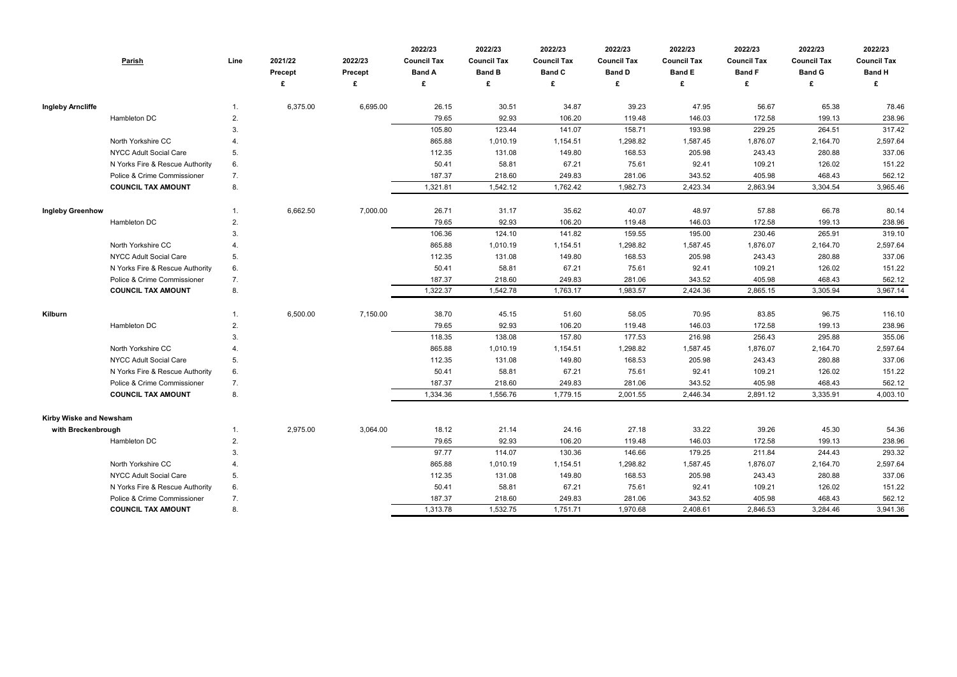|                           | <b>Parish</b>                   | Line           | 2021/22<br>Precept | 2022/23<br><b>Precept</b><br>£ | 2022/23<br><b>Council Tax</b><br><b>Band A</b><br>£ | 2022/23<br><b>Council Tax</b><br><b>Band B</b><br>£ | 2022/23<br><b>Council Tax</b><br><b>Band C</b> | 2022/23<br><b>Council Tax</b><br><b>Band D</b><br>£ | 2022/23<br><b>Council Tax</b><br><b>Band E</b><br>£ | 2022/23<br><b>Council Tax</b><br><b>Band F</b><br>£ | 2022/23<br><b>Council Tax</b><br><b>Band G</b><br>£ | 2022/23<br><b>Council Tax</b><br><b>Band H</b> |
|---------------------------|---------------------------------|----------------|--------------------|--------------------------------|-----------------------------------------------------|-----------------------------------------------------|------------------------------------------------|-----------------------------------------------------|-----------------------------------------------------|-----------------------------------------------------|-----------------------------------------------------|------------------------------------------------|
|                           |                                 |                |                    |                                |                                                     |                                                     |                                                |                                                     |                                                     |                                                     |                                                     |                                                |
| <b>Ingleby Arncliffe</b>  |                                 | $\mathbf{1}$ . | 6,375.00           | 6,695.00                       | 26.15                                               | 30.51                                               | 34.87                                          | 39.23                                               | 47.95                                               | 56.67                                               | 65.38                                               | 78.46                                          |
|                           | Hambleton DC                    | 2.             |                    |                                | 79.65                                               | 92.93                                               | 106.20                                         | 119.48                                              | 146.03                                              | 172.58                                              | 199.13                                              | 238.96                                         |
|                           |                                 | 3.             |                    |                                | 105.80                                              | 123.44                                              | 141.07                                         | 158.71                                              | 193.98                                              | 229.25                                              | 264.51                                              | 317.42                                         |
|                           | North Yorkshire CC              |                |                    |                                | 865.88                                              | 1,010.19                                            | 1,154.51                                       | 1,298.82                                            | 1,587.45                                            | 1,876.07                                            | 2,164.70                                            | 2,597.64                                       |
|                           | <b>NYCC Adult Social Care</b>   | 5 <sub>1</sub> |                    |                                | 112.35                                              | 131.08                                              | 149.80                                         | 168.53                                              | 205.98                                              | 243.43                                              | 280.88                                              | 337.06                                         |
|                           | N Yorks Fire & Rescue Authority | 6.             |                    |                                | 50.41                                               | 58.81                                               | 67.21                                          | 75.61                                               | 92.41                                               | 109.21                                              | 126.02                                              | 151.22                                         |
|                           | Police & Crime Commissioner     | 7.             |                    |                                | 187.37                                              | 218.60                                              | 249.83                                         | 281.06                                              | 343.52                                              | 405.98                                              | 468.43                                              | 562.12                                         |
|                           | <b>COUNCIL TAX AMOUNT</b>       | 8.             |                    |                                | 1,321.81                                            | 1,542.12                                            | 1,762.42                                       | 1,982.73                                            | 2,423.34                                            | 2,863.94                                            | 3,304.54                                            | 3,965.46                                       |
| <b>Ingleby Greenhow</b>   |                                 | 1.             | 6,662.50           | 7,000.00                       | 26.71                                               | 31.17                                               | 35.62                                          | 40.07                                               | 48.97                                               | 57.88                                               | 66.78                                               | 80.14                                          |
|                           | Hambleton DC                    | 2.             |                    |                                | 79.65                                               | 92.93                                               | 106.20                                         | 119.48                                              | 146.03                                              | 172.58                                              | 199.13                                              | 238.96                                         |
|                           |                                 | 3.             |                    |                                | 106.36                                              | 124.10                                              | 141.82                                         | 159.55                                              | 195.00                                              | 230.46                                              | 265.91                                              | 319.10                                         |
|                           | North Yorkshire CC              | 4.             |                    |                                | 865.88                                              | 1,010.19                                            | 1,154.51                                       | 1,298.82                                            | 1,587.45                                            | 1,876.07                                            | 2,164.70                                            | 2,597.64                                       |
|                           | <b>NYCC Adult Social Care</b>   | 5.             |                    |                                | 112.35                                              | 131.08                                              | 149.80                                         | 168.53                                              | 205.98                                              | 243.43                                              | 280.88                                              | 337.06                                         |
|                           | N Yorks Fire & Rescue Authority | 6.             |                    |                                | 50.41                                               | 58.81                                               | 67.21                                          | 75.61                                               | 92.41                                               | 109.21                                              | 126.02                                              | 151.22                                         |
|                           | Police & Crime Commissioner     | 7.             |                    |                                | 187.37                                              | 218.60                                              | 249.83                                         | 281.06                                              | 343.52                                              | 405.98                                              | 468.43                                              | 562.12                                         |
| <b>COUNCIL TAX AMOUNT</b> | 8.                              |                |                    | 1,322.37                       | 1,542.78                                            | 1,763.17                                            | 1,983.57                                       | 2,424.36                                            | 2,865.15                                            | 3,305.94                                            | 3,967.14                                            |                                                |
| Kilburn                   |                                 | 1.             | 6,500.00           | 7,150.00                       | 38.70                                               | 45.15                                               | 51.60                                          | 58.05                                               | 70.95                                               | 83.85                                               | 96.75                                               | 116.10                                         |
|                           | Hambleton DC                    | 2.             |                    |                                | 79.65                                               | 92.93                                               | 106.20                                         | 119.48                                              | 146.03                                              | 172.58                                              | 199.13                                              | 238.96                                         |
|                           |                                 | 3.             |                    |                                | 118.35                                              | 138.08                                              | 157.80                                         | 177.53                                              | 216.98                                              | 256.43                                              | 295.88                                              | 355.06                                         |
|                           | North Yorkshire CC              | 4.             |                    |                                | 865.88                                              | 1,010.19                                            | 1,154.51                                       | 1,298.82                                            | 1,587.45                                            | 1,876.07                                            | 2,164.70                                            | 2,597.64                                       |
|                           | <b>NYCC Adult Social Care</b>   | 5.             |                    |                                | 112.35                                              | 131.08                                              | 149.80                                         | 168.53                                              | 205.98                                              | 243.43                                              | 280.88                                              | 337.06                                         |
|                           | N Yorks Fire & Rescue Authority | 6.             |                    |                                | 50.41                                               | 58.81                                               | 67.21                                          | 75.61                                               | 92.41                                               | 109.21                                              | 126.02                                              | 151.22                                         |
|                           | Police & Crime Commissioner     | 7.             |                    |                                | 187.37                                              | 218.60                                              | 249.83                                         | 281.06                                              | 343.52                                              | 405.98                                              | 468.43                                              | 562.12                                         |
|                           | <b>COUNCIL TAX AMOUNT</b>       | 8.             |                    |                                | 1,334.36                                            | 1,556.76                                            | 1,779.15                                       | 2,001.55                                            | 2,446.34                                            | 2,891.12                                            | 3,335.91                                            | 4,003.10                                       |
| Kirby Wiske and Newsham   |                                 |                |                    |                                |                                                     |                                                     |                                                |                                                     |                                                     |                                                     |                                                     |                                                |
| with Breckenbrough        |                                 | $\mathbf{1}$ . | 2,975.00           | 3,064.00                       | 18.12                                               | 21.14                                               | 24.16                                          | 27.18                                               | 33.22                                               | 39.26                                               | 45.30                                               | 54.36                                          |
|                           | Hambleton DC                    | 2.             |                    |                                | 79.65                                               | 92.93                                               | 106.20                                         | 119.48                                              | 146.03                                              | 172.58                                              | 199.13                                              | 238.96                                         |
|                           |                                 | 3.             |                    |                                | 97.77                                               | 114.07                                              | 130.36                                         | 146.66                                              | 179.25                                              | 211.84                                              | 244.43                                              | 293.32                                         |
|                           | North Yorkshire CC              | 4.             |                    |                                | 865.88                                              | 1,010.19                                            | 1,154.51                                       | 1,298.82                                            | 1,587.45                                            | 1,876.07                                            | 2,164.70                                            | 2,597.64                                       |
|                           | NYCC Adult Social Care          | 5.             |                    |                                | 112.35                                              | 131.08                                              | 149.80                                         | 168.53                                              | 205.98                                              | 243.43                                              | 280.88                                              | 337.06                                         |
|                           | N Yorks Fire & Rescue Authority | 6.             |                    |                                | 50.41                                               | 58.81                                               | 67.21                                          | 75.61                                               | 92.41                                               | 109.21                                              | 126.02                                              | 151.22                                         |
|                           | Police & Crime Commissioner     | 7.             |                    |                                | 187.37                                              | 218.60                                              | 249.83                                         | 281.06                                              | 343.52                                              | 405.98                                              | 468.43                                              | 562.12                                         |
|                           | <b>COUNCIL TAX AMOUNT</b>       | 8.             |                    |                                | 1,313.78                                            | 1,532.75                                            | 1,751.71                                       | 1,970.68                                            | 2,408.61                                            | 2,846.53                                            | 3,284.46                                            | 3,941.36                                       |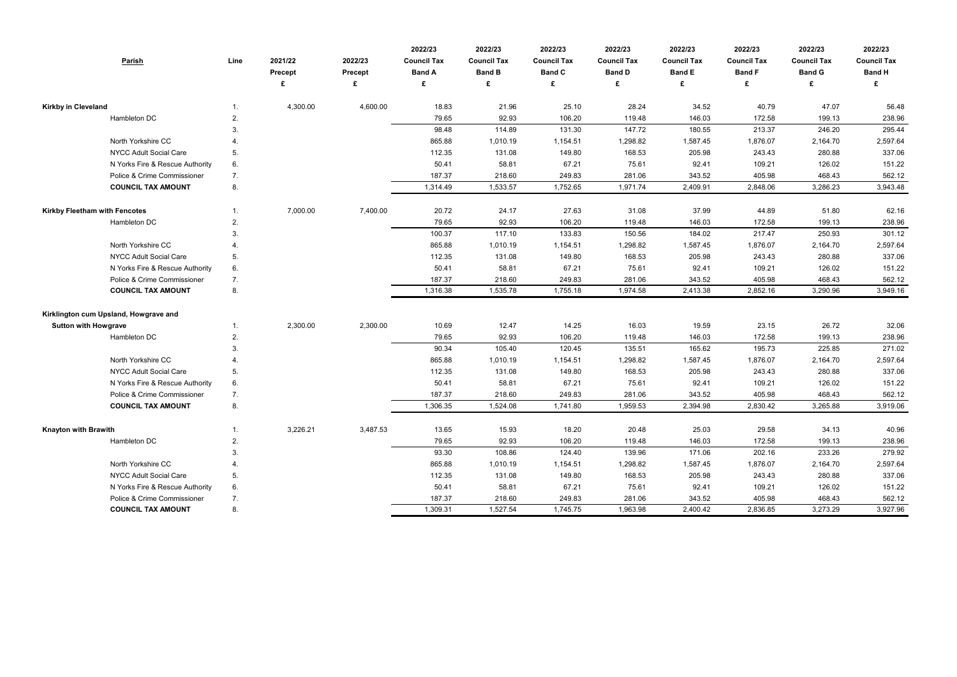| <b>Parish</b>                         | Line | 2021/22<br><b>Precept</b> | 2022/23<br>Precept | 2022/23<br><b>Council Tax</b><br><b>Band A</b> | 2022/23<br><b>Council Tax</b><br><b>Band B</b> | 2022/23<br><b>Council Tax</b><br><b>Band C</b> | 2022/23<br><b>Council Tax</b><br><b>Band D</b> | 2022/23<br><b>Council Tax</b><br><b>Band E</b> | 2022/23<br><b>Council Tax</b><br><b>Band F</b> | 2022/23<br><b>Council Tax</b><br><b>Band G</b> | 2022/23<br><b>Council Tax</b><br><b>Band H</b> |
|---------------------------------------|------|---------------------------|--------------------|------------------------------------------------|------------------------------------------------|------------------------------------------------|------------------------------------------------|------------------------------------------------|------------------------------------------------|------------------------------------------------|------------------------------------------------|
|                                       |      |                           | £                  | £                                              | £                                              | £                                              | £                                              | £                                              | £                                              | £                                              |                                                |
| Kirkby in Cleveland                   | 1.   | 4,300.00                  | 4,600.00           | 18.83                                          | 21.96                                          | 25.10                                          | 28.24                                          | 34.52                                          | 40.79                                          | 47.07                                          | 56.48                                          |
| Hambleton DC                          | 2.   |                           |                    | 79.65                                          | 92.93                                          | 106.20                                         | 119.48                                         | 146.03                                         | 172.58                                         | 199.13                                         | 238.96                                         |
|                                       | 3.   |                           |                    | 98.48                                          | 114.89                                         | 131.30                                         | 147.72                                         | 180.55                                         | 213.37                                         | 246.20                                         | 295.44                                         |
| North Yorkshire CC                    | 4.   |                           |                    | 865.88                                         | 1,010.19                                       | 1,154.51                                       | 1,298.82                                       | 1,587.45                                       | 1,876.07                                       | 2,164.70                                       | 2,597.64                                       |
| NYCC Adult Social Care                | 5.   |                           |                    | 112.35                                         | 131.08                                         | 149.80                                         | 168.53                                         | 205.98                                         | 243.43                                         | 280.88                                         | 337.06                                         |
| N Yorks Fire & Rescue Authority       | 6.   |                           |                    | 50.41                                          | 58.81                                          | 67.21                                          | 75.61                                          | 92.41                                          | 109.21                                         | 126.02                                         | 151.22                                         |
| Police & Crime Commissioner           | 7.   |                           |                    | 187.37                                         | 218.60                                         | 249.83                                         | 281.06                                         | 343.52                                         | 405.98                                         | 468.43                                         | 562.12                                         |
| <b>COUNCIL TAX AMOUNT</b>             | 8.   |                           |                    | 1,314.49                                       | 1,533.57                                       | 1,752.65                                       | 1,971.74                                       | 2,409.91                                       | 2,848.06                                       | 3,286.23                                       | 3,943.48                                       |
| Kirkby Fleetham with Fencotes         | 1.   | 7,000.00                  | 7,400.00           | 20.72                                          | 24.17                                          | 27.63                                          | 31.08                                          | 37.99                                          | 44.89                                          | 51.80                                          | 62.16                                          |
| Hambleton DC                          | 2.   |                           |                    | 79.65                                          | 92.93                                          | 106.20                                         | 119.48                                         | 146.03                                         | 172.58                                         | 199.13                                         | 238.96                                         |
|                                       | 3.   |                           |                    | 100.37                                         | 117.10                                         | 133.83                                         | 150.56                                         | 184.02                                         | 217.47                                         | 250.93                                         | 301.12                                         |
| North Yorkshire CC                    | 4.   |                           |                    | 865.88                                         | 1,010.19                                       | 1,154.51                                       | 1,298.82                                       | 1,587.45                                       | 1,876.07                                       | 2,164.70                                       | 2,597.64                                       |
| NYCC Adult Social Care                | 5.   |                           |                    | 112.35                                         | 131.08                                         | 149.80                                         | 168.53                                         | 205.98                                         | 243.43                                         | 280.88                                         | 337.06                                         |
| N Yorks Fire & Rescue Authority       | 6.   |                           |                    | 50.41                                          | 58.81                                          | 67.21                                          | 75.61                                          | 92.41                                          | 109.21                                         | 126.02                                         | 151.22                                         |
| Police & Crime Commissioner           | 7.   |                           |                    | 187.37                                         | 218.60                                         | 249.83                                         | 281.06                                         | 343.52                                         | 405.98                                         | 468.43                                         | 562.12                                         |
| <b>COUNCIL TAX AMOUNT</b>             | 8.   |                           |                    | 1,316.38                                       | 1,535.78                                       | 1,755.18                                       | 1,974.58                                       | 2,413.38                                       | 2,852.16                                       | 3,290.96                                       | 3,949.16                                       |
| Kirklington cum Upsland, Howgrave and |      |                           |                    |                                                |                                                |                                                |                                                |                                                |                                                |                                                |                                                |
| <b>Sutton with Howgrave</b>           | 1.   | 2,300.00                  | 2,300.00           | 10.69                                          | 12.47                                          | 14.25                                          | 16.03                                          | 19.59                                          | 23.15                                          | 26.72                                          | 32.06                                          |
| Hambleton DC                          | 2.   |                           |                    | 79.65                                          | 92.93                                          | 106.20                                         | 119.48                                         | 146.03                                         | 172.58                                         | 199.13                                         | 238.96                                         |
|                                       | 3.   |                           |                    | 90.34                                          | 105.40                                         | 120.45                                         | 135.51                                         | 165.62                                         | 195.73                                         | 225.85                                         | 271.02                                         |
| North Yorkshire CC                    | 4.   |                           |                    | 865.88                                         | 1,010.19                                       | 1,154.51                                       | 1,298.82                                       | 1,587.45                                       | 1,876.07                                       | 2,164.70                                       | 2,597.64                                       |
| NYCC Adult Social Care                | 5.   |                           |                    | 112.35                                         | 131.08                                         | 149.80                                         | 168.53                                         | 205.98                                         | 243.43                                         | 280.88                                         | 337.06                                         |
| N Yorks Fire & Rescue Authority       | 6.   |                           |                    | 50.41                                          | 58.81                                          | 67.21                                          | 75.61                                          | 92.41                                          | 109.21                                         | 126.02                                         | 151.22                                         |
| Police & Crime Commissioner           | 7.   |                           |                    | 187.37                                         | 218.60                                         | 249.83                                         | 281.06                                         | 343.52                                         | 405.98                                         | 468.43                                         | 562.12                                         |
| <b>COUNCIL TAX AMOUNT</b>             | 8.   |                           |                    | 1,306.35                                       | 1,524.08                                       | 1,741.80                                       | 1,959.53                                       | 2,394.98                                       | 2,830.42                                       | 3,265.88                                       | 3,919.06                                       |
| <b>Knayton with Brawith</b>           | 1.   | 3,226.21                  | 3,487.53           | 13.65                                          | 15.93                                          | 18.20                                          | 20.48                                          | 25.03                                          | 29.58                                          | 34.13                                          | 40.96                                          |
| Hambleton DC                          | 2.   |                           |                    | 79.65                                          | 92.93                                          | 106.20                                         | 119.48                                         | 146.03                                         | 172.58                                         | 199.13                                         | 238.96                                         |
|                                       | 3.   |                           |                    | 93.30                                          | 108.86                                         | 124.40                                         | 139.96                                         | 171.06                                         | 202.16                                         | 233.26                                         | 279.92                                         |
| North Yorkshire CC                    | 4.   |                           |                    | 865.88                                         | 1,010.19                                       | 1,154.51                                       | 1,298.82                                       | 1,587.45                                       | 1,876.07                                       | 2,164.70                                       | 2,597.64                                       |
| NYCC Adult Social Care                | 5.   |                           |                    | 112.35                                         | 131.08                                         | 149.80                                         | 168.53                                         | 205.98                                         | 243.43                                         | 280.88                                         | 337.06                                         |
| N Yorks Fire & Rescue Authority       | 6.   |                           |                    | 50.41                                          | 58.81                                          | 67.21                                          | 75.61                                          | 92.41                                          | 109.21                                         | 126.02                                         | 151.22                                         |
| Police & Crime Commissioner           | 7.   |                           |                    | 187.37                                         | 218.60                                         | 249.83                                         | 281.06                                         | 343.52                                         | 405.98                                         | 468.43                                         | 562.12                                         |
| <b>COUNCIL TAX AMOUNT</b>             | 8.   |                           |                    | 1,309.31                                       | 1,527.54                                       | 1,745.75                                       | 1,963.98                                       | 2,400.42                                       | 2,836.85                                       | 3,273.29                                       | 3,927.96                                       |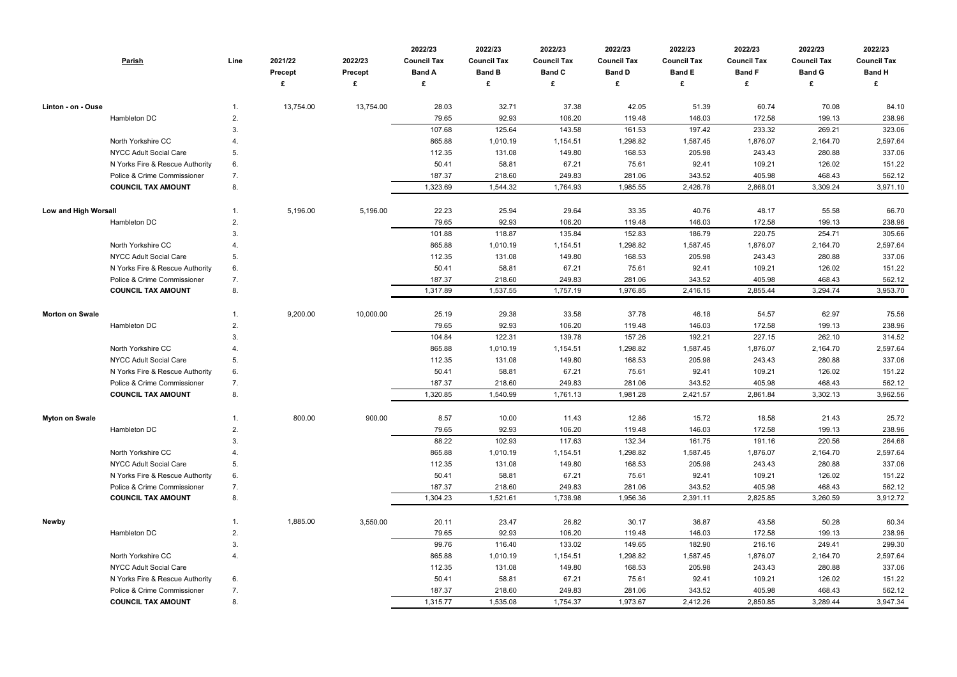| <b>Parish</b>                                            | Line | 2021/22<br><b>Precept</b> | 2022/23<br>Precept<br>£ | 2022/23<br><b>Council Tax</b><br><b>Band A</b><br>£ | 2022/23<br><b>Council Tax</b><br><b>Band B</b><br>£ | 2022/23<br><b>Council Tax</b><br><b>Band C</b><br>£ | 2022/23<br><b>Council Tax</b><br><b>Band D</b><br>£ | 2022/23<br><b>Council Tax</b><br><b>Band E</b><br>£ | 2022/23<br><b>Council Tax</b><br><b>Band F</b><br>£ | 2022/23<br><b>Council Tax</b><br><b>Band G</b><br>£ | 2022/23<br><b>Council Tax</b><br><b>Band H</b><br>£ |
|----------------------------------------------------------|------|---------------------------|-------------------------|-----------------------------------------------------|-----------------------------------------------------|-----------------------------------------------------|-----------------------------------------------------|-----------------------------------------------------|-----------------------------------------------------|-----------------------------------------------------|-----------------------------------------------------|
| Linton - on - Ouse                                       |      | 13,754.00                 | 13,754.00               | 28.03                                               | 32.71                                               | 37.38                                               | 42.05                                               | 51.39                                               | 60.74                                               | 70.08                                               | 84.10                                               |
| Hambleton DC                                             | 2.   |                           |                         | 79.65                                               | 92.93                                               | 106.20                                              | 119.48                                              | 146.03                                              | 172.58                                              | 199.13                                              | 238.96                                              |
|                                                          | 3.   |                           |                         | 107.68                                              | 125.64                                              | 143.58                                              | 161.53                                              | 197.42                                              | 233.32                                              | 269.21                                              | 323.06                                              |
| North Yorkshire CC                                       |      |                           |                         | 865.88                                              | 1,010.19                                            | 1,154.51                                            | 1,298.82                                            | 1,587.45                                            | 1,876.07                                            | 2,164.70                                            | 2,597.64                                            |
| <b>NYCC Adult Social Care</b>                            | 5.   |                           |                         | 112.35                                              | 131.08                                              | 149.80                                              | 168.53                                              | 205.98                                              | 243.43                                              | 280.88                                              | 337.06                                              |
| N Yorks Fire & Rescue Authority                          | 6.   |                           |                         | 50.41                                               | 58.81                                               | 67.21                                               | 75.61                                               | 92.41                                               | 109.21                                              | 126.02                                              | 151.22                                              |
| Police & Crime Commissioner                              | 7.   |                           |                         | 187.37                                              | 218.60                                              | 249.83                                              | 281.06                                              | 343.52                                              | 405.98                                              | 468.43                                              | 562.12                                              |
| <b>COUNCIL TAX AMOUNT</b>                                | 8.   |                           |                         | 1,323.69                                            | 1,544.32                                            | 1,764.93                                            | 1,985.55                                            | 2,426.78                                            | 2,868.01                                            | 3,309.24                                            | 3,971.10                                            |
| <b>Low and High Worsall</b>                              |      | 5,196.00                  | 5,196.00                | 22.23                                               | 25.94                                               | 29.64                                               | 33.35                                               | 40.76                                               | 48.17                                               | 55.58                                               | 66.70                                               |
| Hambleton DC                                             | 2.   |                           |                         | 79.65                                               | 92.93                                               | 106.20                                              | 119.48                                              | 146.03                                              | 172.58                                              | 199.13                                              | 238.96                                              |
|                                                          | 3.   |                           |                         | 101.88                                              | 118.87                                              | 135.84                                              | 152.83                                              | 186.79                                              | 220.75                                              | 254.71                                              | 305.66                                              |
| North Yorkshire CC                                       |      |                           |                         | 865.88                                              | 1,010.19                                            | 1,154.51                                            | 1,298.82                                            | 1,587.45                                            | 1,876.07                                            | 2,164.70                                            | 2,597.64                                            |
| NYCC Adult Social Care                                   | 5.   |                           |                         | 112.35                                              | 131.08                                              | 149.80                                              | 168.53                                              | 205.98                                              | 243.43                                              | 280.88                                              | 337.06                                              |
| N Yorks Fire & Rescue Authority                          | 6.   |                           |                         | 50.41                                               | 58.81                                               | 67.21                                               | 75.61                                               | 92.41                                               | 109.21                                              | 126.02                                              | 151.22                                              |
| Police & Crime Commissioner<br><b>COUNCIL TAX AMOUNT</b> | 7.   |                           |                         | 187.37                                              | 218.60                                              | 249.83                                              | 281.06                                              | 343.52                                              | 405.98                                              | 468.43                                              | 562.12                                              |
|                                                          | 8.   |                           |                         | 1,317.89                                            | 1,537.55                                            | 1,757.19                                            | 1,976.85                                            | 2,416.15                                            | 2,855.44                                            | 3,294.74                                            | 3,953.70                                            |
| <b>Morton on Swale</b>                                   |      | 9,200.00                  | 10,000.00               | 25.19                                               | 29.38                                               | 33.58                                               | 37.78                                               | 46.18                                               | 54.57                                               | 62.97                                               | 75.56                                               |
| Hambleton DC                                             | 2.   |                           |                         | 79.65                                               | 92.93                                               | 106.20                                              | 119.48                                              | 146.03                                              | 172.58                                              | 199.13                                              | 238.96                                              |
|                                                          | 3.   |                           |                         | 104.84                                              | 122.31                                              | 139.78                                              | 157.26                                              | 192.21                                              | 227.15                                              | 262.10                                              | 314.52                                              |
| North Yorkshire CC                                       |      |                           |                         | 865.88                                              | 1,010.19                                            | 1,154.51                                            | 1,298.82                                            | 1,587.45                                            | 1,876.07                                            | 2,164.70                                            | 2,597.64                                            |
| <b>NYCC Adult Social Care</b>                            | 5.   |                           |                         | 112.35                                              | 131.08                                              | 149.80                                              | 168.53                                              | 205.98                                              | 243.43                                              | 280.88                                              | 337.06                                              |
| N Yorks Fire & Rescue Authority                          | 6.   |                           |                         | 50.41                                               | 58.81                                               | 67.21                                               | 75.61                                               | 92.41                                               | 109.21                                              | 126.02                                              | 151.22                                              |
| Police & Crime Commissioner                              | 7.   |                           |                         | 187.37                                              | 218.60                                              | 249.83                                              | 281.06                                              | 343.52                                              | 405.98                                              | 468.43                                              | 562.12                                              |
| <b>COUNCIL TAX AMOUNT</b>                                | 8.   |                           |                         | 1,320.85                                            | 1,540.99                                            | 1,761.13                                            | 1,981.28                                            | 2,421.57                                            | 2,861.84                                            | 3,302.13                                            | 3,962.56                                            |
| <b>Myton on Swale</b>                                    |      | 800.00                    | 900.00                  | 8.57                                                | 10.00                                               | 11.43                                               | 12.86                                               | 15.72                                               | 18.58                                               | 21.43                                               | 25.72                                               |
| Hambleton DC                                             | 2.   |                           |                         | 79.65                                               | 92.93                                               | 106.20                                              | 119.48                                              | 146.03                                              | 172.58                                              | 199.13                                              | 238.96                                              |
|                                                          | 3.   |                           |                         | 88.22                                               | 102.93                                              | 117.63                                              | 132.34                                              | 161.75                                              | 191.16                                              | 220.56                                              | 264.68                                              |
| North Yorkshire CC                                       | 4.   |                           |                         | 865.88                                              | 1,010.19                                            | 1,154.51                                            | 1,298.82                                            | 1,587.45                                            | 1,876.07                                            | 2,164.70                                            | 2,597.64                                            |
| <b>NYCC Adult Social Care</b>                            | 5.   |                           |                         | 112.35                                              | 131.08                                              | 149.80                                              | 168.53                                              | 205.98                                              | 243.43                                              | 280.88                                              | 337.06                                              |
| N Yorks Fire & Rescue Authority                          | 6.   |                           |                         | 50.41                                               | 58.81                                               | 67.21                                               | 75.61                                               | 92.41                                               | 109.21                                              | 126.02                                              | 151.22                                              |
| Police & Crime Commissioner                              | 7.   |                           |                         | 187.37                                              | 218.60                                              | 249.83                                              | 281.06                                              | 343.52                                              | 405.98                                              | 468.43                                              | 562.12                                              |
| <b>COUNCIL TAX AMOUNT</b>                                | 8.   |                           |                         | 1,304.23                                            | 1,521.61                                            | 1,738.98                                            | 1,956.36                                            | 2,391.11                                            | 2,825.85                                            | 3,260.59                                            | 3,912.72                                            |
| Newby                                                    | 1.   | 1,885.00                  | 3,550.00                | 20.11                                               | 23.47                                               | 26.82                                               | 30.17                                               | 36.87                                               | 43.58                                               | 50.28                                               | 60.34                                               |
| Hambleton DC                                             | 2.   |                           |                         | 79.65                                               | 92.93                                               | 106.20                                              | 119.48                                              | 146.03                                              | 172.58                                              | 199.13                                              | 238.96                                              |
|                                                          | 3.   |                           |                         | 99.76                                               | 116.40                                              | 133.02                                              | 149.65                                              | 182.90                                              | 216.16                                              | 249.41                                              | 299.30                                              |
| North Yorkshire CC                                       | 4.   |                           |                         | 865.88                                              | 1,010.19                                            | 1,154.51                                            | 1,298.82                                            | 1,587.45                                            | 1,876.07                                            | 2,164.70                                            | 2,597.64                                            |
| NYCC Adult Social Care                                   |      |                           |                         | 112.35                                              | 131.08                                              | 149.80                                              | 168.53                                              | 205.98                                              | 243.43                                              | 280.88                                              | 337.06                                              |
| N Yorks Fire & Rescue Authority                          | 6.   |                           |                         | 50.41                                               | 58.81                                               | 67.21                                               | 75.61                                               | 92.41                                               | 109.21                                              | 126.02                                              | 151.22                                              |
| Police & Crime Commissioner                              | 7.   |                           |                         | 187.37                                              | 218.60                                              | 249.83                                              | 281.06                                              | 343.52                                              | 405.98                                              | 468.43                                              | 562.12                                              |
| <b>COUNCIL TAX AMOUNT</b>                                | 8.   |                           |                         | 1,315.77                                            | 1,535.08                                            | 1,754.37                                            | 1,973.67                                            | 2,412.26                                            | 2,850.85                                            | 3,289.44                                            | 3,947.34                                            |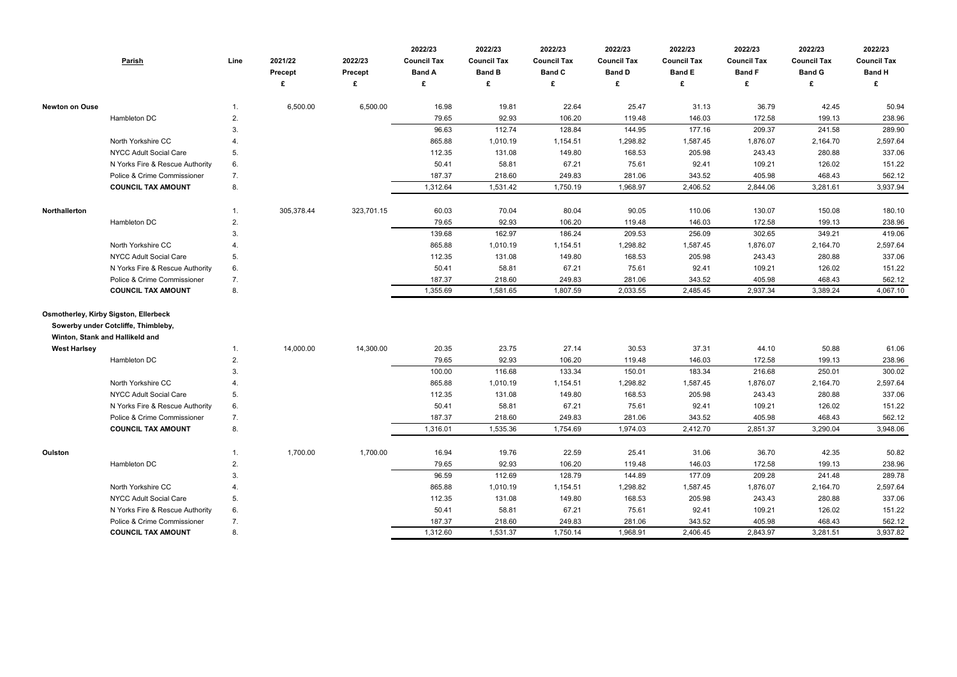|                       | <b>Parish</b>                                                          | Line             | 2021/22    | 2022/23    | 2022/23<br><b>Council Tax</b> | 2022/23<br><b>Council Tax</b> | 2022/23<br><b>Council Tax</b> | 2022/23<br><b>Council Tax</b> | 2022/23<br><b>Council Tax</b> | 2022/23<br><b>Council Tax</b> | 2022/23<br><b>Council Tax</b> | 2022/23<br><b>Council Tax</b> |
|-----------------------|------------------------------------------------------------------------|------------------|------------|------------|-------------------------------|-------------------------------|-------------------------------|-------------------------------|-------------------------------|-------------------------------|-------------------------------|-------------------------------|
|                       |                                                                        |                  | Precept    | Precept    | <b>Band A</b>                 | <b>Band B</b>                 | <b>Band C</b>                 | <b>Band D</b>                 | <b>Band E</b>                 | <b>Band F</b>                 | <b>Band G</b>                 | <b>Band H</b>                 |
|                       |                                                                        |                  |            | £          | £                             | £                             | £                             | £                             | £                             | £                             | £                             |                               |
| <b>Newton on Ouse</b> |                                                                        | 1.               | 6,500.00   | 6,500.00   | 16.98                         | 19.81                         | 22.64                         | 25.47                         | 31.13                         | 36.79                         | 42.45                         | 50.94                         |
|                       | Hambleton DC                                                           | 2.               |            |            | 79.65                         | 92.93                         | 106.20                        | 119.48                        | 146.03                        | 172.58                        | 199.13                        | 238.96                        |
|                       |                                                                        | 3.               |            |            | 96.63                         | 112.74                        | 128.84                        | 144.95                        | 177.16                        | 209.37                        | 241.58                        | 289.90                        |
|                       | North Yorkshire CC                                                     |                  |            |            | 865.88                        | 1,010.19                      | 1,154.51                      | 1,298.82                      | 1,587.45                      | 1,876.07                      | 2,164.70                      | 2,597.64                      |
|                       | <b>NYCC Adult Social Care</b>                                          | 5.               |            |            | 112.35                        | 131.08                        | 149.80                        | 168.53                        | 205.98                        | 243.43                        | 280.88                        | 337.06                        |
|                       | N Yorks Fire & Rescue Authority                                        | 6.               |            |            | 50.41                         | 58.81                         | 67.21                         | 75.61                         | 92.41                         | 109.21                        | 126.02                        | 151.22                        |
|                       | Police & Crime Commissioner                                            | 7.               |            |            | 187.37                        | 218.60                        | 249.83                        | 281.06                        | 343.52                        | 405.98                        | 468.43                        | 562.12                        |
|                       | <b>COUNCIL TAX AMOUNT</b>                                              | 8.               |            |            | 1,312.64                      | 1,531.42                      | 1,750.19                      | 1,968.97                      | 2,406.52                      | 2,844.06                      | 3,281.61                      | 3,937.94                      |
| Northallerton         |                                                                        | 1.               | 305,378.44 | 323,701.15 | 60.03                         | 70.04                         | 80.04                         | 90.05                         | 110.06                        | 130.07                        | 150.08                        | 180.10                        |
|                       | Hambleton DC                                                           | 2.               |            |            | 79.65                         | 92.93                         | 106.20                        | 119.48                        | 146.03                        | 172.58                        | 199.13                        | 238.96                        |
|                       |                                                                        | 3.               |            |            | 139.68                        | 162.97                        | 186.24                        | 209.53                        | 256.09                        | 302.65                        | 349.21                        | 419.06                        |
|                       | North Yorkshire CC                                                     | $\overline{4}$ . |            |            | 865.88                        | 1,010.19                      | 1,154.51                      | 1,298.82                      | 1,587.45                      | 1,876.07                      | 2,164.70                      | 2,597.64                      |
|                       | NYCC Adult Social Care                                                 | 5.               |            |            | 112.35                        | 131.08                        | 149.80                        | 168.53                        | 205.98                        | 243.43                        | 280.88                        | 337.06                        |
|                       | N Yorks Fire & Rescue Authority                                        | 6.               |            |            | 50.41                         | 58.81                         | 67.21                         | 75.61                         | 92.41                         | 109.21                        | 126.02                        | 151.22                        |
|                       | Police & Crime Commissioner                                            | 7.               |            |            | 187.37                        | 218.60                        | 249.83                        | 281.06                        | 343.52                        | 405.98                        | 468.43                        | 562.12                        |
|                       | <b>COUNCIL TAX AMOUNT</b>                                              | 8.               |            |            | 1,355.69                      | 1,581.65                      | 1,807.59                      | 2,033.55                      | 2,485.45                      | 2,937.34                      | 3,389.24                      | 4,067.10                      |
|                       | <b>Osmotherley, Kirby Sigston, Ellerbeck</b>                           |                  |            |            |                               |                               |                               |                               |                               |                               |                               |                               |
|                       | Sowerby under Cotcliffe, Thimbleby,<br>Winton, Stank and Hallikeld and |                  |            |            |                               |                               |                               |                               |                               |                               |                               |                               |
| <b>West Harlsey</b>   |                                                                        | 1.               | 14,000.00  | 14,300.00  | 20.35                         | 23.75                         | 27.14                         | 30.53                         | 37.31                         | 44.10                         | 50.88                         | 61.06                         |
|                       | Hambleton DC                                                           | 2.               |            |            | 79.65                         | 92.93                         | 106.20                        | 119.48                        | 146.03                        | 172.58                        | 199.13                        | 238.96                        |
|                       |                                                                        | 3.               |            |            | 100.00                        | 116.68                        | 133.34                        | 150.01                        | 183.34                        | 216.68                        | 250.01                        | 300.02                        |
|                       | North Yorkshire CC                                                     |                  |            |            | 865.88                        | 1,010.19                      | 1,154.51                      | 1,298.82                      | 1,587.45                      | 1,876.07                      | 2,164.70                      | 2,597.64                      |
|                       | NYCC Adult Social Care                                                 | 5.               |            |            | 112.35                        | 131.08                        | 149.80                        | 168.53                        | 205.98                        | 243.43                        | 280.88                        | 337.06                        |
|                       | N Yorks Fire & Rescue Authority                                        | 6.               |            |            | 50.41                         | 58.81                         | 67.21                         | 75.61                         | 92.41                         | 109.21                        | 126.02                        | 151.22                        |
|                       | Police & Crime Commissioner                                            | 7.               |            |            | 187.37                        | 218.60                        | 249.83                        | 281.06                        | 343.52                        | 405.98                        | 468.43                        | 562.12                        |
|                       | <b>COUNCIL TAX AMOUNT</b>                                              | 8.               |            |            | 1,316.01                      | 1,535.36                      | 1,754.69                      | 1,974.03                      | 2,412.70                      | 2,851.37                      | 3,290.04                      | 3,948.06                      |
| Oulston               |                                                                        | 1.               | 1,700.00   | 1,700.00   | 16.94                         | 19.76                         | 22.59                         | 25.41                         | 31.06                         | 36.70                         | 42.35                         | 50.82                         |
|                       | Hambleton DC                                                           | 2.               |            |            | 79.65                         | 92.93                         | 106.20                        | 119.48                        | 146.03                        | 172.58                        | 199.13                        | 238.96                        |
|                       |                                                                        | 3.               |            |            | 96.59                         | 112.69                        | 128.79                        | 144.89                        | 177.09                        | 209.28                        | 241.48                        | 289.78                        |
|                       | North Yorkshire CC                                                     |                  |            |            | 865.88                        | 1,010.19                      | 1,154.51                      | 1,298.82                      | 1,587.45                      | 1,876.07                      | 2,164.70                      | 2,597.64                      |
|                       | NYCC Adult Social Care                                                 | 5.               |            |            | 112.35                        | 131.08                        | 149.80                        | 168.53                        | 205.98                        | 243.43                        | 280.88                        | 337.06                        |
|                       | N Yorks Fire & Rescue Authority                                        | 6.               |            |            | 50.41                         | 58.81                         | 67.21                         | 75.61                         | 92.41                         | 109.21                        | 126.02                        | 151.22                        |
|                       | Police & Crime Commissioner                                            | 7.               |            |            | 187.37                        | 218.60                        | 249.83                        | 281.06                        | 343.52                        | 405.98                        | 468.43                        | 562.12                        |
|                       | <b>COUNCIL TAX AMOUNT</b>                                              | 8.               |            |            | 1,312.60                      | 1,531.37                      | 1,750.14                      | 1,968.91                      | 2,406.45                      | 2,843.97                      | 3,281.51                      | 3,937.82                      |
|                       |                                                                        |                  |            |            |                               |                               |                               |                               |                               |                               |                               |                               |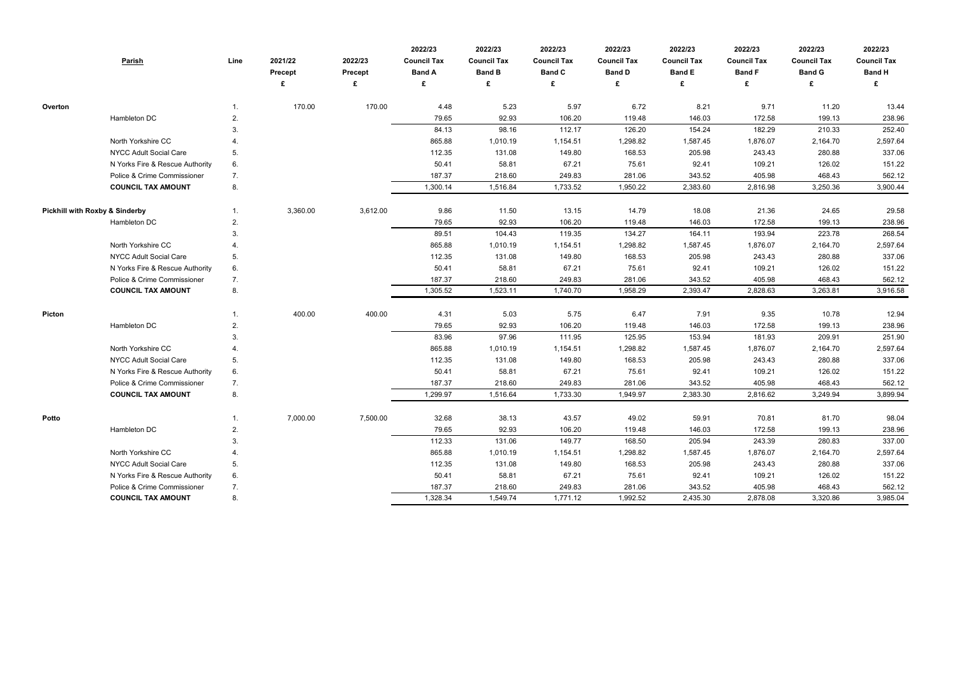|                                           | <b>Parish</b>                   | Line | 2021/22<br>Precept | 2022/23<br>Precept | 2022/23<br><b>Council Tax</b><br><b>Band A</b> | 2022/23<br><b>Council Tax</b><br><b>Band B</b> | 2022/23<br><b>Council Tax</b><br><b>Band C</b> | 2022/23<br><b>Council Tax</b><br><b>Band D</b> | 2022/23<br><b>Council Tax</b><br><b>Band E</b> | 2022/23<br><b>Council Tax</b><br><b>Band F</b> | 2022/23<br><b>Council Tax</b><br><b>Band G</b> | 2022/23<br><b>Council Tax</b><br><b>Band H</b> |
|-------------------------------------------|---------------------------------|------|--------------------|--------------------|------------------------------------------------|------------------------------------------------|------------------------------------------------|------------------------------------------------|------------------------------------------------|------------------------------------------------|------------------------------------------------|------------------------------------------------|
|                                           |                                 |      |                    | £                  | £                                              | £                                              | £                                              | £                                              | £                                              | £                                              | £                                              | £                                              |
| Overton                                   |                                 |      | 170.00             | 170.00             | 4.48                                           | 5.23                                           | 5.97                                           | 6.72                                           | 8.21                                           | 9.71                                           | 11.20                                          | 13.44                                          |
|                                           | Hambleton DC                    | 2.   |                    |                    | 79.65                                          | 92.93                                          | 106.20                                         | 119.48                                         | 146.03                                         | 172.58                                         | 199.13                                         | 238.96                                         |
|                                           |                                 | 3.   |                    |                    | 84.13                                          | 98.16                                          | 112.17                                         | 126.20                                         | 154.24                                         | 182.29                                         | 210.33                                         | 252.40                                         |
|                                           | North Yorkshire CC              |      |                    |                    | 865.88                                         | 1,010.19                                       | 1,154.51                                       | 1,298.82                                       | 1,587.45                                       | 1,876.07                                       | 2,164.70                                       | 2,597.64                                       |
|                                           | NYCC Adult Social Care          | 5.   |                    |                    | 112.35                                         | 131.08                                         | 149.80                                         | 168.53                                         | 205.98                                         | 243.43                                         | 280.88                                         | 337.06                                         |
|                                           | N Yorks Fire & Rescue Authority | 6.   |                    |                    | 50.41                                          | 58.81                                          | 67.21                                          | 75.61                                          | 92.41                                          | 109.21                                         | 126.02                                         | 151.22                                         |
|                                           | Police & Crime Commissioner     | 7.   |                    |                    | 187.37                                         | 218.60                                         | 249.83                                         | 281.06                                         | 343.52                                         | 405.98                                         | 468.43                                         | 562.12                                         |
|                                           | <b>COUNCIL TAX AMOUNT</b>       | 8.   |                    |                    | 1,300.14                                       | 1,516.84                                       | 1,733.52                                       | 1,950.22                                       | 2,383.60                                       | 2,816.98                                       | 3,250.36                                       | 3,900.44                                       |
| <b>Pickhill with Roxby &amp; Sinderby</b> |                                 |      | 3,360.00           | 3,612.00           | 9.86                                           | 11.50                                          | 13.15                                          | 14.79                                          | 18.08                                          | 21.36                                          | 24.65                                          | 29.58                                          |
|                                           | Hambleton DC                    | 2.   |                    |                    | 79.65                                          | 92.93                                          | 106.20                                         | 119.48                                         | 146.03                                         | 172.58                                         | 199.13                                         | 238.96                                         |
|                                           |                                 | 3.   |                    |                    | 89.51                                          | 104.43                                         | 119.35                                         | 134.27                                         | 164.11                                         | 193.94                                         | 223.78                                         | 268.54                                         |
|                                           | North Yorkshire CC              |      |                    |                    | 865.88                                         | 1,010.19                                       | 1,154.51                                       | 1,298.82                                       | 1,587.45                                       | 1,876.07                                       | 2,164.70                                       | 2,597.64                                       |
|                                           | NYCC Adult Social Care          | 5.   |                    |                    | 112.35                                         | 131.08                                         | 149.80                                         | 168.53                                         | 205.98                                         | 243.43                                         | 280.88                                         | 337.06                                         |
|                                           | N Yorks Fire & Rescue Authority | 6.   |                    |                    | 50.41                                          | 58.81                                          | 67.21                                          | 75.61                                          | 92.41                                          | 109.21                                         | 126.02                                         | 151.22                                         |
|                                           | Police & Crime Commissioner     | 7.   |                    |                    | 187.37                                         | 218.60                                         | 249.83                                         | 281.06                                         | 343.52                                         | 405.98                                         | 468.43                                         | 562.12                                         |
|                                           | <b>COUNCIL TAX AMOUNT</b>       | 8.   |                    |                    | 1,305.52                                       | 1,523.11                                       | 1,740.70                                       | 1,958.29                                       | 2,393.47                                       | 2,828.63                                       | 3,263.81                                       | 3,916.58                                       |
| Picton                                    |                                 |      | 400.00             | 400.00             | 4.31                                           | 5.03                                           | 5.75                                           | 6.47                                           | 7.91                                           | 9.35                                           | 10.78                                          | 12.94                                          |
|                                           | Hambleton DC                    | 2.   |                    |                    | 79.65                                          | 92.93                                          | 106.20                                         | 119.48                                         | 146.03                                         | 172.58                                         | 199.13                                         | 238.96                                         |
|                                           |                                 | 3.   |                    |                    | 83.96                                          | 97.96                                          | 111.95                                         | 125.95                                         | 153.94                                         | 181.93                                         | 209.91                                         | 251.90                                         |
|                                           | North Yorkshire CC              |      |                    |                    | 865.88                                         | 1,010.19                                       | 1,154.51                                       | 1,298.82                                       | 1,587.45                                       | 1,876.07                                       | 2,164.70                                       | 2,597.64                                       |
|                                           | NYCC Adult Social Care          | 5.   |                    |                    | 112.35                                         | 131.08                                         | 149.80                                         | 168.53                                         | 205.98                                         | 243.43                                         | 280.88                                         | 337.06                                         |
|                                           | N Yorks Fire & Rescue Authority | 6.   |                    |                    | 50.41                                          | 58.81                                          | 67.21                                          | 75.61                                          | 92.41                                          | 109.21                                         | 126.02                                         | 151.22                                         |
|                                           | Police & Crime Commissioner     | 7.   |                    |                    | 187.37                                         | 218.60                                         | 249.83                                         | 281.06                                         | 343.52                                         | 405.98                                         | 468.43                                         | 562.12                                         |
|                                           | <b>COUNCIL TAX AMOUNT</b>       | 8.   |                    |                    | 1,299.97                                       | 1,516.64                                       | 1,733.30                                       | 1,949.97                                       | 2,383.30                                       | 2,816.62                                       | 3,249.94                                       | 3,899.94                                       |
| Potto                                     |                                 |      | 7,000.00           | 7,500.00           | 32.68                                          | 38.13                                          | 43.57                                          | 49.02                                          | 59.91                                          | 70.81                                          | 81.70                                          | 98.04                                          |
|                                           | Hambleton DC                    | 2.   |                    |                    | 79.65                                          | 92.93                                          | 106.20                                         | 119.48                                         | 146.03                                         | 172.58                                         | 199.13                                         | 238.96                                         |
|                                           |                                 | 3.   |                    |                    | 112.33                                         | 131.06                                         | 149.77                                         | 168.50                                         | 205.94                                         | 243.39                                         | 280.83                                         | 337.00                                         |
|                                           | North Yorkshire CC              | 4.   |                    |                    | 865.88                                         | 1,010.19                                       | 1,154.51                                       | 1,298.82                                       | 1,587.45                                       | 1,876.07                                       | 2,164.70                                       | 2,597.64                                       |
|                                           | NYCC Adult Social Care          | 5.   |                    |                    | 112.35                                         | 131.08                                         | 149.80                                         | 168.53                                         | 205.98                                         | 243.43                                         | 280.88                                         | 337.06                                         |
|                                           | N Yorks Fire & Rescue Authority | 6.   |                    |                    | 50.41                                          | 58.81                                          | 67.21                                          | 75.61                                          | 92.41                                          | 109.21                                         | 126.02                                         | 151.22                                         |
|                                           | Police & Crime Commissioner     | 7.   |                    |                    | 187.37                                         | 218.60                                         | 249.83                                         | 281.06                                         | 343.52                                         | 405.98                                         | 468.43                                         | 562.12                                         |
|                                           | <b>COUNCIL TAX AMOUNT</b>       | 8.   |                    |                    | 1,328.34                                       | 1,549.74                                       | 1,771.12                                       | 1,992.52                                       | 2,435.30                                       | 2,878.08                                       | 3,320.86                                       | 3,985.04                                       |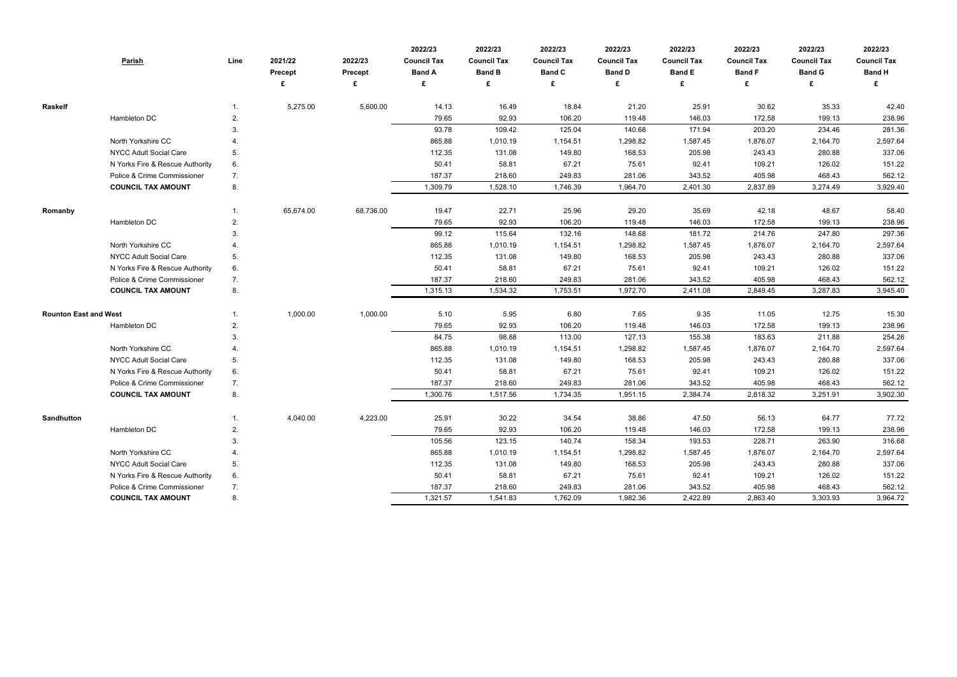|                              | <b>Parish</b>                   | Line | 2021/22<br><b>Precept</b><br>£ | 2022/23<br><b>Precept</b><br>£ | 2022/23<br><b>Council Tax</b><br><b>Band A</b><br>£ | 2022/23<br><b>Council Tax</b><br><b>Band B</b><br>£ | 2022/23<br><b>Council Tax</b><br><b>Band C</b><br>£ | 2022/23<br><b>Council Tax</b><br><b>Band D</b> | 2022/23<br><b>Council Tax</b><br><b>Band E</b><br>£ | 2022/23<br><b>Council Tax</b><br><b>Band F</b><br>£ | 2022/23<br><b>Council Tax</b><br><b>Band G</b><br>£ | 2022/23<br><b>Council Tax</b><br><b>Band H</b><br>£ |
|------------------------------|---------------------------------|------|--------------------------------|--------------------------------|-----------------------------------------------------|-----------------------------------------------------|-----------------------------------------------------|------------------------------------------------|-----------------------------------------------------|-----------------------------------------------------|-----------------------------------------------------|-----------------------------------------------------|
|                              |                                 |      |                                |                                |                                                     |                                                     |                                                     |                                                |                                                     |                                                     |                                                     |                                                     |
| Raskelf                      |                                 |      | 5,275.00                       | 5,600.00                       | 14.13                                               | 16.49                                               | 18.84                                               | 21.20                                          | 25.91                                               | 30.62                                               | 35.33                                               | 42.40                                               |
|                              | Hambleton DC                    | 2.   |                                |                                | 79.65<br>93.78                                      | 92.93<br>109.42                                     | 106.20<br>125.04                                    | 119.48<br>140.68                               | 146.03<br>171.94                                    | 172.58<br>203.20                                    | 199.13<br>234.46                                    | 238.96<br>281.36                                    |
|                              | North Yorkshire CC              | 3.   |                                |                                | 865.88                                              | 1,010.19                                            | 1,154.51                                            | 1,298.82                                       | 1,587.45                                            | 1,876.07                                            | 2,164.70                                            | 2,597.64                                            |
|                              | NYCC Adult Social Care          | 5.   |                                |                                | 112.35                                              | 131.08                                              | 149.80                                              | 168.53                                         | 205.98                                              | 243.43                                              | 280.88                                              | 337.06                                              |
|                              | N Yorks Fire & Rescue Authority | 6.   |                                |                                | 50.41                                               | 58.81                                               | 67.21                                               | 75.61                                          | 92.41                                               | 109.21                                              | 126.02                                              | 151.22                                              |
|                              | Police & Crime Commissioner     | 7.   |                                |                                | 187.37                                              | 218.60                                              | 249.83                                              | 281.06                                         | 343.52                                              | 405.98                                              | 468.43                                              | 562.12                                              |
|                              | <b>COUNCIL TAX AMOUNT</b>       | 8.   |                                |                                | 1,309.79                                            | 1,528.10                                            | 1,746.39                                            | 1,964.70                                       | 2,401.30                                            | 2,837.89                                            | 3,274.49                                            | 3,929.40                                            |
|                              |                                 |      |                                |                                |                                                     |                                                     |                                                     |                                                |                                                     |                                                     |                                                     |                                                     |
| Romanby                      |                                 |      | 65,674.00                      | 68,736.00                      | 19.47                                               | 22.71                                               | 25.96                                               | 29.20                                          | 35.69                                               | 42.18                                               | 48.67                                               | 58.40                                               |
|                              | Hambleton DC                    | 2.   |                                |                                | 79.65                                               | 92.93                                               | 106.20                                              | 119.48                                         | 146.03                                              | 172.58                                              | 199.13                                              | 238.96                                              |
|                              |                                 | 3.   |                                |                                | 99.12                                               | 115.64                                              | 132.16                                              | 148.68                                         | 181.72                                              | 214.76                                              | 247.80                                              | 297.36                                              |
|                              | North Yorkshire CC              |      |                                |                                | 865.88                                              | 1,010.19                                            | 1,154.51                                            | 1,298.82                                       | 1,587.45                                            | 1,876.07                                            | 2,164.70                                            | 2,597.64                                            |
|                              | NYCC Adult Social Care          | 5.   |                                |                                | 112.35                                              | 131.08                                              | 149.80                                              | 168.53                                         | 205.98                                              | 243.43                                              | 280.88                                              | 337.06                                              |
|                              | N Yorks Fire & Rescue Authority | 6.   |                                |                                | 50.41                                               | 58.81                                               | 67.21                                               | 75.61                                          | 92.41                                               | 109.21                                              | 126.02                                              | 151.22                                              |
|                              | Police & Crime Commissioner     | 7.   |                                |                                | 187.37                                              | 218.60                                              | 249.83                                              | 281.06                                         | 343.52                                              | 405.98                                              | 468.43                                              | 562.12                                              |
|                              | <b>COUNCIL TAX AMOUNT</b>       | 8.   |                                |                                | 1,315.13                                            | 1,534.32                                            | 1,753.51                                            | 1,972.70                                       | 2,411.08                                            | 2,849.45                                            | 3,287.83                                            | 3,945.40                                            |
| <b>Rounton East and West</b> |                                 |      | 1,000.00                       | 1,000.00                       | 5.10                                                | 5.95                                                | 6.80                                                | 7.65                                           | 9.35                                                | 11.05                                               | 12.75                                               | 15.30                                               |
|                              | Hambleton DC                    | 2.   |                                |                                | 79.65                                               | 92.93                                               | 106.20                                              | 119.48                                         | 146.03                                              | 172.58                                              | 199.13                                              | 238.96                                              |
|                              |                                 | 3.   |                                |                                | 84.75                                               | 98.88                                               | 113.00                                              | 127.13                                         | 155.38                                              | 183.63                                              | 211.88                                              | 254.26                                              |
|                              | North Yorkshire CC              |      |                                |                                | 865.88                                              | 1,010.19                                            | 1,154.51                                            | 1,298.82                                       | 1,587.45                                            | 1,876.07                                            | 2,164.70                                            | 2,597.64                                            |
|                              | NYCC Adult Social Care          | 5.   |                                |                                | 112.35                                              | 131.08                                              | 149.80                                              | 168.53                                         | 205.98                                              | 243.43                                              | 280.88                                              | 337.06                                              |
|                              | N Yorks Fire & Rescue Authority | 6.   |                                |                                | 50.41                                               | 58.81                                               | 67.21                                               | 75.61                                          | 92.41                                               | 109.21                                              | 126.02                                              | 151.22                                              |
|                              | Police & Crime Commissioner     | 7.   |                                |                                | 187.37                                              | 218.60                                              | 249.83                                              | 281.06                                         | 343.52                                              | 405.98                                              | 468.43                                              | 562.12                                              |
|                              | <b>COUNCIL TAX AMOUNT</b>       | 8.   |                                |                                | 1,300.76                                            | 1,517.56                                            | 1,734.35                                            | 1,951.15                                       | 2,384.74                                            | 2,818.32                                            | 3,251.91                                            | 3,902.30                                            |
|                              |                                 |      |                                |                                |                                                     |                                                     |                                                     |                                                |                                                     |                                                     |                                                     |                                                     |
| Sandhutton                   |                                 |      | 4,040.00                       | 4,223.00                       | 25.91                                               | 30.22                                               | 34.54                                               | 38.86                                          | 47.50                                               | 56.13                                               | 64.77                                               | 77.72                                               |
|                              | Hambleton DC                    | 2.   |                                |                                | 79.65                                               | 92.93                                               | 106.20                                              | 119.48                                         | 146.03                                              | 172.58                                              | 199.13                                              | 238.96                                              |
|                              |                                 | 3.   |                                |                                | 105.56                                              | 123.15                                              | 140.74                                              | 158.34                                         | 193.53                                              | 228.71                                              | 263.90                                              | 316.68                                              |
|                              | North Yorkshire CC              | 4.   |                                |                                | 865.88                                              | 1,010.19                                            | 1,154.51                                            | 1,298.82                                       | 1,587.45                                            | 1,876.07                                            | 2,164.70                                            | 2,597.64                                            |
|                              | NYCC Adult Social Care          | 5.   |                                |                                | 112.35                                              | 131.08                                              | 149.80                                              | 168.53                                         | 205.98                                              | 243.43                                              | 280.88                                              | 337.06                                              |
|                              | N Yorks Fire & Rescue Authority | 6.   |                                |                                | 50.41                                               | 58.81                                               | 67.21                                               | 75.61                                          | 92.41                                               | 109.21                                              | 126.02                                              | 151.22                                              |
|                              | Police & Crime Commissioner     | 7.   |                                |                                | 187.37                                              | 218.60                                              | 249.83                                              | 281.06                                         | 343.52                                              | 405.98                                              | 468.43                                              | 562.12                                              |
|                              | <b>COUNCIL TAX AMOUNT</b>       | 8.   |                                |                                | 1,321.57                                            | 1,541.83                                            | 1,762.09                                            | 1,982.36                                       | 2,422.89                                            | 2,863.40                                            | 3,303.93                                            | 3,964.72                                            |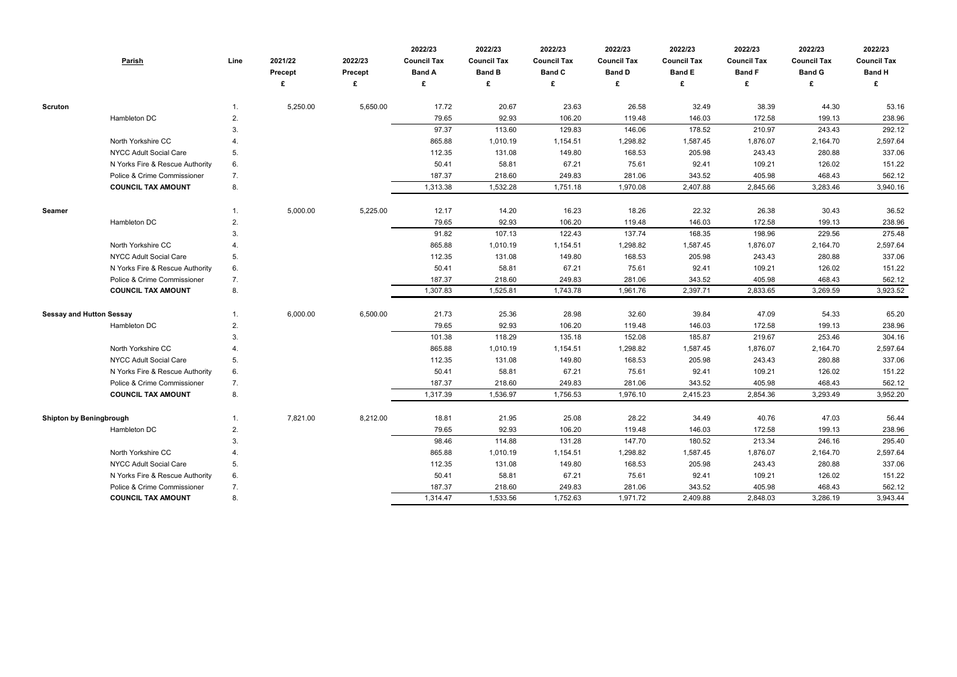|                                 | <b>Parish</b>                   | Line | 2021/22<br>Precept | 2022/23<br>Precept | 2022/23<br><b>Council Tax</b><br><b>Band A</b> | 2022/23<br><b>Council Tax</b><br><b>Band B</b> | 2022/23<br><b>Council Tax</b><br><b>Band C</b> | 2022/23<br><b>Council Tax</b><br><b>Band D</b> | 2022/23<br><b>Council Tax</b><br><b>Band E</b> | 2022/23<br><b>Council Tax</b><br><b>Band F</b> | 2022/23<br><b>Council Tax</b><br><b>Band G</b> | 2022/23<br><b>Council Tax</b><br><b>Band H</b> |
|---------------------------------|---------------------------------|------|--------------------|--------------------|------------------------------------------------|------------------------------------------------|------------------------------------------------|------------------------------------------------|------------------------------------------------|------------------------------------------------|------------------------------------------------|------------------------------------------------|
|                                 |                                 |      |                    | £                  | £                                              | £                                              |                                                |                                                | £                                              | £                                              | £                                              | £                                              |
| <b>Scruton</b>                  |                                 |      | 5,250.00           | 5,650.00           | 17.72                                          | 20.67                                          | 23.63                                          | 26.58                                          | 32.49                                          | 38.39                                          | 44.30                                          | 53.16                                          |
|                                 | Hambleton DC                    | 2.   |                    |                    | 79.65                                          | 92.93                                          | 106.20                                         | 119.48                                         | 146.03                                         | 172.58                                         | 199.13                                         | 238.96                                         |
|                                 |                                 | 3.   |                    |                    | 97.37                                          | 113.60                                         | 129.83                                         | 146.06                                         | 178.52                                         | 210.97                                         | 243.43                                         | 292.12                                         |
|                                 | North Yorkshire CC              |      |                    |                    | 865.88                                         | 1,010.19                                       | 1,154.51                                       | 1,298.82                                       | 1,587.45                                       | 1,876.07                                       | 2,164.70                                       | 2,597.64                                       |
|                                 | <b>NYCC Adult Social Care</b>   | 5.   |                    |                    | 112.35                                         | 131.08                                         | 149.80                                         | 168.53                                         | 205.98                                         | 243.43                                         | 280.88                                         | 337.06                                         |
|                                 | N Yorks Fire & Rescue Authority | 6.   |                    |                    | 50.41                                          | 58.81                                          | 67.21                                          | 75.61                                          | 92.41                                          | 109.21                                         | 126.02                                         | 151.22                                         |
|                                 | Police & Crime Commissioner     | 7.   |                    |                    | 187.37                                         | 218.60                                         | 249.83                                         | 281.06                                         | 343.52                                         | 405.98                                         | 468.43                                         | 562.12                                         |
|                                 | <b>COUNCIL TAX AMOUNT</b>       | 8.   |                    |                    | 1,313.38                                       | 1,532.28                                       | 1,751.18                                       | 1,970.08                                       | 2,407.88                                       | 2,845.66                                       | 3,283.46                                       | 3,940.16                                       |
| <b>Seamer</b>                   |                                 |      | 5,000.00           | 5,225.00           | 12.17                                          | 14.20                                          | 16.23                                          | 18.26                                          | 22.32                                          | 26.38                                          | 30.43                                          | 36.52                                          |
|                                 | Hambleton DC                    | 2.   |                    |                    | 79.65                                          | 92.93                                          | 106.20                                         | 119.48                                         | 146.03                                         | 172.58                                         | 199.13                                         | 238.96                                         |
|                                 |                                 | 3.   |                    |                    | 91.82                                          | 107.13                                         | 122.43                                         | 137.74                                         | 168.35                                         | 198.96                                         | 229.56                                         | 275.48                                         |
|                                 | North Yorkshire CC              |      |                    |                    | 865.88                                         | 1,010.19                                       | 1,154.51                                       | 1,298.82                                       | 1,587.45                                       | 1,876.07                                       | 2,164.70                                       | 2,597.64                                       |
|                                 | <b>NYCC Adult Social Care</b>   | 5.   |                    |                    | 112.35                                         | 131.08                                         | 149.80                                         | 168.53                                         | 205.98                                         | 243.43                                         | 280.88                                         | 337.06                                         |
|                                 | N Yorks Fire & Rescue Authority | 6.   |                    |                    | 50.41                                          | 58.81                                          | 67.21                                          | 75.61                                          | 92.41                                          | 109.21                                         | 126.02                                         | 151.22                                         |
|                                 | Police & Crime Commissioner     | 7.   |                    |                    | 187.37                                         | 218.60                                         | 249.83                                         | 281.06                                         | 343.52                                         | 405.98                                         | 468.43                                         | 562.12                                         |
|                                 | <b>COUNCIL TAX AMOUNT</b>       | 8.   |                    |                    | 1,307.83                                       | 1,525.81                                       | 1,743.78                                       | 1,961.76                                       | 2,397.71                                       | 2,833.65                                       | 3,269.59                                       | 3,923.52                                       |
| <b>Sessay and Hutton Sessay</b> |                                 |      | 6,000.00           | 6,500.00           | 21.73                                          | 25.36                                          | 28.98                                          | 32.60                                          | 39.84                                          | 47.09                                          | 54.33                                          | 65.20                                          |
|                                 | Hambleton DC                    | 2.   |                    |                    | 79.65                                          | 92.93                                          | 106.20                                         | 119.48                                         | 146.03                                         | 172.58                                         | 199.13                                         | 238.96                                         |
|                                 |                                 | 3.   |                    |                    | 101.38                                         | 118.29                                         | 135.18                                         | 152.08                                         | 185.87                                         | 219.67                                         | 253.46                                         | 304.16                                         |
|                                 | North Yorkshire CC              |      |                    |                    | 865.88                                         | 1,010.19                                       | 1,154.51                                       | 1,298.82                                       | 1,587.45                                       | 1,876.07                                       | 2,164.70                                       | 2,597.64                                       |
|                                 | <b>NYCC Adult Social Care</b>   | 5.   |                    |                    | 112.35                                         | 131.08                                         | 149.80                                         | 168.53                                         | 205.98                                         | 243.43                                         | 280.88                                         | 337.06                                         |
|                                 | N Yorks Fire & Rescue Authority | 6.   |                    |                    | 50.41                                          | 58.81                                          | 67.21                                          | 75.61                                          | 92.41                                          | 109.21                                         | 126.02                                         | 151.22                                         |
|                                 | Police & Crime Commissioner     | 7.   |                    |                    | 187.37                                         | 218.60                                         | 249.83                                         | 281.06                                         | 343.52                                         | 405.98                                         | 468.43                                         | 562.12                                         |
|                                 | <b>COUNCIL TAX AMOUNT</b>       | 8.   |                    |                    | 1,317.39                                       | 1,536.97                                       | 1,756.53                                       | 1,976.10                                       | 2,415.23                                       | 2,854.36                                       | 3,293.49                                       | 3,952.20                                       |
| <b>Shipton by Beningbrough</b>  |                                 |      | 7,821.00           | 8,212.00           | 18.81                                          | 21.95                                          | 25.08                                          | 28.22                                          | 34.49                                          | 40.76                                          | 47.03                                          | 56.44                                          |
|                                 | Hambleton DC                    | 2.   |                    |                    | 79.65                                          | 92.93                                          | 106.20                                         | 119.48                                         | 146.03                                         | 172.58                                         | 199.13                                         | 238.96                                         |
|                                 |                                 | 3.   |                    |                    | 98.46                                          | 114.88                                         | 131.28                                         | 147.70                                         | 180.52                                         | 213.34                                         | 246.16                                         | 295.40                                         |
|                                 | North Yorkshire CC              | 4.   |                    |                    | 865.88                                         | 1,010.19                                       | 1,154.51                                       | 1,298.82                                       | 1,587.45                                       | 1,876.07                                       | 2,164.70                                       | 2,597.64                                       |
|                                 | NYCC Adult Social Care          | 5.   |                    |                    | 112.35                                         | 131.08                                         | 149.80                                         | 168.53                                         | 205.98                                         | 243.43                                         | 280.88                                         | 337.06                                         |
|                                 | N Yorks Fire & Rescue Authority | 6.   |                    |                    | 50.41                                          | 58.81                                          | 67.21                                          | 75.61                                          | 92.41                                          | 109.21                                         | 126.02                                         | 151.22                                         |
|                                 | Police & Crime Commissioner     | 7.   |                    |                    | 187.37                                         | 218.60                                         | 249.83                                         | 281.06                                         | 343.52                                         | 405.98                                         | 468.43                                         | 562.12                                         |
|                                 | <b>COUNCIL TAX AMOUNT</b>       | 8.   |                    |                    | 1,314.47                                       | 1,533.56                                       | 1,752.63                                       | 1,971.72                                       | 2,409.88                                       | 2,848.03                                       | 3,286.19                                       | 3,943.44                                       |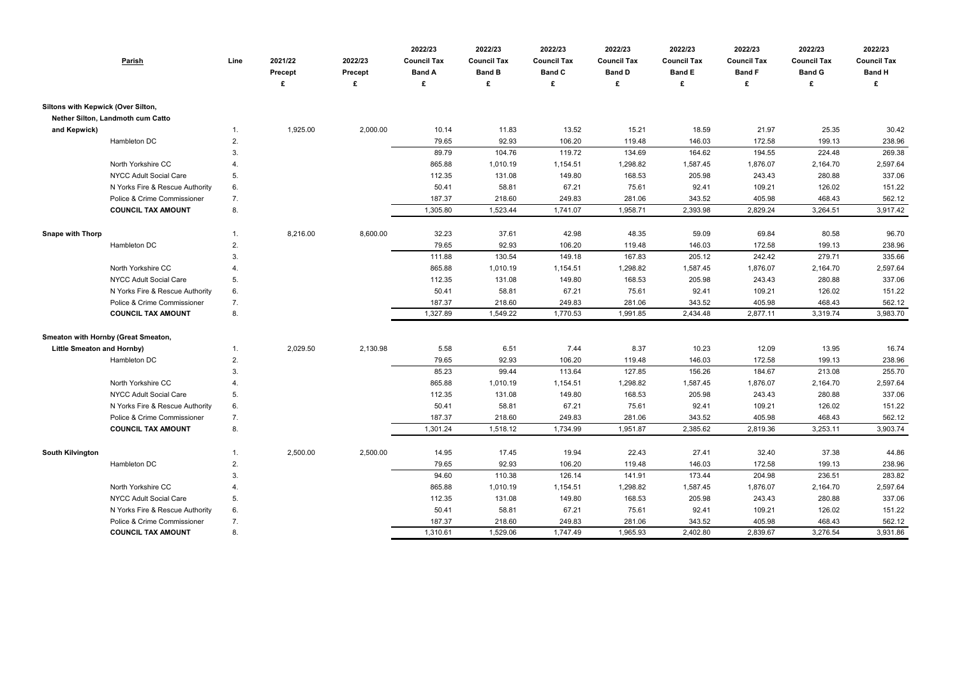|                                     | <b>Parish</b>                                            | Line           | 2021/22<br><b>Precept</b> | 2022/23<br>Precept<br>£ | 2022/23<br><b>Council Tax</b><br><b>Band A</b><br>£ | 2022/23<br><b>Council Tax</b><br><b>Band B</b><br>£ | 2022/23<br><b>Council Tax</b><br><b>Band C</b> | 2022/23<br><b>Council Tax</b><br><b>Band D</b><br>£ | 2022/23<br><b>Council Tax</b><br><b>Band E</b><br>£ | 2022/23<br><b>Council Tax</b><br><b>Band F</b><br>£ | 2022/23<br><b>Council Tax</b><br><b>Band G</b><br>£ | 2022/23<br><b>Council Tax</b><br><b>Band H</b> |
|-------------------------------------|----------------------------------------------------------|----------------|---------------------------|-------------------------|-----------------------------------------------------|-----------------------------------------------------|------------------------------------------------|-----------------------------------------------------|-----------------------------------------------------|-----------------------------------------------------|-----------------------------------------------------|------------------------------------------------|
| Siltons with Kepwick (Over Silton,  |                                                          |                |                           |                         |                                                     |                                                     |                                                |                                                     |                                                     |                                                     |                                                     |                                                |
| Nether Silton, Landmoth cum Catto   |                                                          |                |                           |                         |                                                     |                                                     |                                                |                                                     |                                                     |                                                     |                                                     |                                                |
| and Kepwick)                        |                                                          | $\mathbf{1}$ . | 1,925.00                  | 2,000.00                | 10.14                                               | 11.83                                               | 13.52                                          | 15.21                                               | 18.59                                               | 21.97                                               | 25.35                                               | 30.42                                          |
|                                     | Hambleton DC                                             | 2.             |                           |                         | 79.65                                               | 92.93                                               | 106.20                                         | 119.48                                              | 146.03                                              | 172.58                                              | 199.13                                              | 238.96                                         |
|                                     |                                                          | 3.             |                           |                         | 89.79                                               | 104.76                                              | 119.72                                         | 134.69                                              | 164.62                                              | 194.55                                              | 224.48                                              | 269.38                                         |
|                                     | North Yorkshire CC                                       | 4.             |                           |                         | 865.88                                              | 1,010.19                                            | 1,154.51                                       | 1,298.82                                            | 1,587.45                                            | 1,876.07                                            | 2,164.70                                            | 2,597.64                                       |
|                                     | NYCC Adult Social Care                                   | 5.             |                           |                         | 112.35                                              | 131.08                                              | 149.80                                         | 168.53                                              | 205.98                                              | 243.43                                              | 280.88                                              | 337.06                                         |
|                                     | N Yorks Fire & Rescue Authority                          | 6.             |                           |                         | 50.41                                               | 58.81                                               | 67.21                                          | 75.61                                               | 92.41                                               | 109.21                                              | 126.02                                              | 151.22                                         |
|                                     | Police & Crime Commissioner<br><b>COUNCIL TAX AMOUNT</b> | 7.<br>8.       |                           |                         | 187.37<br>1,305.80                                  | 218.60<br>1,523.44                                  | 249.83<br>1,741.07                             | 281.06<br>1,958.71                                  | 343.52<br>2,393.98                                  | 405.98<br>2,829.24                                  | 468.43<br>3,264.51                                  | 562.12<br>3,917.42                             |
|                                     |                                                          |                |                           |                         |                                                     |                                                     |                                                |                                                     |                                                     |                                                     |                                                     |                                                |
| <b>Snape with Thorp</b>             |                                                          | $\mathbf{1}$ . | 8,216.00                  | 8,600.00                | 32.23                                               | 37.61                                               | 42.98                                          | 48.35                                               | 59.09                                               | 69.84                                               | 80.58                                               | 96.70                                          |
|                                     | Hambleton DC                                             | 2.             |                           |                         | 79.65                                               | 92.93                                               | 106.20                                         | 119.48                                              | 146.03                                              | 172.58                                              | 199.13                                              | 238.96                                         |
|                                     |                                                          | 3.             |                           |                         | 111.88                                              | 130.54                                              | 149.18                                         | 167.83                                              | 205.12                                              | 242.42                                              | 279.71                                              | 335.66                                         |
|                                     | North Yorkshire CC                                       | 4.             |                           |                         | 865.88                                              | 1,010.19                                            | 1,154.51                                       | 1,298.82                                            | 1,587.45                                            | 1,876.07                                            | 2,164.70                                            | 2,597.64                                       |
|                                     | <b>NYCC Adult Social Care</b>                            | 5.             |                           |                         | 112.35                                              | 131.08                                              | 149.80                                         | 168.53                                              | 205.98                                              | 243.43                                              | 280.88                                              | 337.06                                         |
|                                     | N Yorks Fire & Rescue Authority                          | 6.             |                           |                         | 50.41                                               | 58.81                                               | 67.21                                          | 75.61                                               | 92.41                                               | 109.21                                              | 126.02                                              | 151.22                                         |
|                                     | Police & Crime Commissioner                              | 7.             |                           |                         | 187.37                                              | 218.60                                              | 249.83                                         | 281.06                                              | 343.52                                              | 405.98                                              | 468.43                                              | 562.12                                         |
|                                     | <b>COUNCIL TAX AMOUNT</b>                                | 8.             |                           |                         | 1,327.89                                            | 1,549.22                                            | 1,770.53                                       | 1,991.85                                            | 2,434.48                                            | 2,877.11                                            | 3,319.74                                            | 3,983.70                                       |
| Smeaton with Hornby (Great Smeaton, |                                                          |                |                           |                         |                                                     |                                                     |                                                |                                                     |                                                     |                                                     |                                                     |                                                |
| <b>Little Smeaton and Hornby)</b>   |                                                          | $\mathbf{1}$ . | 2,029.50                  | 2,130.98                | 5.58                                                | 6.51                                                | 7.44                                           | 8.37                                                | 10.23                                               | 12.09                                               | 13.95                                               | 16.74                                          |
|                                     | Hambleton DC                                             | 2.             |                           |                         | 79.65                                               | 92.93                                               | 106.20                                         | 119.48                                              | 146.03                                              | 172.58                                              | 199.13                                              | 238.96                                         |
|                                     |                                                          | 3.             |                           |                         | 85.23                                               | 99.44                                               | 113.64                                         | 127.85                                              | 156.26                                              | 184.67                                              | 213.08                                              | 255.70                                         |
|                                     | North Yorkshire CC                                       | 4.             |                           |                         | 865.88                                              | 1,010.19                                            | 1,154.51                                       | 1,298.82                                            | 1,587.45                                            | 1,876.07                                            | 2,164.70                                            | 2,597.64                                       |
|                                     | <b>NYCC Adult Social Care</b>                            | 5.             |                           |                         | 112.35                                              | 131.08                                              | 149.80                                         | 168.53                                              | 205.98                                              | 243.43                                              | 280.88                                              | 337.06                                         |
|                                     | N Yorks Fire & Rescue Authority                          | 6.             |                           |                         | 50.41                                               | 58.81                                               | 67.21                                          | 75.61                                               | 92.41                                               | 109.21                                              | 126.02                                              | 151.22                                         |
|                                     | Police & Crime Commissioner                              | 7.             |                           |                         | 187.37                                              | 218.60                                              | 249.83                                         | 281.06                                              | 343.52                                              | 405.98                                              | 468.43                                              | 562.12                                         |
|                                     | <b>COUNCIL TAX AMOUNT</b>                                | 8.             |                           |                         | 1,301.24                                            | 1,518.12                                            | 1,734.99                                       | 1,951.87                                            | 2,385.62                                            | 2,819.36                                            | 3,253.11                                            | 3,903.74                                       |
|                                     |                                                          |                |                           |                         |                                                     |                                                     |                                                |                                                     |                                                     |                                                     |                                                     |                                                |
| <b>South Kilvington</b>             |                                                          | $\mathbf{1}$ . | 2,500.00                  | 2,500.00                | 14.95                                               | 17.45                                               | 19.94                                          | 22.43                                               | 27.41                                               | 32.40                                               | 37.38                                               | 44.86                                          |
|                                     | Hambleton DC                                             | 2.             |                           |                         | 79.65<br>94.60                                      | 92.93<br>110.38                                     | 106.20<br>126.14                               | 119.48<br>141.91                                    | 146.03<br>173.44                                    | 172.58<br>204.98                                    | 199.13<br>236.51                                    | 238.96<br>283.82                               |
|                                     | North Yorkshire CC                                       | 3.             |                           |                         | 865.88                                              | 1,010.19                                            | 1,154.51                                       | 1,298.82                                            | 1,587.45                                            | 1,876.07                                            | 2,164.70                                            | 2,597.64                                       |
|                                     | <b>NYCC Adult Social Care</b>                            | 5.             |                           |                         | 112.35                                              | 131.08                                              | 149.80                                         | 168.53                                              | 205.98                                              | 243.43                                              | 280.88                                              | 337.06                                         |
|                                     | N Yorks Fire & Rescue Authority                          | 6.             |                           |                         | 50.41                                               | 58.81                                               | 67.21                                          | 75.61                                               | 92.41                                               | 109.21                                              | 126.02                                              | 151.22                                         |
|                                     | Police & Crime Commissioner                              | 7.             |                           |                         | 187.37                                              | 218.60                                              | 249.83                                         | 281.06                                              | 343.52                                              | 405.98                                              | 468.43                                              | 562.12                                         |
|                                     | <b>COUNCIL TAX AMOUNT</b>                                | 8.             |                           |                         | 1,310.61                                            | 1,529.06                                            | 1,747.49                                       | 1,965.93                                            | 2,402.80                                            | 2,839.67                                            | 3,276.54                                            | 3,931.86                                       |

| 2022/23            | 2022/23            | 2022/23            |
|--------------------|--------------------|--------------------|
| <b>Council Tax</b> | <b>Council Tax</b> | <b>Council Tax</b> |
| <b>Band F</b>      | <b>Band G</b>      | <b>Band H</b>      |
|                    | £.                 | £                  |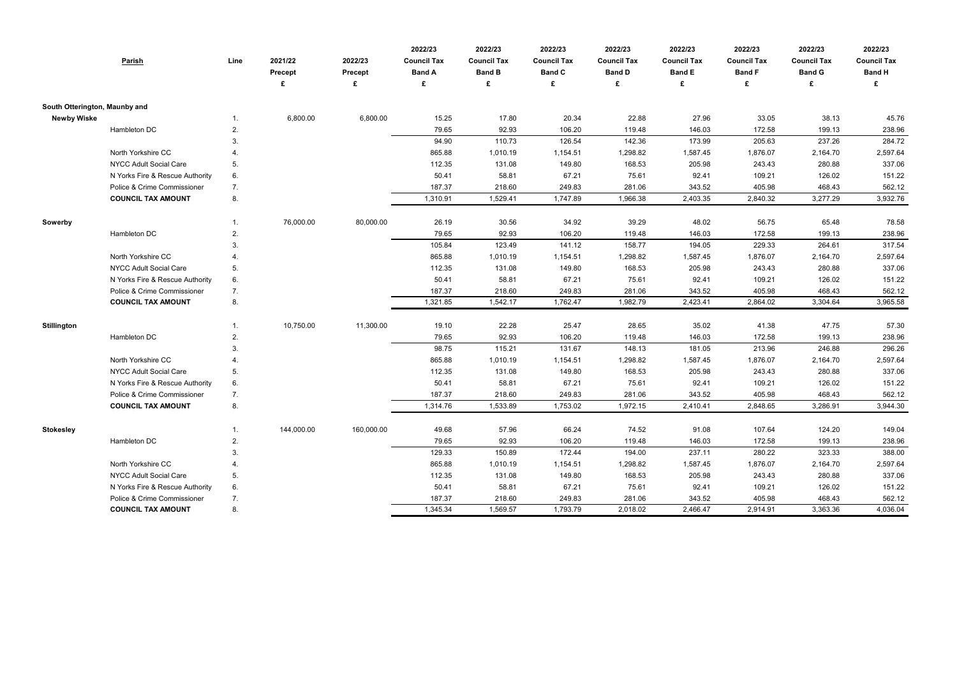|                               | <b>Parish</b>                   | Line           | 2021/22<br><b>Precept</b> | 2022/23<br><b>Precept</b> | 2022/23<br><b>Council Tax</b><br><b>Band A</b> | 2022/23<br><b>Council Tax</b><br><b>Band B</b> | 2022/23<br><b>Council Tax</b><br><b>Band C</b> | 2022/23<br><b>Council Tax</b><br><b>Band D</b> | 2022/23<br><b>Council Tax</b><br><b>Band E</b> | 2022/23<br><b>Council Tax</b><br><b>Band F</b> | 2022/23<br><b>Council Tax</b><br><b>Band G</b> | 2022/23<br><b>Council Tax</b><br><b>Band H</b> |
|-------------------------------|---------------------------------|----------------|---------------------------|---------------------------|------------------------------------------------|------------------------------------------------|------------------------------------------------|------------------------------------------------|------------------------------------------------|------------------------------------------------|------------------------------------------------|------------------------------------------------|
|                               |                                 |                |                           | £                         | £                                              | £                                              | £                                              |                                                | £                                              | £                                              | £                                              |                                                |
| South Otterington, Maunby and |                                 |                |                           |                           |                                                |                                                |                                                |                                                |                                                |                                                |                                                |                                                |
| <b>Newby Wiske</b>            |                                 | 1.             | 6,800.00                  | 6,800.00                  | 15.25                                          | 17.80                                          | 20.34                                          | 22.88                                          | 27.96                                          | 33.05                                          | 38.13                                          | 45.76                                          |
|                               | Hambleton DC                    | 2.             |                           |                           | 79.65                                          | 92.93                                          | 106.20                                         | 119.48                                         | 146.03                                         | 172.58                                         | 199.13                                         | 238.96                                         |
|                               |                                 | 3.             |                           |                           | 94.90                                          | 110.73                                         | 126.54                                         | 142.36                                         | 173.99                                         | 205.63                                         | 237.26                                         | 284.72                                         |
|                               | North Yorkshire CC              | 4.             |                           |                           | 865.88                                         | 1,010.19                                       | 1,154.51                                       | 1,298.82                                       | 1,587.45                                       | 1,876.07                                       | 2,164.70                                       | 2,597.64                                       |
|                               | <b>NYCC Adult Social Care</b>   | 5.             |                           |                           | 112.35                                         | 131.08                                         | 149.80                                         | 168.53                                         | 205.98                                         | 243.43                                         | 280.88                                         | 337.06                                         |
|                               | N Yorks Fire & Rescue Authority | 6.             |                           |                           | 50.41                                          | 58.81                                          | 67.21                                          | 75.61                                          | 92.41                                          | 109.21                                         | 126.02                                         | 151.22                                         |
|                               | Police & Crime Commissioner     | 7.             |                           |                           | 187.37                                         | 218.60                                         | 249.83                                         | 281.06                                         | 343.52                                         | 405.98                                         | 468.43                                         | 562.12                                         |
|                               | <b>COUNCIL TAX AMOUNT</b>       | 8.             |                           |                           | 1,310.91                                       | 1,529.41                                       | 1,747.89                                       | 1,966.38                                       | 2,403.35                                       | 2,840.32                                       | 3,277.29                                       | 3,932.76                                       |
|                               |                                 |                |                           |                           |                                                |                                                |                                                |                                                |                                                |                                                |                                                |                                                |
| Sowerby                       |                                 |                | 76,000.00                 | 80,000.00                 | 26.19                                          | 30.56                                          | 34.92                                          | 39.29                                          | 48.02                                          | 56.75                                          | 65.48                                          | 78.58                                          |
|                               | Hambleton DC                    | 2.             |                           |                           | 79.65                                          | 92.93                                          | 106.20                                         | 119.48                                         | 146.03                                         | 172.58                                         | 199.13                                         | 238.96                                         |
|                               |                                 | 3.             |                           |                           | 105.84                                         | 123.49                                         | 141.12                                         | 158.77                                         | 194.05                                         | 229.33                                         | 264.61                                         | 317.54                                         |
|                               | North Yorkshire CC              | 4.             |                           |                           | 865.88                                         | 1,010.19                                       | 1,154.51                                       | 1,298.82                                       | 1,587.45                                       | 1,876.07                                       | 2,164.70                                       | 2,597.64                                       |
|                               | <b>NYCC Adult Social Care</b>   | 5.             |                           |                           | 112.35                                         | 131.08                                         | 149.80                                         | 168.53                                         | 205.98                                         | 243.43                                         | 280.88                                         | 337.06                                         |
|                               | N Yorks Fire & Rescue Authority | 6.             |                           |                           | 50.41                                          | 58.81                                          | 67.21                                          | 75.61                                          | 92.41                                          | 109.21                                         | 126.02                                         | 151.22                                         |
|                               | Police & Crime Commissioner     | 7.             |                           |                           | 187.37                                         | 218.60                                         | 249.83                                         | 281.06                                         | 343.52                                         | 405.98                                         | 468.43                                         | 562.12                                         |
|                               | <b>COUNCIL TAX AMOUNT</b>       | 8.             |                           |                           | 1,321.85                                       | 1,542.17                                       | 1,762.47                                       | 1,982.79                                       | 2,423.41                                       | 2,864.02                                       | 3,304.64                                       | 3,965.58                                       |
| <b>Stillington</b>            |                                 | 1.             | 10,750.00                 | 11,300.00                 | 19.10                                          | 22.28                                          | 25.47                                          | 28.65                                          | 35.02                                          | 41.38                                          | 47.75                                          | 57.30                                          |
|                               | Hambleton DC                    | 2.             |                           |                           | 79.65                                          | 92.93                                          | 106.20                                         | 119.48                                         | 146.03                                         | 172.58                                         | 199.13                                         | 238.96                                         |
|                               |                                 | 3.             |                           |                           | 98.75                                          | 115.21                                         | 131.67                                         | 148.13                                         | 181.05                                         | 213.96                                         | 246.88                                         | 296.26                                         |
|                               | North Yorkshire CC              | 4.             |                           |                           | 865.88                                         | 1,010.19                                       | 1,154.51                                       | 1,298.82                                       | 1,587.45                                       | 1,876.07                                       | 2,164.70                                       | 2,597.64                                       |
|                               | NYCC Adult Social Care          | 5.             |                           |                           | 112.35                                         | 131.08                                         | 149.80                                         | 168.53                                         | 205.98                                         | 243.43                                         | 280.88                                         | 337.06                                         |
|                               | N Yorks Fire & Rescue Authority | 6.             |                           |                           | 50.41                                          | 58.81                                          | 67.21                                          | 75.61                                          | 92.41                                          | 109.21                                         | 126.02                                         | 151.22                                         |
|                               | Police & Crime Commissioner     | 7.             |                           |                           | 187.37                                         | 218.60                                         | 249.83                                         | 281.06                                         | 343.52                                         | 405.98                                         | 468.43                                         | 562.12                                         |
|                               | <b>COUNCIL TAX AMOUNT</b>       | 8.             |                           |                           | 1,314.76                                       | 1,533.89                                       | 1,753.02                                       | 1,972.15                                       | 2,410.41                                       | 2,848.65                                       | 3,286.91                                       | 3,944.30                                       |
|                               |                                 |                |                           |                           |                                                |                                                |                                                |                                                |                                                |                                                |                                                |                                                |
| <b>Stokesley</b>              |                                 | $\mathbf{1}$ . | 144,000.00                | 160,000.00                | 49.68                                          | 57.96                                          | 66.24                                          | 74.52                                          | 91.08                                          | 107.64                                         | 124.20                                         | 149.04                                         |
|                               | Hambleton DC                    | 2.             |                           |                           | 79.65                                          | 92.93                                          | 106.20                                         | 119.48                                         | 146.03                                         | 172.58                                         | 199.13                                         | 238.96                                         |
|                               |                                 | 3.             |                           |                           | 129.33                                         | 150.89                                         | 172.44                                         | 194.00                                         | 237.11                                         | 280.22                                         | 323.33                                         | 388.00                                         |
|                               | North Yorkshire CC              | 4.             |                           |                           | 865.88                                         | 1,010.19                                       | 1,154.51                                       | 1,298.82                                       | 1,587.45                                       | 1,876.07                                       | 2,164.70                                       | 2,597.64                                       |
|                               | NYCC Adult Social Care          | 5.             |                           |                           | 112.35                                         | 131.08                                         | 149.80                                         | 168.53                                         | 205.98                                         | 243.43                                         | 280.88                                         | 337.06                                         |
|                               | N Yorks Fire & Rescue Authority | 6.             |                           |                           | 50.41                                          | 58.81                                          | 67.21                                          | 75.61                                          | 92.41                                          | 109.21                                         | 126.02                                         | 151.22                                         |
|                               | Police & Crime Commissioner     | 7.             |                           |                           | 187.37                                         | 218.60                                         | 249.83                                         | 281.06                                         | 343.52                                         | 405.98                                         | 468.43                                         | 562.12                                         |
|                               | <b>COUNCIL TAX AMOUNT</b>       | 8.             |                           |                           | 1,345.34                                       | 1,569.57                                       | 1,793.79                                       | 2,018.02                                       | 2,466.47                                       | 2,914.91                                       | 3,363.36                                       | 4,036.04                                       |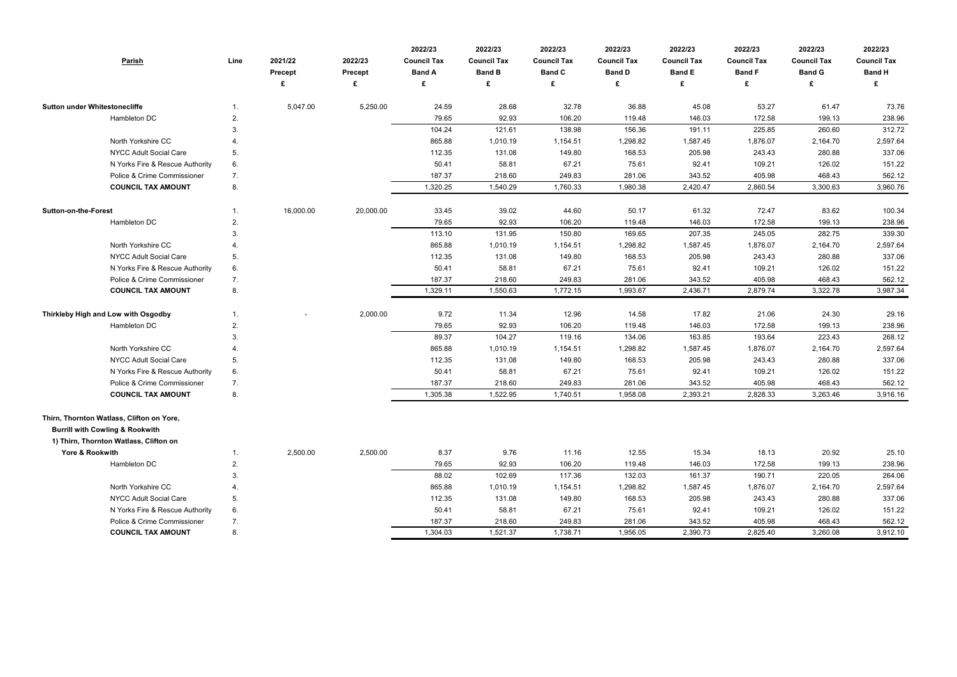| <b>Parish</b>                                                                                                                     | Line | 2021/22<br>Precept | 2022/23<br>Precept<br>£ | 2022/23<br><b>Council Tax</b><br><b>Band A</b><br>£ | 2022/23<br><b>Council Tax</b><br><b>Band B</b><br>£ | 2022/23<br><b>Council Tax</b><br><b>Band C</b><br>£ | 2022/23<br><b>Council Tax</b><br><b>Band D</b><br>£ | 2022/23<br><b>Council Tax</b><br><b>Band E</b><br>£ | 2022/23<br><b>Council Tax</b><br><b>Band F</b><br>£ | 2022/23<br><b>Council Tax</b><br><b>Band G</b><br>£ | 2022/23<br><b>Council Tax</b><br><b>Band H</b> |
|-----------------------------------------------------------------------------------------------------------------------------------|------|--------------------|-------------------------|-----------------------------------------------------|-----------------------------------------------------|-----------------------------------------------------|-----------------------------------------------------|-----------------------------------------------------|-----------------------------------------------------|-----------------------------------------------------|------------------------------------------------|
| <b>Sutton under Whitestonecliffe</b>                                                                                              |      | 5,047.00           | 5,250.00                | 24.59                                               | 28.68                                               | 32.78                                               | 36.88                                               | 45.08                                               | 53.27                                               | 61.47                                               | 73.76                                          |
| Hambleton DC                                                                                                                      | 2.   |                    |                         | 79.65                                               | 92.93                                               | 106.20                                              | 119.48                                              | 146.03                                              | 172.58                                              | 199.13                                              | 238.96                                         |
|                                                                                                                                   | 3.   |                    |                         | 104.24                                              | 121.61                                              | 138.98                                              | 156.36                                              | 191.11                                              | 225.85                                              | 260.60                                              | 312.72                                         |
| North Yorkshire CC                                                                                                                |      |                    |                         | 865.88                                              | 1,010.19                                            | 1,154.51                                            | 1,298.82                                            | 1,587.45                                            | 1,876.07                                            | 2,164.70                                            | 2,597.64                                       |
| NYCC Adult Social Care                                                                                                            | 5.   |                    |                         | 112.35                                              | 131.08                                              | 149.80                                              | 168.53                                              | 205.98                                              | 243.43                                              | 280.88                                              | 337.06                                         |
| N Yorks Fire & Rescue Authority                                                                                                   | 6.   |                    |                         | 50.41                                               | 58.81                                               | 67.21                                               | 75.61                                               | 92.41                                               | 109.21                                              | 126.02                                              | 151.22                                         |
| Police & Crime Commissioner                                                                                                       | 7.   |                    |                         | 187.37                                              | 218.60                                              | 249.83                                              | 281.06                                              | 343.52                                              | 405.98                                              | 468.43                                              | 562.12                                         |
| <b>COUNCIL TAX AMOUNT</b>                                                                                                         | 8.   |                    |                         | 1,320.25                                            | 1,540.29                                            | 1,760.33                                            | 1,980.38                                            | 2,420.47                                            | 2,860.54                                            | 3,300.63                                            | 3,960.76                                       |
| <b>Sutton-on-the-Forest</b>                                                                                                       |      | 16,000.00          | 20,000.00               | 33.45                                               | 39.02                                               | 44.60                                               | 50.17                                               | 61.32                                               | 72.47                                               | 83.62                                               | 100.34                                         |
| Hambleton DC                                                                                                                      | 2.   |                    |                         | 79.65                                               | 92.93                                               | 106.20                                              | 119.48                                              | 146.03                                              | 172.58                                              | 199.13                                              | 238.96                                         |
|                                                                                                                                   | 3.   |                    |                         | 113.10                                              | 131.95                                              | 150.80                                              | 169.65                                              | 207.35                                              | 245.05                                              | 282.75                                              | 339.30                                         |
| North Yorkshire CC                                                                                                                |      |                    |                         | 865.88                                              | 1,010.19                                            | 1,154.51                                            | 1,298.82                                            | 1,587.45                                            | 1,876.07                                            | 2,164.70                                            | 2,597.64                                       |
| NYCC Adult Social Care                                                                                                            | 5.   |                    |                         | 112.35                                              | 131.08                                              | 149.80                                              | 168.53                                              | 205.98                                              | 243.43                                              | 280.88                                              | 337.06                                         |
| N Yorks Fire & Rescue Authority                                                                                                   | 6.   |                    |                         | 50.41                                               | 58.81                                               | 67.21                                               | 75.61                                               | 92.41                                               | 109.21                                              | 126.02                                              | 151.22                                         |
| Police & Crime Commissioner                                                                                                       | 7.   |                    |                         | 187.37                                              | 218.60                                              | 249.83                                              | 281.06                                              | 343.52                                              | 405.98                                              | 468.43                                              | 562.12                                         |
| <b>COUNCIL TAX AMOUNT</b>                                                                                                         | 8.   |                    |                         | 1,329.11                                            | 1,550.63                                            | 1,772.15                                            | 1,993.67                                            | 2,436.71                                            | 2,879.74                                            | 3,322.78                                            | 3,987.34                                       |
| Thirkleby High and Low with Osgodby                                                                                               |      |                    | 2,000.00                | 9.72                                                | 11.34                                               | 12.96                                               | 14.58                                               | 17.82                                               | 21.06                                               | 24.30                                               | 29.16                                          |
| Hambleton DC                                                                                                                      | 2.   |                    |                         | 79.65                                               | 92.93                                               | 106.20                                              | 119.48                                              | 146.03                                              | 172.58                                              | 199.13                                              | 238.96                                         |
|                                                                                                                                   | 3.   |                    |                         | 89.37                                               | 104.27                                              | 119.16                                              | 134.06                                              | 163.85                                              | 193.64                                              | 223.43                                              | 268.12                                         |
| North Yorkshire CC                                                                                                                |      |                    |                         | 865.88                                              | 1,010.19                                            | 1,154.51                                            | 1,298.82                                            | 1,587.45                                            | 1,876.07                                            | 2,164.70                                            | 2,597.64                                       |
| NYCC Adult Social Care                                                                                                            | 5.   |                    |                         | 112.35                                              | 131.08                                              | 149.80                                              | 168.53                                              | 205.98                                              | 243.43                                              | 280.88                                              | 337.06                                         |
| N Yorks Fire & Rescue Authority                                                                                                   | 6.   |                    |                         | 50.41                                               | 58.81                                               | 67.21                                               | 75.61                                               | 92.41                                               | 109.21                                              | 126.02                                              | 151.22                                         |
| Police & Crime Commissioner                                                                                                       | 7.   |                    |                         | 187.37                                              | 218.60                                              | 249.83                                              | 281.06                                              | 343.52                                              | 405.98                                              | 468.43                                              | 562.12                                         |
| <b>COUNCIL TAX AMOUNT</b>                                                                                                         | 8.   |                    |                         | 1,305.38                                            | 1,522.95                                            | 1,740.51                                            | 1,958.08                                            | 2,393.21                                            | 2,828.33                                            | 3,263.46                                            | 3,916.16                                       |
| Thirn, Thornton Watlass, Clifton on Yore,<br><b>Burrill with Cowling &amp; Rookwith</b><br>1) Thirn, Thornton Watlass, Clifton on |      |                    |                         |                                                     |                                                     |                                                     |                                                     |                                                     |                                                     |                                                     |                                                |
| Yore & Rookwith                                                                                                                   |      | 2,500.00           | 2,500.00                | 8.37                                                | 9.76                                                | 11.16                                               | 12.55                                               | 15.34                                               | 18.13                                               | 20.92                                               | 25.10                                          |
| Hambleton DC                                                                                                                      | 2.   |                    |                         | 79.65                                               | 92.93                                               | 106.20                                              | 119.48                                              | 146.03                                              | 172.58                                              | 199.13                                              | 238.96                                         |
|                                                                                                                                   | 3.   |                    |                         | 88.02                                               | 102.69                                              | 117.36                                              | 132.03                                              | 161.37                                              | 190.71                                              | 220.05                                              | 264.06                                         |
| North Yorkshire CC                                                                                                                | 4.   |                    |                         | 865.88                                              | 1,010.19                                            | 1,154.51                                            | 1,298.82                                            | 1,587.45                                            | 1,876.07                                            | 2,164.70                                            | 2,597.64                                       |
| <b>NYCC Adult Social Care</b>                                                                                                     | 5.   |                    |                         | 112.35                                              | 131.08                                              | 149.80                                              | 168.53                                              | 205.98                                              | 243.43                                              | 280.88                                              | 337.06                                         |
| N Yorks Fire & Rescue Authority                                                                                                   | 6.   |                    |                         | 50.41                                               | 58.81                                               | 67.21                                               | 75.61                                               | 92.41                                               | 109.21                                              | 126.02                                              | 151.22                                         |
| Police & Crime Commissioner                                                                                                       | 7.   |                    |                         | 187.37                                              | 218.60                                              | 249.83                                              | 281.06                                              | 343.52                                              | 405.98                                              | 468.43                                              | 562.12                                         |
| <b>COUNCIL TAX AMOUNT</b>                                                                                                         | 8.   |                    |                         | 1,304.03                                            | 1,521.37                                            | 1,738.71                                            | 1,956.05                                            | 2,390.73                                            | 2,825.40                                            | 3,260.08                                            | 3,912.10                                       |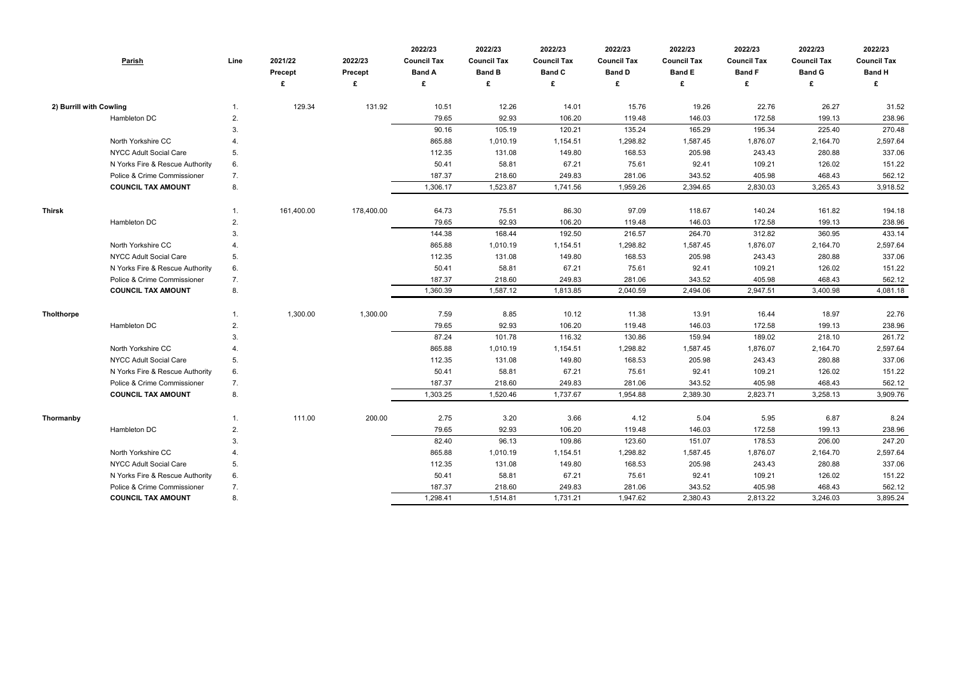|                         | Parish                          | Line | 2021/22<br><b>Precept</b><br>£ | 2022/23<br><b>Precept</b><br>£ | 2022/23<br><b>Council Tax</b><br><b>Band A</b><br>£ | 2022/23<br><b>Council Tax</b><br><b>Band B</b><br>£ | 2022/23<br><b>Council Tax</b><br><b>Band C</b><br>£ | 2022/23<br><b>Council Tax</b><br><b>Band D</b><br>£ | 2022/23<br><b>Council Tax</b><br><b>Band E</b><br>£ | 2022/23<br><b>Council Tax</b><br><b>Band F</b><br>£ | 2022/23<br><b>Council Tax</b><br><b>Band G</b><br>£ | 2022/23<br><b>Council Tax</b><br><b>Band H</b><br>£ |
|-------------------------|---------------------------------|------|--------------------------------|--------------------------------|-----------------------------------------------------|-----------------------------------------------------|-----------------------------------------------------|-----------------------------------------------------|-----------------------------------------------------|-----------------------------------------------------|-----------------------------------------------------|-----------------------------------------------------|
|                         |                                 |      |                                |                                |                                                     |                                                     |                                                     |                                                     |                                                     |                                                     |                                                     |                                                     |
| 2) Burrill with Cowling |                                 | 1.   | 129.34                         | 131.92                         | 10.51                                               | 12.26                                               | 14.01                                               | 15.76                                               | 19.26                                               | 22.76                                               | 26.27                                               | 31.52                                               |
|                         | Hambleton DC                    | 2.   |                                |                                | 79.65                                               | 92.93                                               | 106.20                                              | 119.48                                              | 146.03                                              | 172.58                                              | 199.13                                              | 238.96                                              |
|                         |                                 | 3.   |                                |                                | 90.16                                               | 105.19                                              | 120.21                                              | 135.24                                              | 165.29                                              | 195.34                                              | 225.40                                              | 270.48                                              |
|                         | North Yorkshire CC              |      |                                |                                | 865.88                                              | 1,010.19                                            | 1,154.51                                            | 1,298.82                                            | 1,587.45                                            | 1,876.07                                            | 2,164.70                                            | 2,597.64                                            |
|                         | NYCC Adult Social Care          | 5.   |                                |                                | 112.35                                              | 131.08                                              | 149.80                                              | 168.53                                              | 205.98                                              | 243.43                                              | 280.88                                              | 337.06                                              |
|                         | N Yorks Fire & Rescue Authority | 6.   |                                |                                | 50.41                                               | 58.81                                               | 67.21                                               | 75.61                                               | 92.41                                               | 109.21                                              | 126.02                                              | 151.22                                              |
|                         | Police & Crime Commissioner     | 7.   |                                |                                | 187.37                                              | 218.60                                              | 249.83                                              | 281.06                                              | 343.52                                              | 405.98                                              | 468.43                                              | 562.12                                              |
|                         | <b>COUNCIL TAX AMOUNT</b>       | 8.   |                                |                                | 1,306.17                                            | 1,523.87                                            | 1,741.56                                            | 1,959.26                                            | 2,394.65                                            | 2,830.03                                            | 3,265.43                                            | 3,918.52                                            |
| <b>Thirsk</b>           |                                 | 1.   | 161,400.00                     | 178,400.00                     | 64.73                                               | 75.51                                               | 86.30                                               | 97.09                                               | 118.67                                              | 140.24                                              | 161.82                                              | 194.18                                              |
|                         | Hambleton DC                    | 2.   |                                |                                | 79.65                                               | 92.93                                               | 106.20                                              | 119.48                                              | 146.03                                              | 172.58                                              | 199.13                                              | 238.96                                              |
|                         |                                 | 3.   |                                |                                | 144.38                                              | 168.44                                              | 192.50                                              | 216.57                                              | 264.70                                              | 312.82                                              | 360.95                                              | 433.14                                              |
|                         | North Yorkshire CC              |      |                                |                                | 865.88                                              | 1,010.19                                            | 1,154.51                                            | 1,298.82                                            | 1,587.45                                            | 1,876.07                                            | 2,164.70                                            | 2,597.64                                            |
|                         | NYCC Adult Social Care          | 5.   |                                |                                | 112.35                                              | 131.08                                              | 149.80                                              | 168.53                                              | 205.98                                              | 243.43                                              | 280.88                                              | 337.06                                              |
|                         | N Yorks Fire & Rescue Authority | 6.   |                                |                                | 50.41                                               | 58.81                                               | 67.21                                               | 75.61                                               | 92.41                                               | 109.21                                              | 126.02                                              | 151.22                                              |
|                         | Police & Crime Commissioner     | 7.   |                                |                                | 187.37                                              | 218.60                                              | 249.83                                              | 281.06                                              | 343.52                                              | 405.98                                              | 468.43                                              | 562.12                                              |
|                         | <b>COUNCIL TAX AMOUNT</b>       | 8.   |                                |                                | 1,360.39                                            | 1,587.12                                            | 1,813.85                                            | 2,040.59                                            | 2,494.06                                            | 2,947.51                                            | 3,400.98                                            | 4,081.18                                            |
| <b>Tholthorpe</b>       |                                 | 1.   | 1,300.00                       | 1,300.00                       | 7.59                                                | 8.85                                                | 10.12                                               | 11.38                                               | 13.91                                               | 16.44                                               | 18.97                                               | 22.76                                               |
|                         | Hambleton DC                    | 2.   |                                |                                | 79.65                                               | 92.93                                               | 106.20                                              | 119.48                                              | 146.03                                              | 172.58                                              | 199.13                                              | 238.96                                              |
|                         |                                 | 3.   |                                |                                | 87.24                                               | 101.78                                              | 116.32                                              | 130.86                                              | 159.94                                              | 189.02                                              | 218.10                                              | 261.72                                              |
|                         | North Yorkshire CC              | 4.   |                                |                                | 865.88                                              | 1,010.19                                            | 1,154.51                                            | 1,298.82                                            | 1,587.45                                            | 1,876.07                                            | 2,164.70                                            | 2,597.64                                            |
|                         | NYCC Adult Social Care          | 5.   |                                |                                | 112.35                                              | 131.08                                              | 149.80                                              | 168.53                                              | 205.98                                              | 243.43                                              | 280.88                                              | 337.06                                              |
|                         | N Yorks Fire & Rescue Authority | 6.   |                                |                                | 50.41                                               | 58.81                                               | 67.21                                               | 75.61                                               | 92.41                                               | 109.21                                              | 126.02                                              | 151.22                                              |
|                         | Police & Crime Commissioner     | 7.   |                                |                                | 187.37                                              | 218.60                                              | 249.83                                              | 281.06                                              | 343.52                                              | 405.98                                              | 468.43                                              | 562.12                                              |
|                         | <b>COUNCIL TAX AMOUNT</b>       | 8.   |                                |                                | 1,303.25                                            | 1,520.46                                            | 1,737.67                                            | 1,954.88                                            | 2,389.30                                            | 2,823.71                                            | 3,258.13                                            | 3,909.76                                            |
| Thormanby               |                                 | 1.   | 111.00                         | 200.00                         | 2.75                                                | 3.20                                                | 3.66                                                | 4.12                                                | 5.04                                                | 5.95                                                | 6.87                                                | 8.24                                                |
|                         | Hambleton DC                    | 2.   |                                |                                | 79.65                                               | 92.93                                               | 106.20                                              | 119.48                                              | 146.03                                              | 172.58                                              | 199.13                                              | 238.96                                              |
|                         |                                 | 3.   |                                |                                | 82.40                                               | 96.13                                               | 109.86                                              | 123.60                                              | 151.07                                              | 178.53                                              | 206.00                                              | 247.20                                              |
|                         | North Yorkshire CC              | 4.   |                                |                                | 865.88                                              | 1,010.19                                            | 1,154.51                                            | 1,298.82                                            | 1,587.45                                            | 1,876.07                                            | 2,164.70                                            | 2,597.64                                            |
|                         | NYCC Adult Social Care          | 5.   |                                |                                | 112.35                                              | 131.08                                              | 149.80                                              | 168.53                                              | 205.98                                              | 243.43                                              | 280.88                                              | 337.06                                              |
|                         | N Yorks Fire & Rescue Authority | 6.   |                                |                                | 50.41                                               | 58.81                                               | 67.21                                               | 75.61                                               | 92.41                                               | 109.21                                              | 126.02                                              | 151.22                                              |
|                         | Police & Crime Commissioner     | 7.   |                                |                                | 187.37                                              | 218.60                                              | 249.83                                              | 281.06                                              | 343.52                                              | 405.98                                              | 468.43                                              | 562.12                                              |
|                         | <b>COUNCIL TAX AMOUNT</b>       | 8.   |                                |                                | 1,298.41                                            | 1,514.81                                            | 1,731.21                                            | 1,947.62                                            | 2,380.43                                            | 2,813.22                                            | 3,246.03                                            | 3,895.24                                            |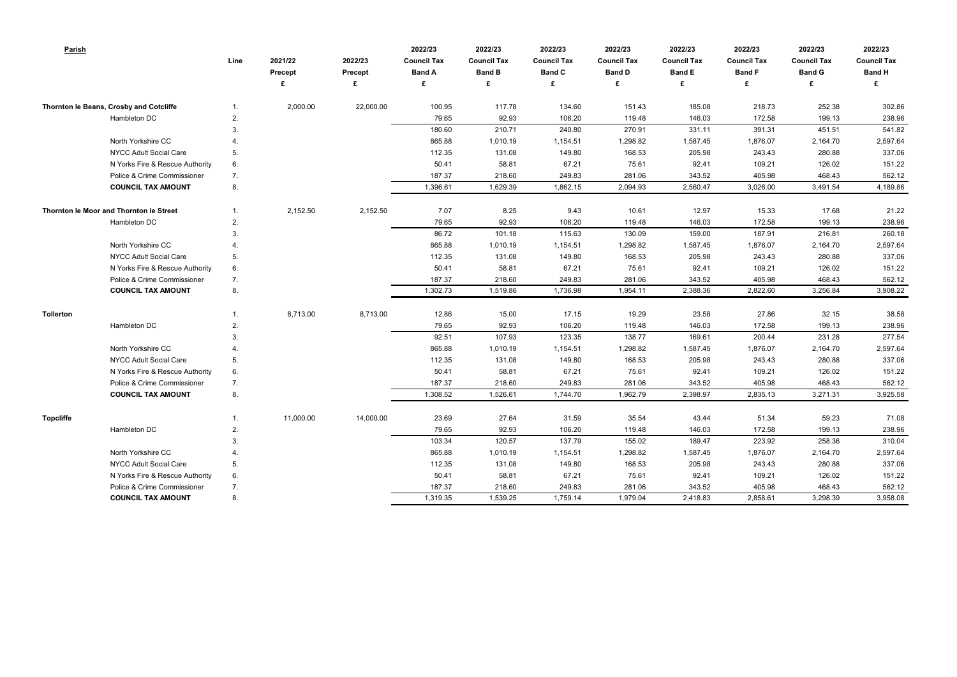| Parish                                  | Line | 2021/22<br><b>Precept</b> | 2022/23<br><b>Precept</b> | 2022/23<br><b>Council Tax</b><br><b>Band A</b> | 2022/23<br><b>Council Tax</b><br><b>Band B</b> | 2022/23<br><b>Council Tax</b><br><b>Band C</b> | 2022/23<br><b>Council Tax</b><br><b>Band D</b> | 2022/23<br><b>Council Tax</b><br><b>Band E</b> | 2022/23<br><b>Council Tax</b><br><b>Band F</b> | 2022/23<br><b>Council Tax</b><br><b>Band G</b> | 2022/23<br><b>Council Tax</b><br><b>Band H</b> |
|-----------------------------------------|------|---------------------------|---------------------------|------------------------------------------------|------------------------------------------------|------------------------------------------------|------------------------------------------------|------------------------------------------------|------------------------------------------------|------------------------------------------------|------------------------------------------------|
|                                         |      |                           | £                         | £                                              | £                                              | £                                              | £                                              | £                                              | £                                              | £                                              | £                                              |
| Thornton le Beans, Crosby and Cotcliffe | 1.   | 2,000.00                  | 22,000.00                 | 100.95                                         | 117.78                                         | 134.60                                         | 151.43                                         | 185.08                                         | 218.73                                         | 252.38                                         | 302.86                                         |
| Hambleton DC                            | 2.   |                           |                           | 79.65                                          | 92.93                                          | 106.20                                         | 119.48                                         | 146.03                                         | 172.58                                         | 199.13                                         | 238.96                                         |
|                                         | 3.   |                           |                           | 180.60                                         | 210.71                                         | 240.80                                         | 270.91                                         | 331.11                                         | 391.31                                         | 451.51                                         | 541.82                                         |
| North Yorkshire CC                      | 4    |                           |                           | 865.88                                         | 1,010.19                                       | 1,154.51                                       | 1,298.82                                       | 1,587.45                                       | 1,876.07                                       | 2,164.70                                       | 2,597.64                                       |
| NYCC Adult Social Care                  | 5.   |                           |                           | 112.35                                         | 131.08                                         | 149.80                                         | 168.53                                         | 205.98                                         | 243.43                                         | 280.88                                         | 337.06                                         |
| N Yorks Fire & Rescue Authority         | 6.   |                           |                           | 50.41                                          | 58.81                                          | 67.21                                          | 75.61                                          | 92.41                                          | 109.21                                         | 126.02                                         | 151.22                                         |
| Police & Crime Commissioner             | 7.   |                           |                           | 187.37                                         | 218.60                                         | 249.83                                         | 281.06                                         | 343.52                                         | 405.98                                         | 468.43                                         | 562.12                                         |
| <b>COUNCIL TAX AMOUNT</b>               | 8.   |                           |                           | 1,396.61                                       | 1,629.39                                       | 1,862.15                                       | 2,094.93                                       | 2,560.47                                       | 3,026.00                                       | 3,491.54                                       | 4,189.86                                       |
| Thornton le Moor and Thornton le Street | 1.   | 2,152.50                  | 2,152.50                  | 7.07                                           | 8.25                                           | 9.43                                           | 10.61                                          | 12.97                                          | 15.33                                          | 17.68                                          | 21.22                                          |
| Hambleton DC                            | 2.   |                           |                           | 79.65                                          | 92.93                                          | 106.20                                         | 119.48                                         | 146.03                                         | 172.58                                         | 199.13                                         | 238.96                                         |
|                                         | 3.   |                           |                           | 86.72                                          | 101.18                                         | 115.63                                         | 130.09                                         | 159.00                                         | 187.91                                         | 216.81                                         | 260.18                                         |
| North Yorkshire CC                      | 4    |                           |                           | 865.88                                         | 1,010.19                                       | 1,154.51                                       | 1,298.82                                       | 1,587.45                                       | 1,876.07                                       | 2,164.70                                       | 2,597.64                                       |
| <b>NYCC Adult Social Care</b>           | 5.   |                           |                           | 112.35                                         | 131.08                                         | 149.80                                         | 168.53                                         | 205.98                                         | 243.43                                         | 280.88                                         | 337.06                                         |
| N Yorks Fire & Rescue Authority         | 6.   |                           |                           | 50.41                                          | 58.81                                          | 67.21                                          | 75.61                                          | 92.41                                          | 109.21                                         | 126.02                                         | 151.22                                         |
| Police & Crime Commissioner             | 7.   |                           |                           | 187.37                                         | 218.60                                         | 249.83                                         | 281.06                                         | 343.52                                         | 405.98                                         | 468.43                                         | 562.12                                         |
| <b>COUNCIL TAX AMOUNT</b>               | 8.   |                           |                           | 1,302.73                                       | 1,519.86                                       | 1,736.98                                       | 1,954.11                                       | 2,388.36                                       | 2,822.60                                       | 3,256.84                                       | 3,908.22                                       |
| Tollerton                               |      | 8,713.00                  | 8,713.00                  | 12.86                                          | 15.00                                          | 17.15                                          | 19.29                                          | 23.58                                          | 27.86                                          | 32.15                                          | 38.58                                          |
| Hambleton DC                            | 2.   |                           |                           | 79.65                                          | 92.93                                          | 106.20                                         | 119.48                                         | 146.03                                         | 172.58                                         | 199.13                                         | 238.96                                         |
|                                         | 3.   |                           |                           | 92.51                                          | 107.93                                         | 123.35                                         | 138.77                                         | 169.61                                         | 200.44                                         | 231.28                                         | 277.54                                         |
| North Yorkshire CC                      | 4    |                           |                           | 865.88                                         | 1,010.19                                       | 1,154.51                                       | 1,298.82                                       | 1,587.45                                       | 1,876.07                                       | 2,164.70                                       | 2,597.64                                       |
| <b>NYCC Adult Social Care</b>           | 5.   |                           |                           | 112.35                                         | 131.08                                         | 149.80                                         | 168.53                                         | 205.98                                         | 243.43                                         | 280.88                                         | 337.06                                         |
| N Yorks Fire & Rescue Authority         | 6.   |                           |                           | 50.41                                          | 58.81                                          | 67.21                                          | 75.61                                          | 92.41                                          | 109.21                                         | 126.02                                         | 151.22                                         |
| Police & Crime Commissioner             | 7.   |                           |                           | 187.37                                         | 218.60                                         | 249.83                                         | 281.06                                         | 343.52                                         | 405.98                                         | 468.43                                         | 562.12                                         |
| <b>COUNCIL TAX AMOUNT</b>               | 8.   |                           |                           | 1,308.52                                       | 1,526.61                                       | 1,744.70                                       | 1,962.79                                       | 2,398.97                                       | 2,835.13                                       | 3,271.31                                       | 3,925.58                                       |
| <b>Topcliffe</b>                        | 1.   | 11,000.00                 | 14,000.00                 | 23.69                                          | 27.64                                          | 31.59                                          | 35.54                                          | 43.44                                          | 51.34                                          | 59.23                                          | 71.08                                          |
| Hambleton DC                            | 2.   |                           |                           | 79.65                                          | 92.93                                          | 106.20                                         | 119.48                                         | 146.03                                         | 172.58                                         | 199.13                                         | 238.96                                         |
|                                         | 3.   |                           |                           | 103.34                                         | 120.57                                         | 137.79                                         | 155.02                                         | 189.47                                         | 223.92                                         | 258.36                                         | 310.04                                         |
| North Yorkshire CC                      | 4.   |                           |                           | 865.88                                         | 1,010.19                                       | 1,154.51                                       | 1,298.82                                       | 1,587.45                                       | 1,876.07                                       | 2,164.70                                       | 2,597.64                                       |
| <b>NYCC Adult Social Care</b>           | 5.   |                           |                           | 112.35                                         | 131.08                                         | 149.80                                         | 168.53                                         | 205.98                                         | 243.43                                         | 280.88                                         | 337.06                                         |
| N Yorks Fire & Rescue Authority         | 6.   |                           |                           | 50.41                                          | 58.81                                          | 67.21                                          | 75.61                                          | 92.41                                          | 109.21                                         | 126.02                                         | 151.22                                         |
| Police & Crime Commissioner             | 7.   |                           |                           | 187.37                                         | 218.60                                         | 249.83                                         | 281.06                                         | 343.52                                         | 405.98                                         | 468.43                                         | 562.12                                         |
| <b>COUNCIL TAX AMOUNT</b>               | 8.   |                           |                           | 1,319.35                                       | 1,539.25                                       | 1,759.14                                       | 1,979.04                                       | 2,418.83                                       | 2,858.61                                       | 3,298.39                                       | 3,958.08                                       |